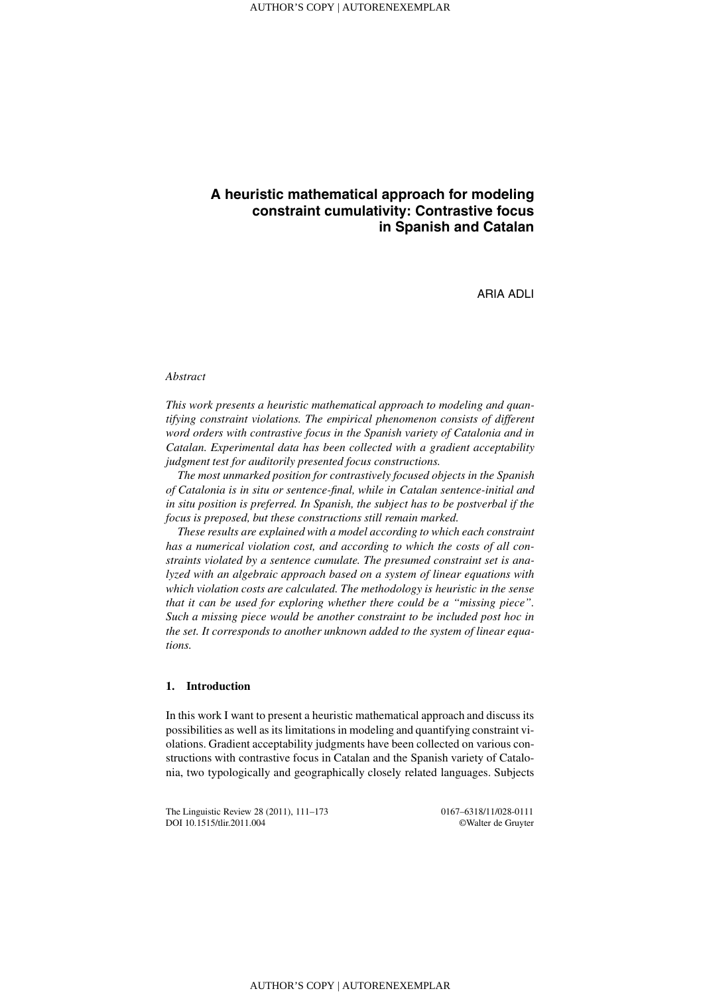# **A heuristic mathematical approach for modeling constraint cumulativity: Contrastive focus in Spanish and Catalan**

ARIA ADLI

#### *Abstract*

*This work presents a heuristic mathematical approach to modeling and quantifying constraint violations. The empirical phenomenon consists of different word orders with contrastive focus in the Spanish variety of Catalonia and in Catalan. Experimental data has been collected with a gradient acceptability judgment test for auditorily presented focus constructions.*

*The most unmarked position for contrastively focused objects in the Spanish of Catalonia is in situ or sentence-final, while in Catalan sentence-initial and in situ position is preferred. In Spanish, the subject has to be postverbal if the focus is preposed, but these constructions still remain marked.*

*These results are explained with a model according to which each constraint has a numerical violation cost, and according to which the costs of all constraints violated by a sentence cumulate. The presumed constraint set is analyzed with an algebraic approach based on a system of linear equations with which violation costs are calculated. The methodology is heuristic in the sense that it can be used for exploring whether there could be a "missing piece". Such a missing piece would be another constraint to be included post hoc in the set. It corresponds to another unknown added to the system of linear equations.*

## **1. Introduction**

In this work I want to present a heuristic mathematical approach and discuss its possibilities as well as its limitations in modeling and quantifying constraint violations. Gradient acceptability judgments have been collected on various constructions with contrastive focus in Catalan and the Spanish variety of Catalonia, two typologically and geographically closely related languages. Subjects

The Linguistic Review 28 (2011), 111[–173](#page-55-0) 0167–6318/11/028-0111<br>DOI 10.1515/tlir.2011.004 ©Walter de Gruvter DOI 10.1515/tlir.2011.004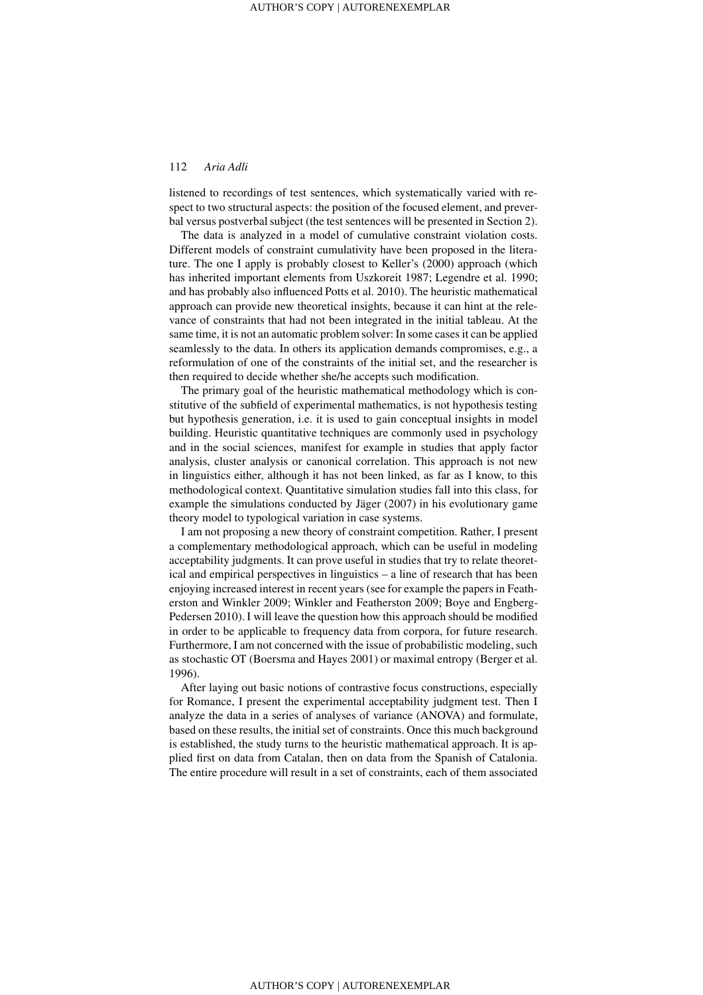listened to recordings of test sentences, which systematically varied with respect to two structural aspects: the position of the focused element, and preverbal versus postverbal subject (the test sentences will be presented in Section 2).

The data is analyzed in a model of cumulative constraint violation costs. Different models of constraint cumulativity have been proposed in the literature. The one I apply is probably closest to Keller's (2000) approach (which has inherited important elements from Uszkoreit 1987; Legendre et al. 1990; and has probably also influenced Potts et al. 2010). The heuristic mathematical approach can provide new theoretical insights, because it can hint at the relevance of constraints that had not been integrated in the initial tableau. At the same time, it is not an automatic problem solver: In some cases it can be applied seamlessly to the data. In others its application demands compromises, e.g., a reformulation of one of the constraints of the initial set, and the researcher is then required to decide whether she/he accepts such modification.

The primary goal of the heuristic mathematical methodology which is constitutive of the subfield of experimental mathematics, is not hypothesis testing but hypothesis generation, i.e. it is used to gain conceptual insights in model building. Heuristic quantitative techniques are commonly used in psychology and in the social sciences, manifest for example in studies that apply factor analysis, cluster analysis or canonical correlation. This approach is not new in linguistics either, although it has not been linked, as far as I know, to this methodological context. Quantitative simulation studies fall into this class, for example the simulations conducted by Jäger (2007) in his evolutionary game theory model to typological variation in case systems.

I am not proposing a new theory of constraint competition. Rather, I present a complementary methodological approach, which can be useful in modeling acceptability judgments. It can prove useful in studies that try to relate theoretical and empirical perspectives in linguistics – a line of research that has been enjoying increased interest in recent years (see for example the papers in Featherston and Winkler 2009; Winkler and Featherston 2009; Boye and Engberg-Pedersen 2010). I will leave the question how this approach should be modified in order to be applicable to frequency data from corpora, for future research. Furthermore, I am not concerned with the issue of probabilistic modeling, such as stochastic OT (Boersma and Hayes 2001) or maximal entropy (Berger et al. 1996).

After laying out basic notions of contrastive focus constructions, especially for Romance, I present the experimental acceptability judgment test. Then I analyze the data in a series of analyses of variance (ANOVA) and formulate, based on these results, the initial set of constraints. Once this much background is established, the study turns to the heuristic mathematical approach. It is applied first on data from Catalan, then on data from the Spanish of Catalonia. The entire procedure will result in a set of constraints, each of them associated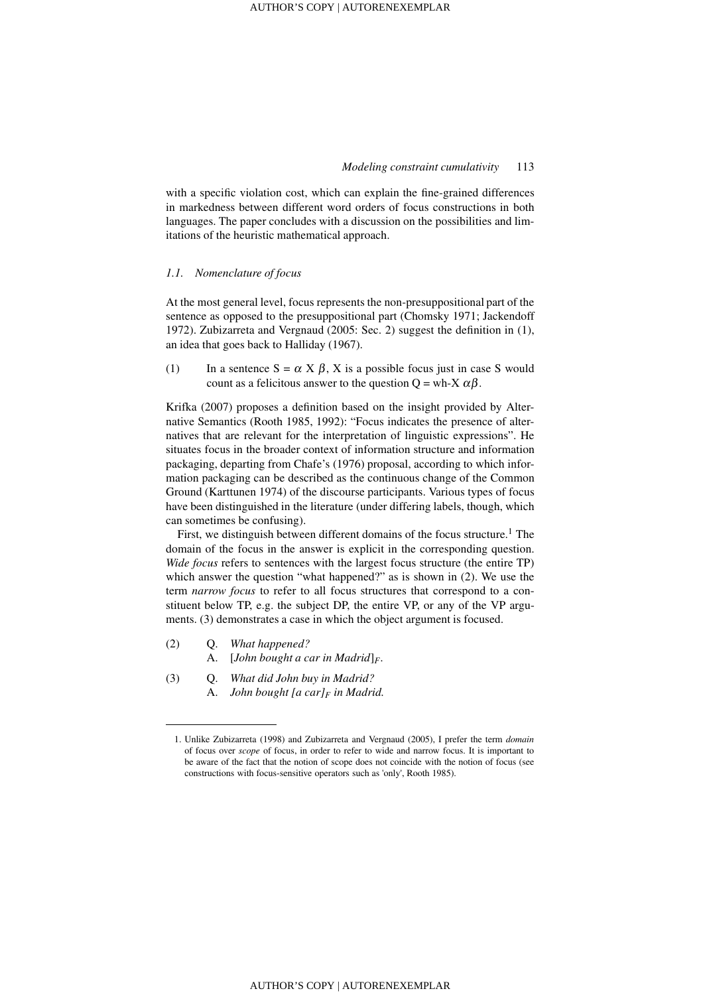with a specific violation cost, which can explain the fine-grained differences in markedness between different word orders of focus constructions in both languages. The paper concludes with a discussion on the possibilities and limitations of the heuristic mathematical approach.

#### *1.1. Nomenclature of focus*

At the most general level, focus represents the non-presuppositional part of the sentence as opposed to the presuppositional part (Chomsky 1971; Jackendoff 1972). Zubizarreta and Vergnaud (2005: Sec. 2) suggest the definition in (1), an idea that goes back to Halliday (1967).

(1) In a sentence  $S = \alpha X \beta$ , X is a possible focus just in case S would count as a felicitous answer to the question  $Q = wh-X \alpha \beta$ .

Krifka (2007) proposes a definition based on the insight provided by Alternative Semantics (Rooth 1985, 1992): "Focus indicates the presence of alternatives that are relevant for the interpretation of linguistic expressions". He situates focus in the broader context of information structure and information packaging, departing from Chafe's (1976) proposal, according to which information packaging can be described as the continuous change of the Common Ground (Karttunen 1974) of the discourse participants. Various types of focus have been distinguished in the literature (under differing labels, though, which can sometimes be confusing).

First, we distinguish between different domains of the focus structure.<sup>1</sup> The domain of the focus in the answer is explicit in the corresponding question. *Wide focus* refers to sentences with the largest focus structure (the entire TP) which answer the question "what happened?" as is shown in (2). We use the term *narrow focus* to refer to all focus structures that correspond to a constituent below TP, e.g. the subject DP, the entire VP, or any of the VP arguments. (3) demonstrates a case in which the object argument is focused.

- (2) Q. *What happened?* A. [*John bought a car in Madrid*]*F*.
- (3) Q. *What did John buy in Madrid?* A. *John bought [a car]<sub>F</sub> in Madrid.*

<sup>1.</sup> Unlike Zubizarreta (1998) and Zubizarreta and Vergnaud (2005), I prefer the term *domain* of focus over *scope* of focus, in order to refer to wide and narrow focus. It is important to be aware of the fact that the notion of scope does not coincide with the notion of focus (see constructions with focus-sensitive operators such as 'only', Rooth 1985).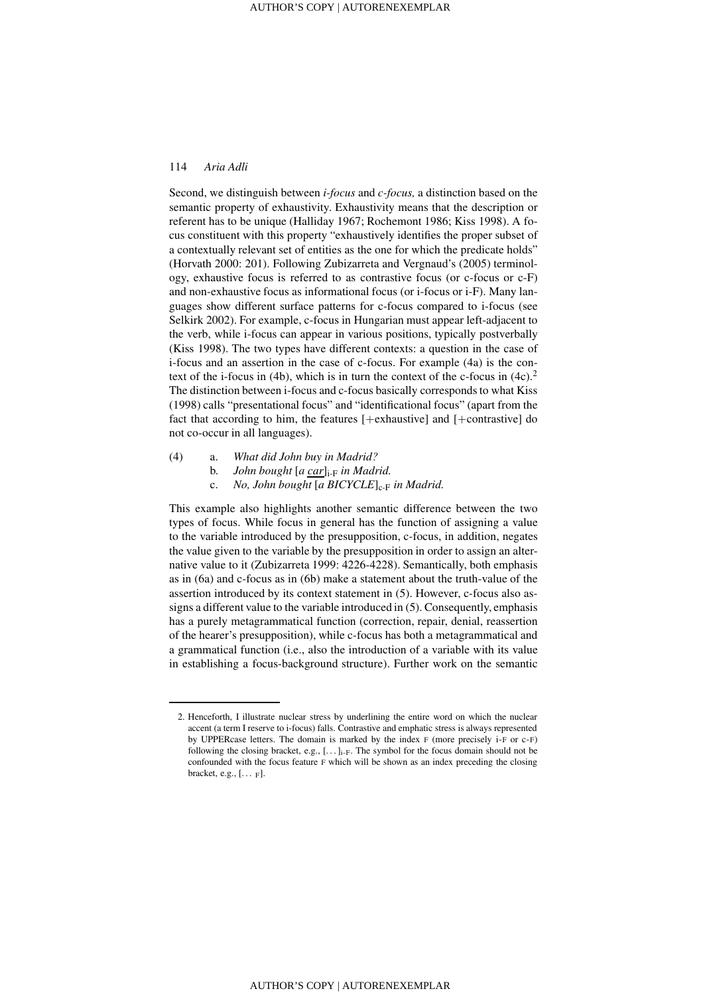Second, we distinguish between *i-focus* and *c-focus,* a distinction based on the semantic property of exhaustivity. Exhaustivity means that the description or referent has to be unique (Halliday 1967; Rochemont 1986; Kiss 1998). A focus constituent with this property "exhaustively identifies the proper subset of a contextually relevant set of entities as the one for which the predicate holds" (Horvath 2000: 201). Following Zubizarreta and Vergnaud's (2005) terminology, exhaustive focus is referred to as contrastive focus (or c-focus or c-F) and non-exhaustive focus as informational focus (or i-focus or i-F). Many languages show different surface patterns for c-focus compared to i-focus (see Selkirk 2002). For example, c-focus in Hungarian must appear left-adjacent to the verb, while i-focus can appear in various positions, typically postverbally (Kiss 1998). The two types have different contexts: a question in the case of i-focus and an assertion in the case of c-focus. For example (4a) is the context of the i-focus in (4b), which is in turn the context of the c-focus in  $(4c)$ .<sup>2</sup> The distinction between i-focus and c-focus basically corresponds to what Kiss (1998) calls "presentational focus" and "identificational focus" (apart from the fact that according to him, the features [+exhaustive] and [+contrastive] do not co-occur in all languages).

(4) a. *What did John buy in Madrid?* b. *John bought* [*a car*]i-F *in Madrid.* c. *No, John bought* [a BICYCLE]<sub>c-F</sub> in Madrid.

This example also highlights another semantic difference between the two types of focus. While focus in general has the function of assigning a value to the variable introduced by the presupposition, c-focus, in addition, negates the value given to the variable by the presupposition in order to assign an alternative value to it (Zubizarreta 1999: 4226-4228). Semantically, both emphasis as in (6a) and c-focus as in (6b) make a statement about the truth-value of the assertion introduced by its context statement in (5). However, c-focus also assigns a different value to the variable introduced in (5). Consequently, emphasis has a purely metagrammatical function (correction, repair, denial, reassertion of the hearer's presupposition), while c-focus has both a metagrammatical and a grammatical function (i.e., also the introduction of a variable with its value in establishing a focus-background structure). Further work on the semantic

<sup>2.</sup> Henceforth, I illustrate nuclear stress by underlining the entire word on which the nuclear accent (a term I reserve to i-focus) falls. Contrastive and emphatic stress is always represented by UPPERcase letters. The domain is marked by the index F (more precisely i-F or c-F) following the closing bracket, e.g.,  $[\ldots]_{i-F}$ . The symbol for the focus domain should not be confounded with the focus feature F which will be shown as an index preceding the closing bracket, e.g.,  $[...]$ .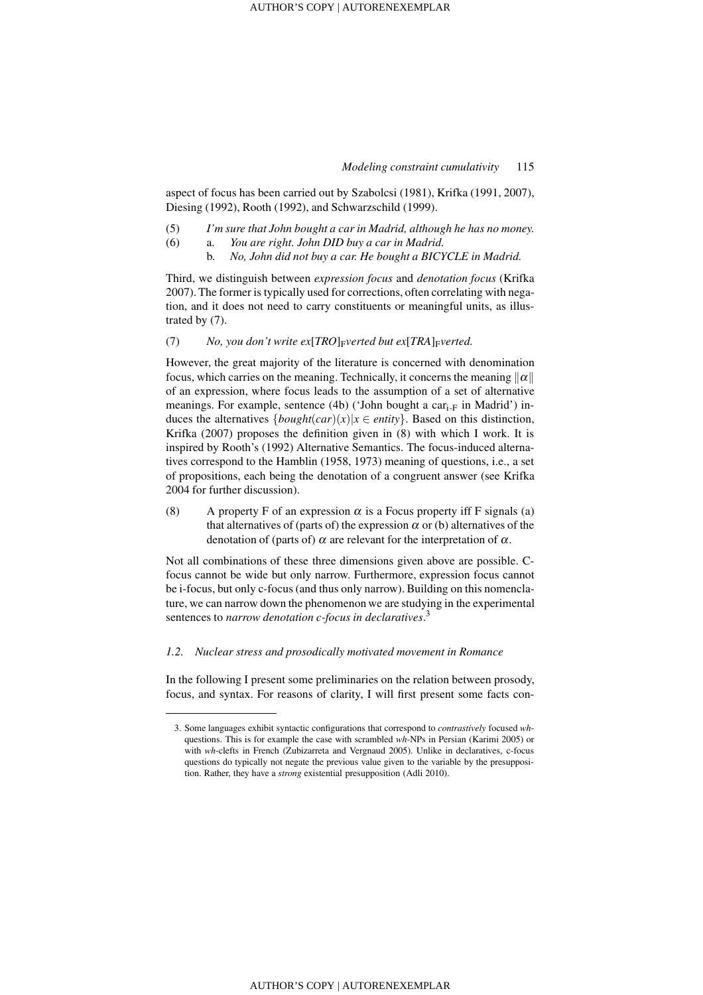aspect of focus has been carried out by Szabolcsi (1981), Krifka (1991, 2007), Diesing (1992), Rooth (1992), and Schwarzschild (1999).

- (5) *I'm sure that John bought a car in Madrid, although he has no money.*
- (6) a. *You are right. John DID buy a car in Madrid.*
	- b. *No, John did not buy a car. He bought a BICYCLE in Madrid.*

Third, we distinguish between *expression focus* and *denotation focus* (Krifka 2007). The former is typically used for corrections, often correlating with negation, and it does not need to carry constituents or meaningful units, as illustrated by (7).

(7) *No, you don't write*  $ex[TRO]$ *<sub>F</sub>verted but*  $ex[TRA]$ *<sub>F</sub>verted.* 

However, the great majority of the literature is concerned with denomination focus, which carries on the meaning. Technically, it concerns the meaning  $||\alpha||$ of an expression, where focus leads to the assumption of a set of alternative meanings. For example, sentence (4b) ('John bought a car<sub>i-F</sub> in Madrid') induces the alternatives  $\{bought(car)(x)|x \in entity\}$ . Based on this distinction, Krifka (2007) proposes the definition given in (8) with which I work. It is inspired by Rooth's (1992) Alternative Semantics. The focus-induced alternatives correspond to the Hamblin (1958, 1973) meaning of questions, i.e., a set of propositions, each being the denotation of a congruent answer (see Krifka 2004 for further discussion).

(8) A property F of an expression  $\alpha$  is a Focus property iff F signals (a) that alternatives of (parts of) the expression  $\alpha$  or (b) alternatives of the denotation of (parts of)  $\alpha$  are relevant for the interpretation of  $\alpha$ .

Not all combinations of these three dimensions given above are possible. Cfocus cannot be wide but only narrow. Furthermore, expression focus cannot be i-focus, but only c-focus (and thus only narrow). Building on this nomenclature, we can narrow down the phenomenon we are studying in the experimental sentences to *narrow denotation c-focus in declaratives*. 3

#### *1.2. Nuclear stress and prosodically motivated movement in Romance*

In the following I present some preliminaries on the relation between prosody, focus, and syntax. For reasons of clarity, I will first present some facts con-

<sup>3.</sup> Some languages exhibit syntactic configurations that correspond to *contrastively* focused *wh*questions. This is for example the case with scrambled *wh*-NPs in Persian (Karimi 2005) or with *wh*-clefts in French (Zubizarreta and Vergnaud 2005). Unlike in declaratives, c-focus questions do typically not negate the previous value given to the variable by the presupposition. Rather, they have a *strong* existential presupposition (Adli 2010).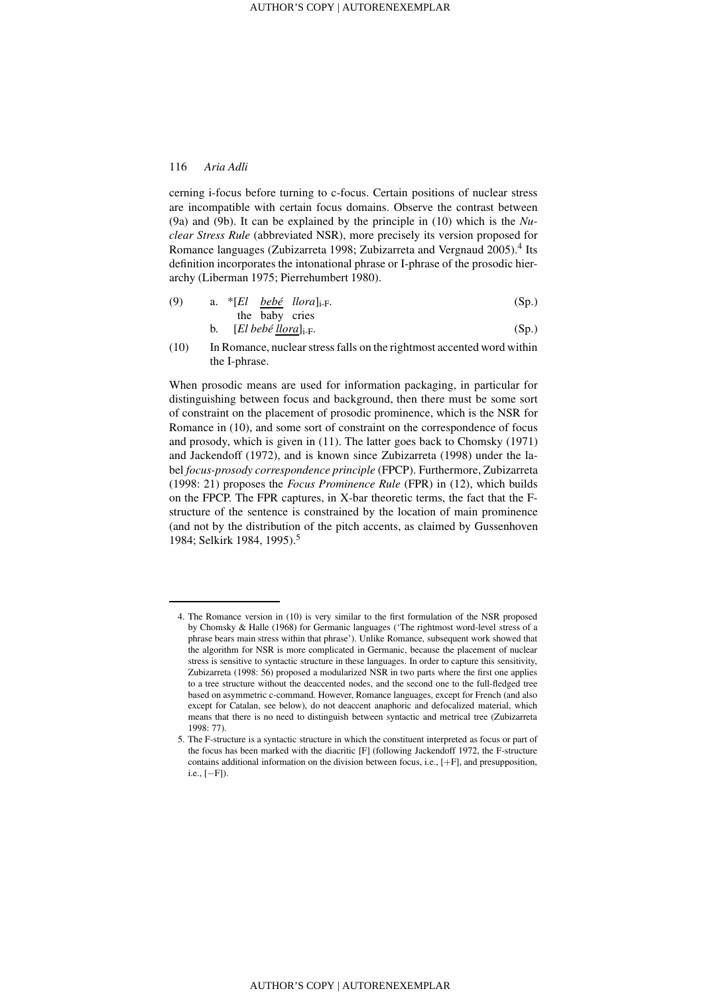cerning i-focus before turning to c-focus. Certain positions of nuclear stress are incompatible with certain focus domains. Observe the contrast between (9a) and (9b). It can be explained by the principle in (10) which is the *Nuclear Stress Rule* (abbreviated NSR), more precisely its version proposed for Romance languages (Zubizarreta 1998; Zubizarreta and Vergnaud 2005).<sup>4</sup> Its definition incorporates the intonational phrase or I-phrase of the prosodic hierarchy (Liberman 1975; Pierrehumbert 1980).

(9) a. \*[*El* bebé 
$$
\text{lloral}_{i-F}
$$
.  
\nthe baby crises  
\nb. [*El bebé* llora]<sub>i-F</sub>.  
\n(Sp.)

(10) In Romance, nuclear stress falls on the rightmost accented word within the I-phrase.

When prosodic means are used for information packaging, in particular for distinguishing between focus and background, then there must be some sort of constraint on the placement of prosodic prominence, which is the NSR for Romance in (10), and some sort of constraint on the correspondence of focus and prosody, which is given in (11). The latter goes back to Chomsky (1971) and Jackendoff (1972), and is known since Zubizarreta (1998) under the label *focus-prosody correspondence principle* (FPCP). Furthermore, Zubizarreta (1998: 21) proposes the *Focus Prominence Rule* (FPR) in (12), which builds on the FPCP. The FPR captures, in X-bar theoretic terms, the fact that the Fstructure of the sentence is constrained by the location of main prominence (and not by the distribution of the pitch accents, as claimed by Gussenhoven 1984; Selkirk 1984, 1995).<sup>5</sup>

<sup>4.</sup> The Romance version in (10) is very similar to the first formulation of the NSR proposed by Chomsky & Halle (1968) for Germanic languages ('The rightmost word-level stress of a phrase bears main stress within that phrase'). Unlike Romance, subsequent work showed that the algorithm for NSR is more complicated in Germanic, because the placement of nuclear stress is sensitive to syntactic structure in these languages. In order to capture this sensitivity, Zubizarreta (1998: 56) proposed a modularized NSR in two parts where the first one applies to a tree structure without the deaccented nodes, and the second one to the full-fledged tree based on asymmetric c-command. However, Romance languages, except for French (and also except for Catalan, see below), do not deaccent anaphoric and defocalized material, which means that there is no need to distinguish between syntactic and metrical tree (Zubizarreta 1998: 77).

<sup>5.</sup> The F-structure is a syntactic structure in which the constituent interpreted as focus or part of the focus has been marked with the diacritic [F] (following Jackendoff 1972, the F-structure contains additional information on the division between focus, i.e., [+F], and presupposition, i.e., [−F]).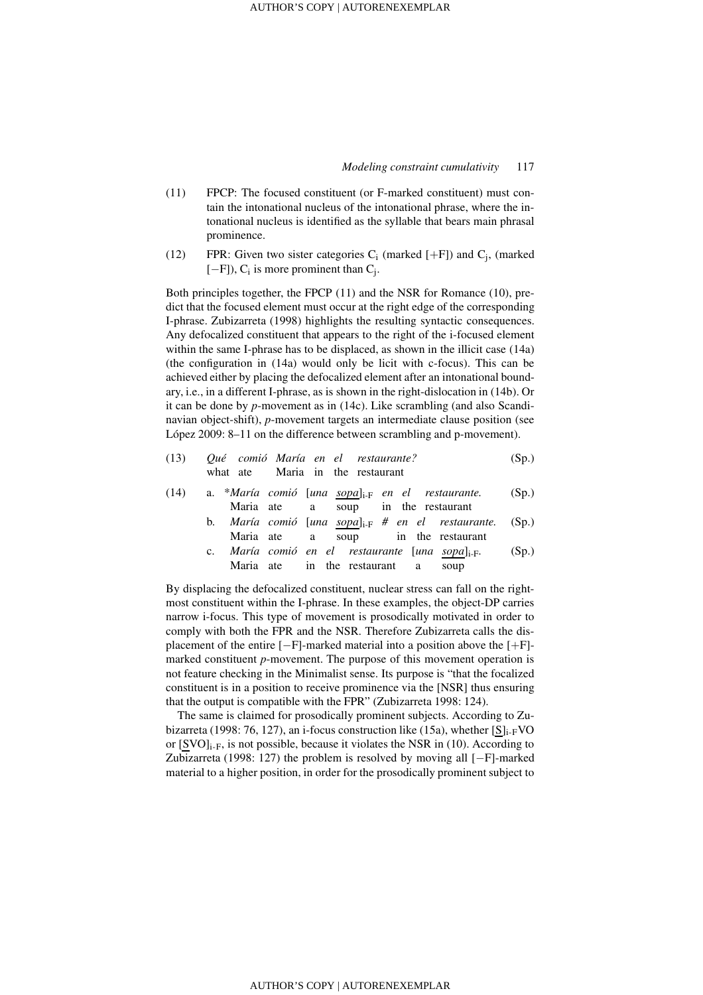- (11) FPCP: The focused constituent (or F-marked constituent) must contain the intonational nucleus of the intonational phrase, where the intonational nucleus is identified as the syllable that bears main phrasal prominence.
- (12) FPR: Given two sister categories  $C_i$  (marked [+F]) and  $C_i$ , (marked  $[-F]$ ), C<sub>i</sub> is more prominent than C<sub>j</sub>.

Both principles together, the FPCP (11) and the NSR for Romance (10), predict that the focused element must occur at the right edge of the corresponding I-phrase. Zubizarreta (1998) highlights the resulting syntactic consequences. Any defocalized constituent that appears to the right of the i-focused element within the same I-phrase has to be displaced, as shown in the illicit case (14a) (the configuration in (14a) would only be licit with c-focus). This can be achieved either by placing the defocalized element after an intonational boundary, i.e., in a different I-phrase, as is shown in the right-dislocation in (14b). Or it can be done by *p*-movement as in (14c). Like scrambling (and also Scandinavian object-shift), *p*-movement targets an intermediate clause position (see López 2009: 8–11 on the difference between scrambling and p-movement).

(13) (Sp.) *Qué comió María en el restaurante?* what ate Maria in the restaurant

|  |  |                                    |  | (14) a. * <i>María comió</i> [una sopa] <sub>i-F</sub> en el restaurante. (Sp.) |  |
|--|--|------------------------------------|--|---------------------------------------------------------------------------------|--|
|  |  | Maria ate a soup in the restaurant |  |                                                                                 |  |
|  |  |                                    |  | b. <i>María comió</i> [una sopa] <sub>i-F</sub> # en el restaurante. (Sp.)      |  |
|  |  |                                    |  | Maria ate a soup in the restaurant                                              |  |
|  |  |                                    |  | c. María comió en el restaurante [una sopa] <sub>i-F</sub> . $(Sp.)$            |  |
|  |  | Maria ate in the restaurant a soup |  |                                                                                 |  |

By displacing the defocalized constituent, nuclear stress can fall on the rightmost constituent within the I-phrase. In these examples, the object-DP carries narrow i-focus. This type of movement is prosodically motivated in order to comply with both the FPR and the NSR. Therefore Zubizarreta calls the displacement of the entire [−F]-marked material into a position above the [+F] marked constituent *p*-movement. The purpose of this movement operation is not feature checking in the Minimalist sense. Its purpose is "that the focalized constituent is in a position to receive prominence via the [NSR] thus ensuring that the output is compatible with the FPR" (Zubizarreta 1998: 124).

The same is claimed for prosodically prominent subjects. According to Zubizarreta (1998: 76, 127), an i-focus construction like (15a), whether  $[S]_{i-F}$ VO or  $[SVO]_{i-F}$ , is not possible, because it violates the NSR in (10). According to Zubizarreta (1998: 127) the problem is resolved by moving all [−F]-marked material to a higher position, in order for the prosodically prominent subject to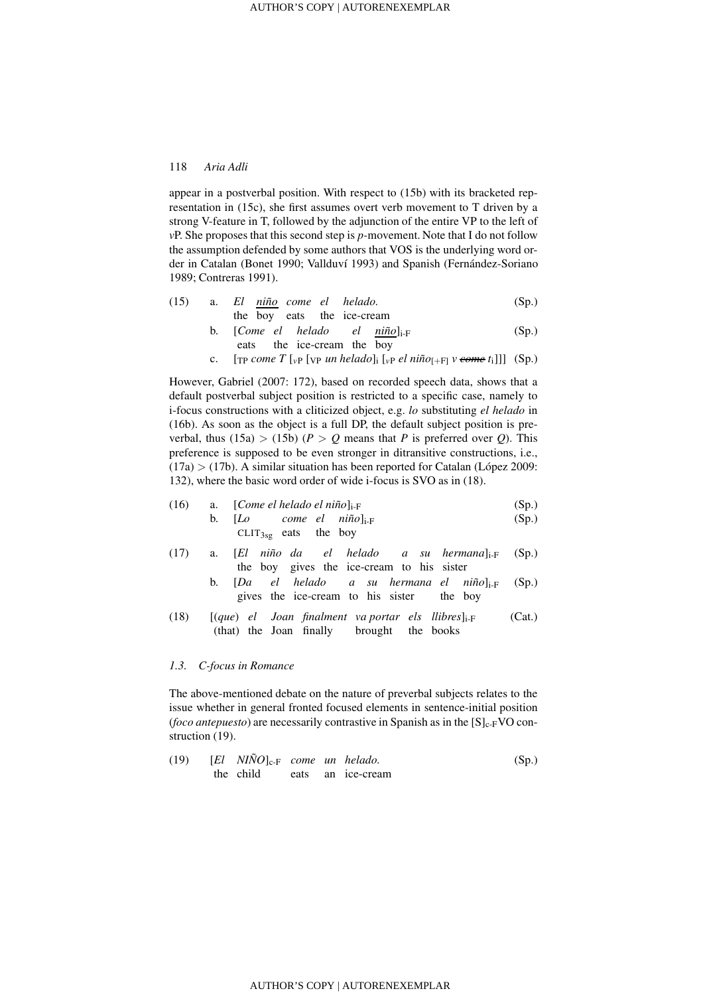appear in a postverbal position. With respect to (15b) with its bracketed representation in (15c), she first assumes overt verb movement to T driven by a strong V-feature in T, followed by the adjunction of the entire VP to the left of *v*P. She proposes that this second step is *p-*movement. Note that I do not follow the assumption defended by some authors that VOS is the underlying word order in Catalan (Bonet 1990; Vallduví 1993) and Spanish (Fernández-Soriano 1989; Contreras 1991).

|  | (15) a. El niño come el helado.                                                                | (Sp.) |
|--|------------------------------------------------------------------------------------------------|-------|
|  | the boy eats the ice-cream                                                                     |       |
|  | b. [ <i>Come el helado el niño</i> ]. $_{\text{E}}$                                            | (Sp.) |
|  | eats the ice-cream the boy                                                                     |       |
|  | c. [The come T [vp [vp un helado]; [vp el niño <sub>[+F]</sub> v come t <sub>i</sub> ]]] (Sp.) |       |

However, Gabriel (2007: 172), based on recorded speech data, shows that a default postverbal subject position is restricted to a specific case, namely to i-focus constructions with a cliticized object, e.g. *lo* substituting *el helado* in (16b). As soon as the object is a full DP, the default subject position is preverbal, thus (15a) > (15b) ( $P > Q$  means that *P* is preferred over *Q*). This preference is supposed to be even stronger in ditransitive constructions, i.e.,  $(17a)$  >  $(17b)$ . A similar situation has been reported for Catalan (López 2009: 132), where the basic word order of wide i-focus is SVO as in (18).

(16) a. (Sp.) [*Come el helado el niño*]i-F

b. 
$$
[Lo \quad cone \quad el \quad ni\tilde{n}o]_{i-F}
$$
 (Sp.)  
CLIT<sub>3sg</sub> eats the boy

- (17) a. [*El niño da el helado a su hermana*]<sub>i-F</sub> (Sp.) the boy *niño da* gives the ice-cream to his sister *el helado a*
	- b. [Da el helado a su hermana el niño]<sub>i-F</sub> (Sp.) gives the ice-cream to his sister *el helado a su el* the *niño*]i-F boy
- $(18)$   $[(que)$  *el Joan finalment va portar els llibres*]<sub>i-F</sub>  $(Cat.)$ (that) the Joan finally  $[(que)$  el brought the books

## *1.3. C-focus in Romance*

The above-mentioned debate on the nature of preverbal subjects relates to the issue whether in general fronted focused elements in sentence-initial position (*foco antepuesto*) are necessarily contrastive in Spanish as in the  $[S]_{c-F}VO$  construction (19).

(19) 
$$
[El \quad NI\tilde{N}O]_{c-F} \quad come \quad un \quad helado.
$$
 (Sp.)  
the child \quad eats \quad an \quad ice-cream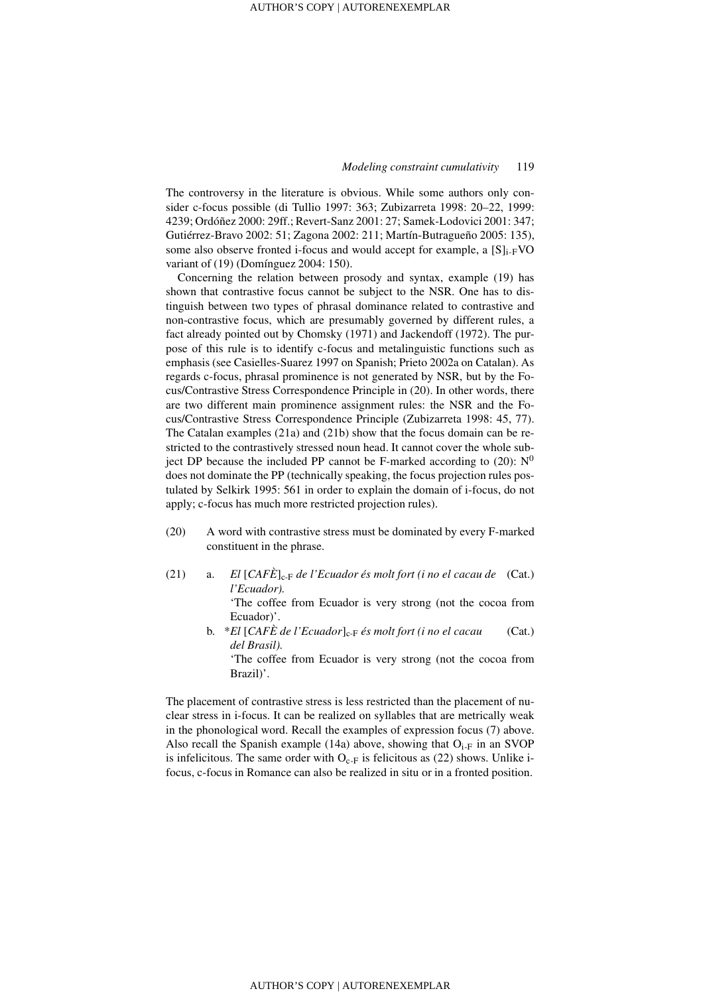The controversy in the literature is obvious. While some authors only consider c-focus possible (di Tullio 1997: 363; Zubizarreta 1998: 20–22, 1999: 4239; Ordóñez 2000: 29ff.; Revert-Sanz 2001: 27; Samek-Lodovici 2001: 347; Gutiérrez-Bravo 2002: 51; Zagona 2002: 211; Martín-Butragueño 2005: 135), some also observe fronted i-focus and would accept for example, a [S]<sub>i-F</sub>VO variant of (19) (Domínguez 2004: 150).

Concerning the relation between prosody and syntax, example (19) has shown that contrastive focus cannot be subject to the NSR. One has to distinguish between two types of phrasal dominance related to contrastive and non-contrastive focus, which are presumably governed by different rules, a fact already pointed out by Chomsky (1971) and Jackendoff (1972). The purpose of this rule is to identify c-focus and metalinguistic functions such as emphasis (see Casielles-Suarez 1997 on Spanish; Prieto 2002a on Catalan). As regards c-focus, phrasal prominence is not generated by NSR, but by the Focus/Contrastive Stress Correspondence Principle in (20). In other words, there are two different main prominence assignment rules: the NSR and the Focus/Contrastive Stress Correspondence Principle (Zubizarreta 1998: 45, 77). The Catalan examples (21a) and (21b) show that the focus domain can be restricted to the contrastively stressed noun head. It cannot cover the whole subject DP because the included PP cannot be F-marked according to (20):  $N^0$ does not dominate the PP (technically speaking, the focus projection rules postulated by Selkirk 1995: 561 in order to explain the domain of i-focus, do not apply; c-focus has much more restricted projection rules).

- (20) A word with contrastive stress must be dominated by every F-marked constituent in the phrase.
- (21) a.  $El [CAFÈ]<sub>c-F</sub> de l'E cuador és molt fort (i no el cacau de (Cat.)$ *l'Ecuador).*

'The coffee from Ecuador is very strong (not the cocoa from Ecuador)'.

b. \* (Cat.) *El* [*CAFÈ de l'Ecuador*]c-F *és molt fort (i no el cacau del Brasil).*

'The coffee from Ecuador is very strong (not the cocoa from Brazil)'.

The placement of contrastive stress is less restricted than the placement of nuclear stress in i-focus. It can be realized on syllables that are metrically weak in the phonological word. Recall the examples of expression focus (7) above. Also recall the Spanish example (14a) above, showing that  $O_i$ -F in an SVOP is infelicitous. The same order with  $O_{c-F}$  is felicitous as (22) shows. Unlike ifocus, c-focus in Romance can also be realized in situ or in a fronted position.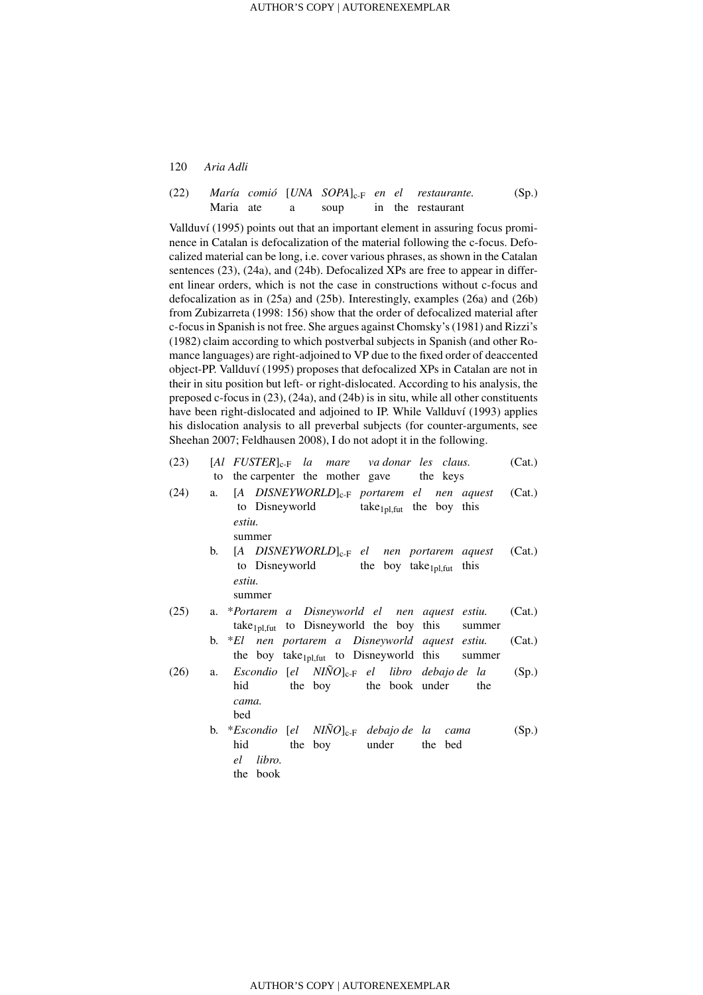| (22) |           |     |      |  | María comió [UNA SOPA] <sub>c-F</sub> en el restaurante. | (Sp.) |
|------|-----------|-----|------|--|----------------------------------------------------------|-------|
|      | Maria ate | a a | soup |  | in the restaurant                                        |       |

Vallduví (1995) points out that an important element in assuring focus prominence in Catalan is defocalization of the material following the c-focus. Defocalized material can be long, i.e. cover various phrases, as shown in the Catalan sentences (23), (24a), and (24b). Defocalized XPs are free to appear in different linear orders, which is not the case in constructions without c-focus and defocalization as in (25a) and (25b). Interestingly, examples (26a) and (26b) from Zubizarreta (1998: 156) show that the order of defocalized material after c-focus in Spanish is not free. She argues against Chomsky's (1981) and Rizzi's (1982) claim according to which postverbal subjects in Spanish (and other Romance languages) are right-adjoined to VP due to the fixed order of deaccented object-PP. Vallduví (1995) proposes that defocalized XPs in Catalan are not in their in situ position but left- or right-dislocated. According to his analysis, the preposed c-focus in  $(23)$ ,  $(24a)$ , and  $(24b)$  is in situ, while all other constituents have been right-dislocated and adjoined to IP. While Vallduví (1993) applies his dislocation analysis to all preverbal subjects (for counter-arguments, see Sheehan 2007; Feldhausen 2008), I do not adopt it in the following.

| (23) |  |                                                                                                                                                                                                                                                                                                                                    |  | $\lceil Al \quad FUSTER \rceil_{\text{c-F}} \quad la \quad mare \quad va donar \quad les \quad clauses.$ |  | (Cat.) |
|------|--|------------------------------------------------------------------------------------------------------------------------------------------------------------------------------------------------------------------------------------------------------------------------------------------------------------------------------------|--|----------------------------------------------------------------------------------------------------------|--|--------|
|      |  |                                                                                                                                                                                                                                                                                                                                    |  | to the carpenter the mother gave the keys                                                                |  |        |
| (24) |  |                                                                                                                                                                                                                                                                                                                                    |  | a. [A DISNEYWORLD] <sub>c-F</sub> portarem el nen aquest (Cat.)                                          |  |        |
|      |  | $\mathbf{A}$ $\mathbf{B}$ $\mathbf{B}$ $\mathbf{A}$ $\mathbf{B}$ $\mathbf{B}$ $\mathbf{B}$ $\mathbf{B}$ $\mathbf{A}$ $\mathbf{B}$ $\mathbf{B}$ $\mathbf{B}$ $\mathbf{B}$ $\mathbf{B}$ $\mathbf{B}$ $\mathbf{B}$ $\mathbf{B}$ $\mathbf{B}$ $\mathbf{B}$ $\mathbf{B}$ $\mathbf{B}$ $\mathbf{B}$ $\mathbf{B}$ $\mathbf{B}$ $\mathbf{$ |  | المقطة ومعاملا المطلب المستحدث                                                                           |  |        |

| to Disneyworld                                                                         | take <sub>1pl,fut</sub> the boy this |  |                              |
|----------------------------------------------------------------------------------------|--------------------------------------|--|------------------------------|
| estiu.                                                                                 |                                      |  |                              |
| summer                                                                                 |                                      |  |                              |
| $\left[ \begin{array}{cc} A & DICNEVWOPI \end{array} \right] = el$ non-nortarom aquest |                                      |  | $(\bigcap_{\alpha\in\Delta}$ |

b. [A DISNEYWORLD]<sub>c-F</sub> el nen portarem aquest (Cat.) to Disneyworld the boy take $_{1pl, fut}$  this *nen portarem aquest estiu.* summer

| (25) |  | a. *Portarem a Disneyworld el nen aquest estiu. (Cat.) |  |  |  |
|------|--|--------------------------------------------------------|--|--|--|
|      |  | $take_{1pl, fut}$ to Disneyworld the boy this summer   |  |  |  |
|      |  |                                                        |  |  |  |

- **b.** \*El nen portarem a Disneyworld aquest estiu. (Cat.) the boy take<sub>1pl,fut</sub> to Disneyworld this summer
- (26) a. *Escondio*  $[el \quad NI\tilde{N}O]_{c-F}$  *el libro debajo de la* (Sp.) hid the boy the book under the *cama.* bed
	- b. \*Escondio [el NIÑO]<sub>c-F</sub> debajo de la cama (Sp.) hid the boy under the bed *cama el* the book *libro.*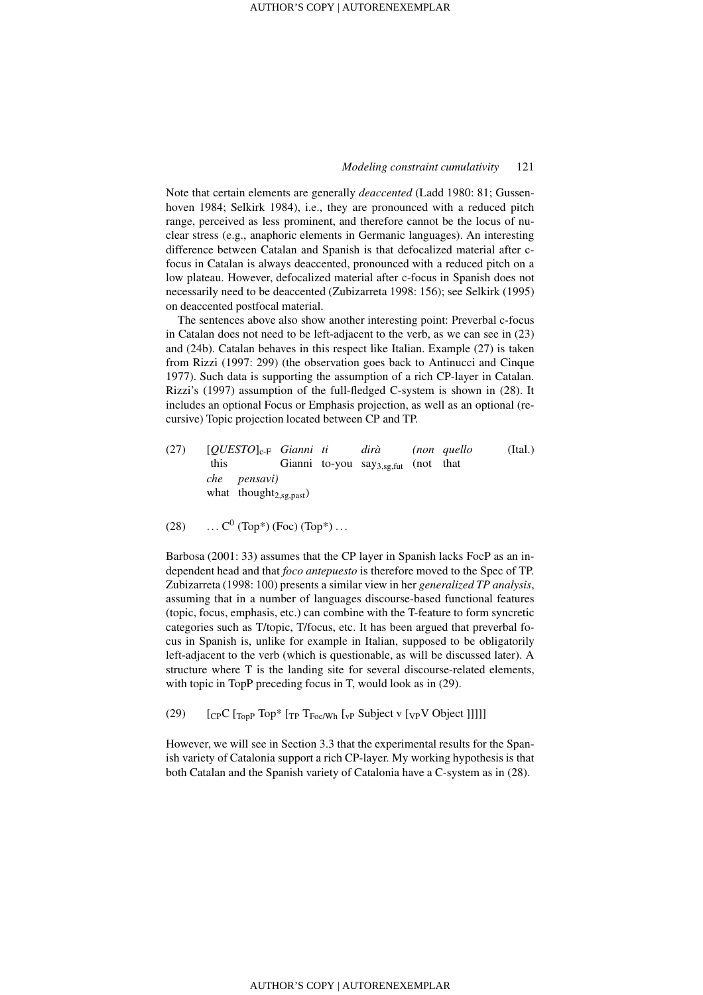Note that certain elements are generally *deaccented* (Ladd 1980: 81; Gussenhoven 1984; Selkirk 1984), i.e., they are pronounced with a reduced pitch range, perceived as less prominent, and therefore cannot be the locus of nuclear stress (e.g., anaphoric elements in Germanic languages). An interesting difference between Catalan and Spanish is that defocalized material after cfocus in Catalan is always deaccented, pronounced with a reduced pitch on a low plateau. However, defocalized material after c-focus in Spanish does not necessarily need to be deaccented (Zubizarreta 1998: 156); see Selkirk (1995) on deaccented postfocal material.

The sentences above also show another interesting point: Preverbal c-focus in Catalan does not need to be left-adjacent to the verb, as we can see in (23) and (24b). Catalan behaves in this respect like Italian. Example (27) is taken from Rizzi (1997: 299) (the observation goes back to Antinucci and Cinque 1977). Such data is supporting the assumption of a rich CP-layer in Catalan. Rizzi's (1997) assumption of the full-fledged C-system is shown in (28). It includes an optional Focus or Emphasis projection, as well as an optional (recursive) Topic projection located between CP and TP.

- (27) (Ital.) [*QUESTO*]c-F *Gianni ti* this Gianni to-you say<sub>3,sg,fut</sub> *dirà (non quello* (not that *che* what thought<sub>2,sg,past</sub>) *pensavi)*
- (28)  $\ldots C^0$  (Top<sup>\*</sup>) (Foc) (Top<sup>\*</sup>) ...

Barbosa (2001: 33) assumes that the CP layer in Spanish lacks FocP as an independent head and that *foco antepuesto* is therefore moved to the Spec of TP. Zubizarreta (1998: 100) presents a similar view in her *generalized TP analysis*, assuming that in a number of languages discourse-based functional features (topic, focus, emphasis, etc.) can combine with the T-feature to form syncretic categories such as T/topic, T/focus, etc. It has been argued that preverbal focus in Spanish is, unlike for example in Italian, supposed to be obligatorily left-adjacent to the verb (which is questionable, as will be discussed later). A structure where T is the landing site for several discourse-related elements, with topic in TopP preceding focus in T, would look as in (29).

(29)  $[CPC [Top P Top^* [TP T_{Foc/Wh} [VP Subject v [VP V Object ]]]]]]$ 

However, we will see in Section 3.3 that the experimental results for the Spanish variety of Catalonia support a rich CP-layer. My working hypothesis is that both Catalan and the Spanish variety of Catalonia have a C-system as in (28).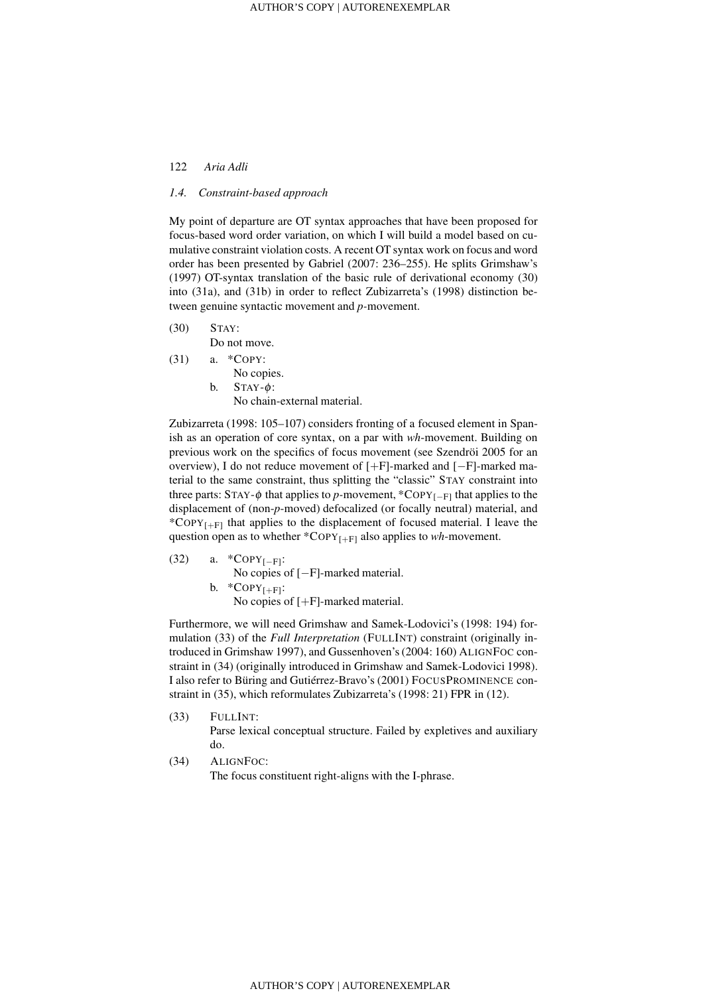#### *1.4. Constraint-based approach*

My point of departure are OT syntax approaches that have been proposed for focus-based word order variation, on which I will build a model based on cumulative constraint violation costs. A recent OT syntax work on focus and word order has been presented by Gabriel (2007: 236–255). He splits Grimshaw's (1997) OT-syntax translation of the basic rule of derivational economy (30) into (31a), and (31b) in order to reflect Zubizarreta's (1998) distinction between genuine syntactic movement and *p-*movement.

- (30) STAY:
	- Do not move.
- (31) a. \*COPY: No copies. b.  $STAY- $\phi$ :$

No chain-external material.

Zubizarreta (1998: 105–107) considers fronting of a focused element in Spanish as an operation of core syntax, on a par with *wh*-movement. Building on previous work on the specifics of focus movement (see Szendröi 2005 for an overview), I do not reduce movement of [+F]-marked and [−F]-marked material to the same constraint, thus splitting the "classic" STAY constraint into three parts: STAY- $\phi$  that applies to *p*-movement, \*COPY<sub>[−F]</sub> that applies to the displacement of (non-*p*-moved) defocalized (or focally neutral) material, and \*COPY $_{[+F]}$  that applies to the displacement of focused material. I leave the question open as to whether  $^*COPY_{[+F]}$  also applies to *wh*-movement.

(32) a.  $*Copy_{[-F]}$ : No copies of [−F]-marked material. b.  $*Copy_{[+F]}$ : No copies of [+F]-marked material.

Furthermore, we will need Grimshaw and Samek-Lodovici's (1998: 194) formulation (33) of the *Full Interpretation* (FULLINT) constraint (originally introduced in Grimshaw 1997), and Gussenhoven's (2004: 160) ALIGNFOC constraint in (34) (originally introduced in Grimshaw and Samek-Lodovici 1998). I also refer to Büring and Gutiérrez-Bravo's (2001) FOCUSPROMINENCE constraint in (35), which reformulates Zubizarreta's (1998: 21) FPR in (12).

(33) FULLINT:

Parse lexical conceptual structure. Failed by expletives and auxiliary do.

(34) ALIGNFOC: The focus constituent right-aligns with the I-phrase.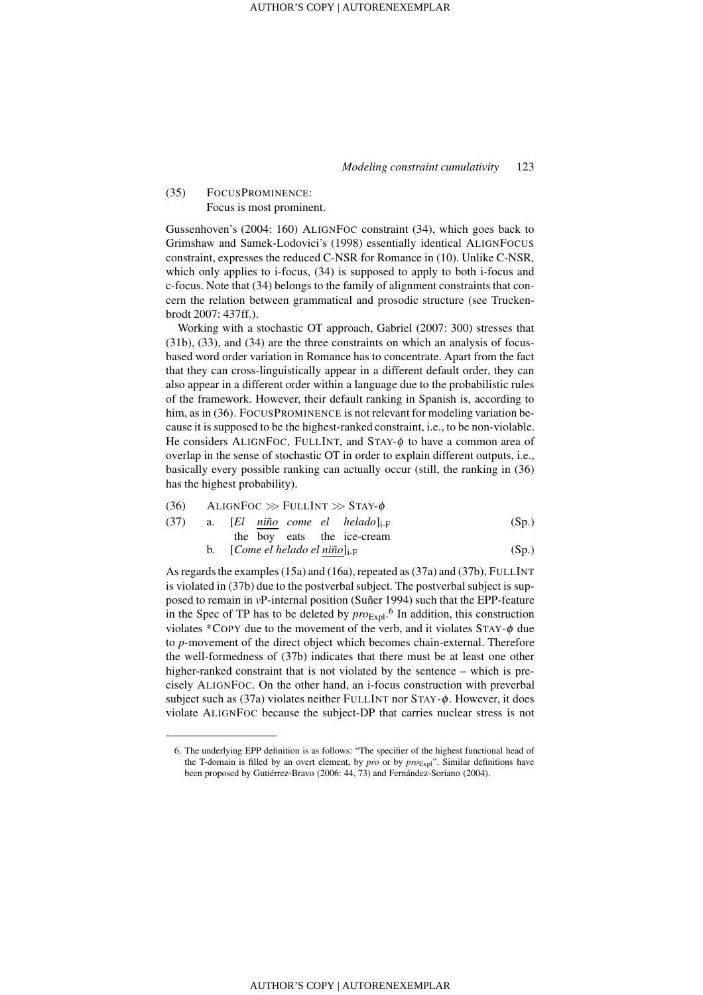# (35) FOCUSPROMINENCE: Focus is most prominent.

Gussenhoven's (2004: 160) ALIGNFOC constraint (34), which goes back to Grimshaw and Samek-Lodovici's (1998) essentially identical ALIGNFOCUS constraint, expresses the reduced C-NSR for Romance in (10). Unlike C-NSR, which only applies to i-focus,  $(34)$  is supposed to apply to both i-focus and c-focus. Note that (34) belongs to the family of alignment constraints that concern the relation between grammatical and prosodic structure (see Truckenbrodt 2007: 437ff.).

Working with a stochastic OT approach, Gabriel (2007: 300) stresses that (31b), (33), and (34) are the three constraints on which an analysis of focusbased word order variation in Romance has to concentrate. Apart from the fact that they can cross-linguistically appear in a different default order, they can also appear in a different order within a language due to the probabilistic rules of the framework. However, their default ranking in Spanish is, according to him, as in (36). FOCUSPROMINENCE is not relevant for modeling variation because it is supposed to be the highest-ranked constraint, i.e., to be non-violable. He considers ALIGNFOC, FULLINT, and STAY-φ to have a common area of overlap in the sense of stochastic OT in order to explain different outputs, i.e., basically every possible ranking can actually occur (still, the ranking in (36) has the highest probability).

| (36) |  | ALIGNFOC $\gg$ FULLINT $\gg$ STAY- $\phi$ |  |
|------|--|-------------------------------------------|--|
|------|--|-------------------------------------------|--|

|  |  |                                                     | (37) a. [El niño come el helado] <sub>i-F</sub> | (Sp.) |
|--|--|-----------------------------------------------------|-------------------------------------------------|-------|
|  |  |                                                     | the boy eats the ice-cream                      |       |
|  |  | b. [ <i>Come el helado el niño</i> ] <sub>i-F</sub> |                                                 | (Sp.) |

As regards the examples (15a) and (16a), repeated as (37a) and (37b), FULLINT is violated in (37b) due to the postverbal subject. The postverbal subject is supposed to remain in *v*P-internal position (Suñer 1994) such that the EPP-feature in the Spec of TP has to be deleted by  $pro_{\text{Expl}}$ .<sup>6</sup> In addition, this construction violates \*COPY due to the movement of the verb, and it violates STAY-φ due to *p*-movement of the direct object which becomes chain-external. Therefore the well-formedness of (37b) indicates that there must be at least one other higher-ranked constraint that is not violated by the sentence – which is precisely ALIGNFOC. On the other hand, an i-focus construction with preverbal subject such as (37a) violates neither FULLINT nor STAY-φ. However, it does violate ALIGNFOC because the subject-DP that carries nuclear stress is not

<sup>6.</sup> The underlying EPP definition is as follows: "The specifier of the highest functional head of the T-domain is filled by an overt element, by *pro* or by *pro*<sub>Expl</sub>". Similar definitions have been proposed by Gutiérrez-Bravo (2006: 44, 73) and Fernández-Soriano (2004).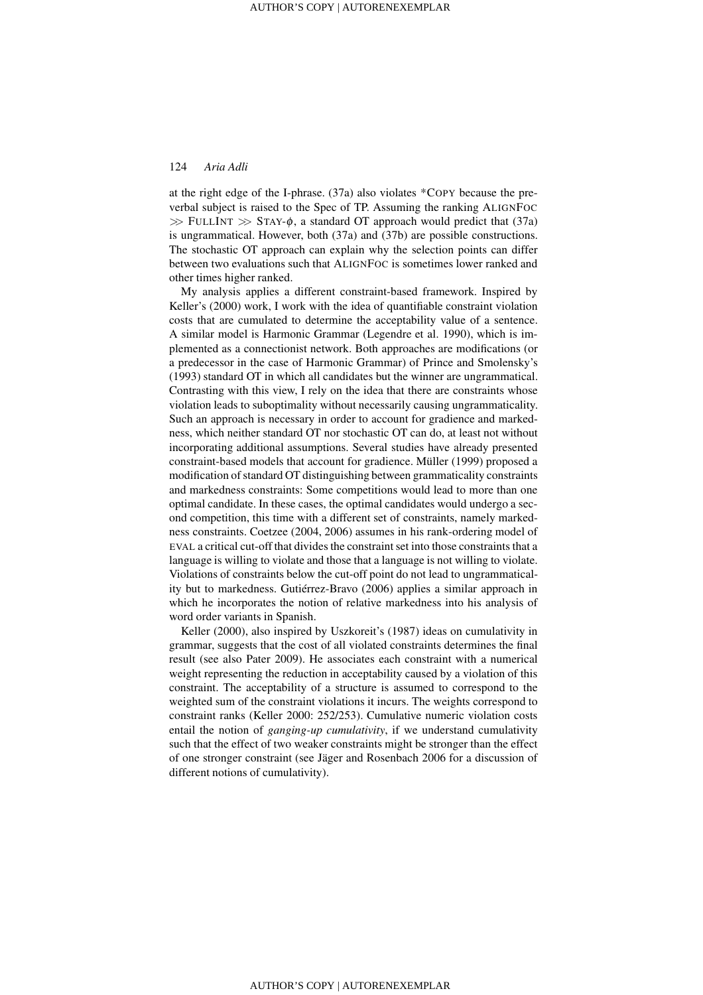at the right edge of the I-phrase. (37a) also violates \*COPY because the preverbal subject is raised to the Spec of TP. Assuming the ranking ALIGNFOC  $\gg$  FULLINT  $\gg$  STAY- $\phi$ , a standard OT approach would predict that (37a) is ungrammatical. However, both (37a) and (37b) are possible constructions. The stochastic OT approach can explain why the selection points can differ between two evaluations such that ALIGNFOC is sometimes lower ranked and other times higher ranked.

My analysis applies a different constraint-based framework. Inspired by Keller's (2000) work, I work with the idea of quantifiable constraint violation costs that are cumulated to determine the acceptability value of a sentence. A similar model is Harmonic Grammar (Legendre et al. 1990), which is implemented as a connectionist network. Both approaches are modifications (or a predecessor in the case of Harmonic Grammar) of Prince and Smolensky's (1993) standard OT in which all candidates but the winner are ungrammatical. Contrasting with this view, I rely on the idea that there are constraints whose violation leads to suboptimality without necessarily causing ungrammaticality. Such an approach is necessary in order to account for gradience and markedness, which neither standard OT nor stochastic OT can do, at least not without incorporating additional assumptions. Several studies have already presented constraint-based models that account for gradience. Müller (1999) proposed a modification of standard OT distinguishing between grammaticality constraints and markedness constraints: Some competitions would lead to more than one optimal candidate. In these cases, the optimal candidates would undergo a second competition, this time with a different set of constraints, namely markedness constraints. Coetzee (2004, 2006) assumes in his rank-ordering model of EVAL a critical cut-off that divides the constraint set into those constraints that a language is willing to violate and those that a language is not willing to violate. Violations of constraints below the cut-off point do not lead to ungrammaticality but to markedness. Gutiérrez-Bravo (2006) applies a similar approach in which he incorporates the notion of relative markedness into his analysis of word order variants in Spanish.

Keller (2000), also inspired by Uszkoreit's (1987) ideas on cumulativity in grammar, suggests that the cost of all violated constraints determines the final result (see also Pater 2009). He associates each constraint with a numerical weight representing the reduction in acceptability caused by a violation of this constraint. The acceptability of a structure is assumed to correspond to the weighted sum of the constraint violations it incurs. The weights correspond to constraint ranks (Keller 2000: 252/253). Cumulative numeric violation costs entail the notion of *ganging-up cumulativity*, if we understand cumulativity such that the effect of two weaker constraints might be stronger than the effect of one stronger constraint (see Jäger and Rosenbach 2006 for a discussion of different notions of cumulativity).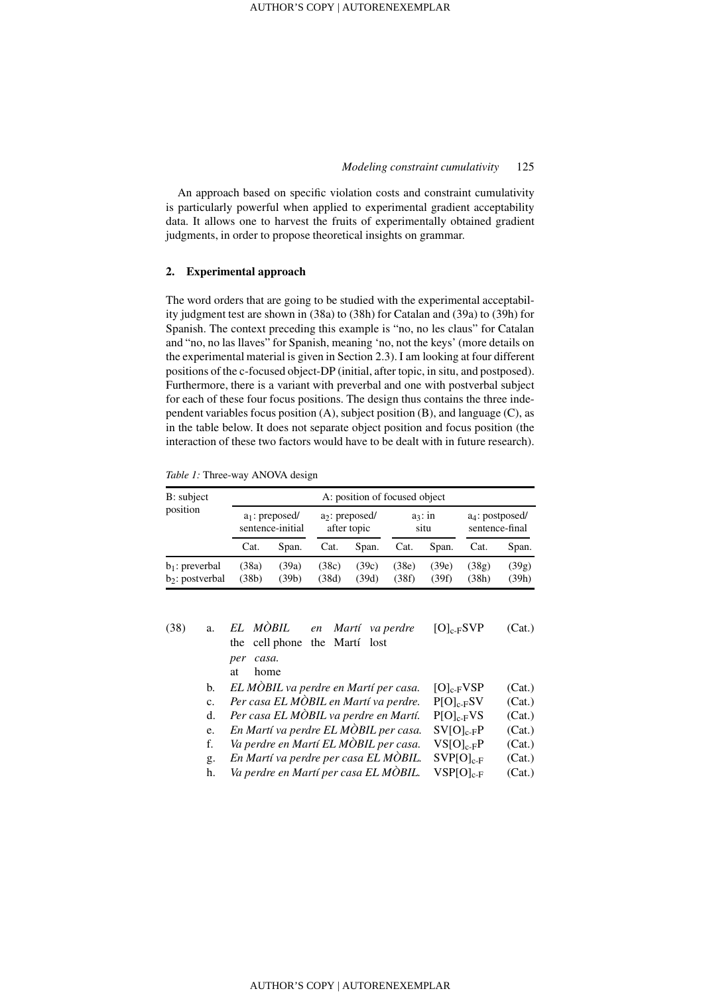An approach based on specific violation costs and constraint cumulativity is particularly powerful when applied to experimental gradient acceptability data. It allows one to harvest the fruits of experimentally obtained gradient judgments, in order to propose theoretical insights on grammar.

## **2. Experimental approach**

The word orders that are going to be studied with the experimental acceptability judgment test are shown in (38a) to (38h) for Catalan and (39a) to (39h) for Spanish. The context preceding this example is "no, no les claus" for Catalan and "no, no las llaves" for Spanish, meaning 'no, not the keys' (more details on the experimental material is given in Section 2.3). I am looking at four different positions of the c-focused object-DP (initial, after topic, in situ, and postposed). Furthermore, there is a variant with preverbal and one with postverbal subject for each of these four focus positions. The design thus contains the three independent variables focus position (A), subject position (B), and language (C), as in the table below. It does not separate object position and focus position (the interaction of these two factors would have to be dealt with in future research).

*Table 1:* Three-way ANOVA design

| B: subject                              |                |                                       |                | A: position of focused object    |                |                    |                                               |                |
|-----------------------------------------|----------------|---------------------------------------|----------------|----------------------------------|----------------|--------------------|-----------------------------------------------|----------------|
| position                                |                | $a_1$ : preposed/<br>sentence-initial |                | $a_2$ : preposed/<br>after topic |                | $a_3$ : 11<br>situ | a <sub>4</sub> : postposed/<br>sentence-final |                |
|                                         | Cat.           | Span.                                 | Cat.           | Span.                            | Cat.           | Span.              | Cat.                                          | Span.          |
| $b_1$ : preverbal<br>$b_2$ : postverbal | (38a)<br>(38b) | (39a)<br>(39b)                        | (38c)<br>(38d) | (39c)<br>(39d)                   | (38e)<br>(38f) | (39e)<br>(39f)     | (38g)<br>(38h)                                | (39g)<br>(39h) |

| (38) | a.             | EL MÒBIL<br>en Martí va perdre        | $[O]_{c-F}SVP$ | Cat.)  |
|------|----------------|---------------------------------------|----------------|--------|
|      |                | the cell phone the Martí lost         |                |        |
|      |                | casa.<br>per                          |                |        |
|      |                | home<br>at                            |                |        |
|      | b.             | EL MÒBIL va perdre en Martí per casa. | $[O]_{c-F}VSP$ | (Cat.) |
|      | $\mathbf{c}$ . | Per casa EL MÒBIL en Martí va perdre. | $P[O]_{c-F}SV$ | (Cat.) |
|      | d.             | Per casa EL MÒBIL va perdre en Martí. | $P[O]_{c-F}VS$ | (Cat.) |
|      | e.             | En Martí va perdre EL MÒBIL per casa. | $SV[O]_{c-F}P$ | (Cat.) |
|      | f.             | Va perdre en Martí EL MÒBIL per casa. | $VSIO]_{c-F}P$ | (Cat.) |
|      | g.             | En Martí va perdre per casa EL MÒBIL. | $SVP[O]_{c-F}$ | (Cat.) |
|      | h.             | Va perdre en Martí per casa EL MÒBIL. | $VSP[O]_{c-F}$ | (Cat.) |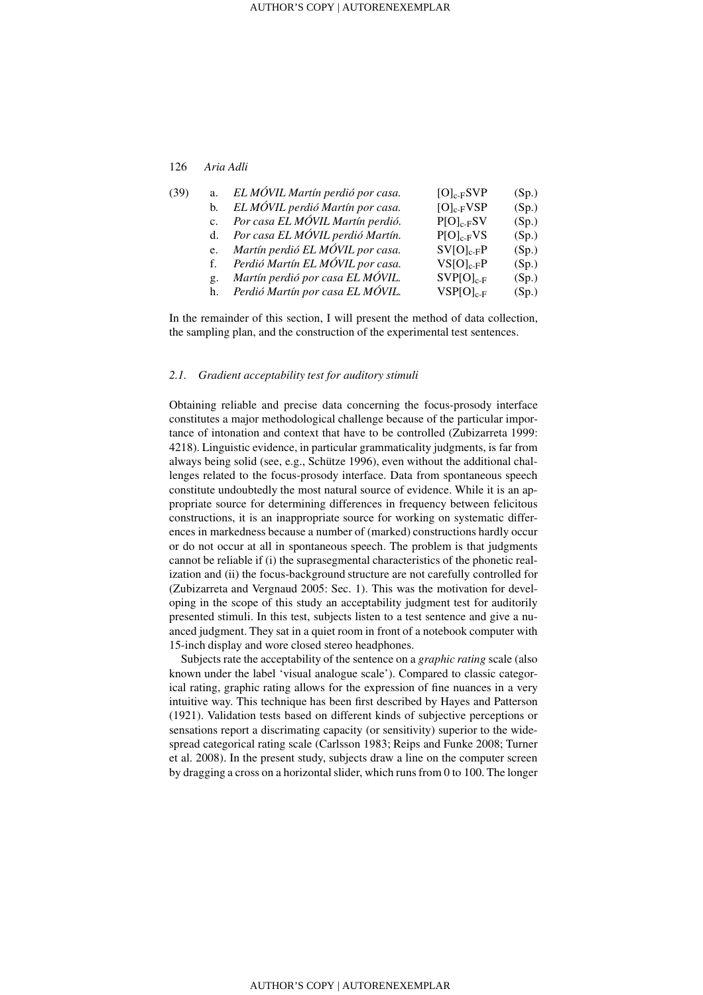| (39) | a.             | EL MÓVIL Martín perdió por casa. | $[O]_{c-F}SVP$ | (Sp.) |
|------|----------------|----------------------------------|----------------|-------|
|      | $\mathbf{b}$ . | EL MÓVIL perdió Martín por casa. | $[O]_{c-F}VSP$ | (Sp.) |
|      | C <sub>1</sub> | Por casa EL MÓVIL Martín perdió. | $P[O]_{c-F}SV$ | (Sp.) |
|      | d.             | Por casa EL MÓVIL perdió Martín. | $P[O]_{c-F}VS$ | (Sp.) |
|      | e.             | Martín perdió EL MÓVIL por casa. | $SV[O]_{c-F}P$ | (Sp.) |
|      | f.             | Perdió Martín EL MÓVIL por casa. | $VS[O]_{c-F}P$ | (Sp.) |
|      | g.             | Martín perdió por casa EL MÓVIL. | $SVP[O]_{c-F}$ | (Sp.) |
|      | h.             | Perdió Martín por casa EL MÓVIL. | $VSP[O]_{c-F}$ | (Sp.) |
|      |                |                                  |                |       |

In the remainder of this section, I will present the method of data collection, the sampling plan, and the construction of the experimental test sentences.

#### *2.1. Gradient acceptability test for auditory stimuli*

Obtaining reliable and precise data concerning the focus-prosody interface constitutes a major methodological challenge because of the particular importance of intonation and context that have to be controlled (Zubizarreta 1999: 4218). Linguistic evidence, in particular grammaticality judgments, is far from always being solid (see, e.g., Schütze 1996), even without the additional challenges related to the focus-prosody interface. Data from spontaneous speech constitute undoubtedly the most natural source of evidence. While it is an appropriate source for determining differences in frequency between felicitous constructions, it is an inappropriate source for working on systematic differences in markedness because a number of (marked) constructions hardly occur or do not occur at all in spontaneous speech. The problem is that judgments cannot be reliable if (i) the suprasegmental characteristics of the phonetic realization and (ii) the focus-background structure are not carefully controlled for (Zubizarreta and Vergnaud 2005: Sec. 1). This was the motivation for developing in the scope of this study an acceptability judgment test for auditorily presented stimuli. In this test, subjects listen to a test sentence and give a nuanced judgment. They sat in a quiet room in front of a notebook computer with 15-inch display and wore closed stereo headphones.

Subjects rate the acceptability of the sentence on a *graphic rating* scale (also known under the label 'visual analogue scale'). Compared to classic categorical rating, graphic rating allows for the expression of fine nuances in a very intuitive way. This technique has been first described by Hayes and Patterson (1921). Validation tests based on different kinds of subjective perceptions or sensations report a discrimating capacity (or sensitivity) superior to the widespread categorical rating scale (Carlsson 1983; Reips and Funke 2008; Turner et al. 2008). In the present study, subjects draw a line on the computer screen by dragging a cross on a horizontal slider, which runs from 0 to 100. The longer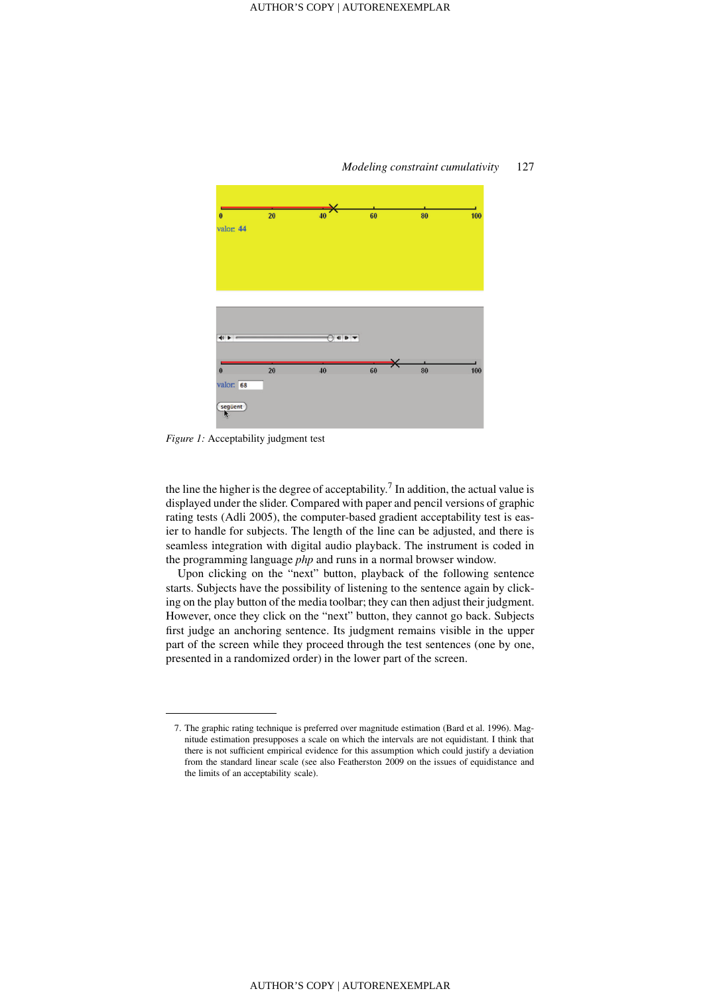

*Figure 1:* Acceptability judgment test

the line the higher is the degree of acceptability.<sup>7</sup> In addition, the actual value is displayed under the slider. Compared with paper and pencil versions of graphic rating tests (Adli 2005), the computer-based gradient acceptability test is easier to handle for subjects. The length of the line can be adjusted, and there is seamless integration with digital audio playback. The instrument is coded in the programming language *php* and runs in a normal browser window.

Upon clicking on the "next" button, playback of the following sentence starts. Subjects have the possibility of listening to the sentence again by clicking on the play button of the media toolbar; they can then adjust their judgment. However, once they click on the "next" button, they cannot go back. Subjects first judge an anchoring sentence. Its judgment remains visible in the upper part of the screen while they proceed through the test sentences (one by one, presented in a randomized order) in the lower part of the screen.

<sup>7.</sup> The graphic rating technique is preferred over magnitude estimation (Bard et al. 1996). Magnitude estimation presupposes a scale on which the intervals are not equidistant. I think that there is not sufficient empirical evidence for this assumption which could justify a deviation from the standard linear scale (see also Featherston 2009 on the issues of equidistance and the limits of an acceptability scale).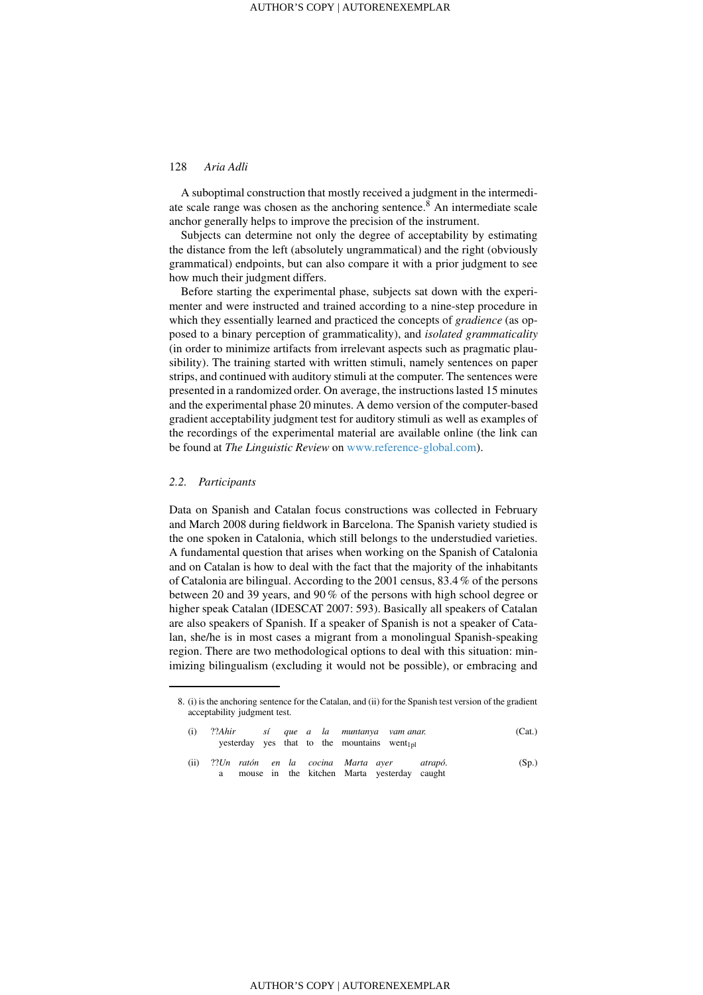A suboptimal construction that mostly received a judgment in the intermediate scale range was chosen as the anchoring sentence.<sup>8</sup> An intermediate scale anchor generally helps to improve the precision of the instrument.

Subjects can determine not only the degree of acceptability by estimating the distance from the left (absolutely ungrammatical) and the right (obviously grammatical) endpoints, but can also compare it with a prior judgment to see how much their judgment differs.

Before starting the experimental phase, subjects sat down with the experimenter and were instructed and trained according to a nine-step procedure in which they essentially learned and practiced the concepts of *gradience* (as opposed to a binary perception of grammaticality), and *isolated grammaticality* (in order to minimize artifacts from irrelevant aspects such as pragmatic plausibility). The training started with written stimuli, namely sentences on paper strips, and continued with auditory stimuli at the computer. The sentences were presented in a randomized order. On average, the instructions lasted 15 minutes and the experimental phase 20 minutes. A demo version of the computer-based gradient acceptability judgment test for auditory stimuli as well as examples of the recordings of the experimental material are available online (the link can be found at *The Linguistic Review* on [www.reference-global.com\)](www.reference-global.com).

#### *2.2. Participants*

Data on Spanish and Catalan focus constructions was collected in February and March 2008 during fieldwork in Barcelona. The Spanish variety studied is the one spoken in Catalonia, which still belongs to the understudied varieties. A fundamental question that arises when working on the Spanish of Catalonia and on Catalan is how to deal with the fact that the majority of the inhabitants of Catalonia are bilingual. According to the 2001 census, 83.4 % of the persons between 20 and 39 years, and 90 % of the persons with high school degree or higher speak Catalan (IDESCAT 2007: 593). Basically all speakers of Catalan are also speakers of Spanish. If a speaker of Spanish is not a speaker of Catalan, she/he is in most cases a migrant from a monolingual Spanish-speaking region. There are two methodological options to deal with this situation: minimizing bilingualism (excluding it would not be possible), or embracing and

<sup>8. (</sup>i) is the anchoring sentence for the Catalan, and (ii) for the Spanish test version of the gradient acceptability judgment test.

<sup>(</sup>i)  $?? Ahir$  *st que a la muntanya vam anar.* (Cat.) yesterday yes that to the mountains went<sub>1pl</sub> *sí*

<sup>(</sup>ii) ??*Un ratón en la cocina Marta ayer atrapó.* (Sp.) a mouse in the kitchen Marta yesterday caught *en la cocina Marta ayer atrapó.*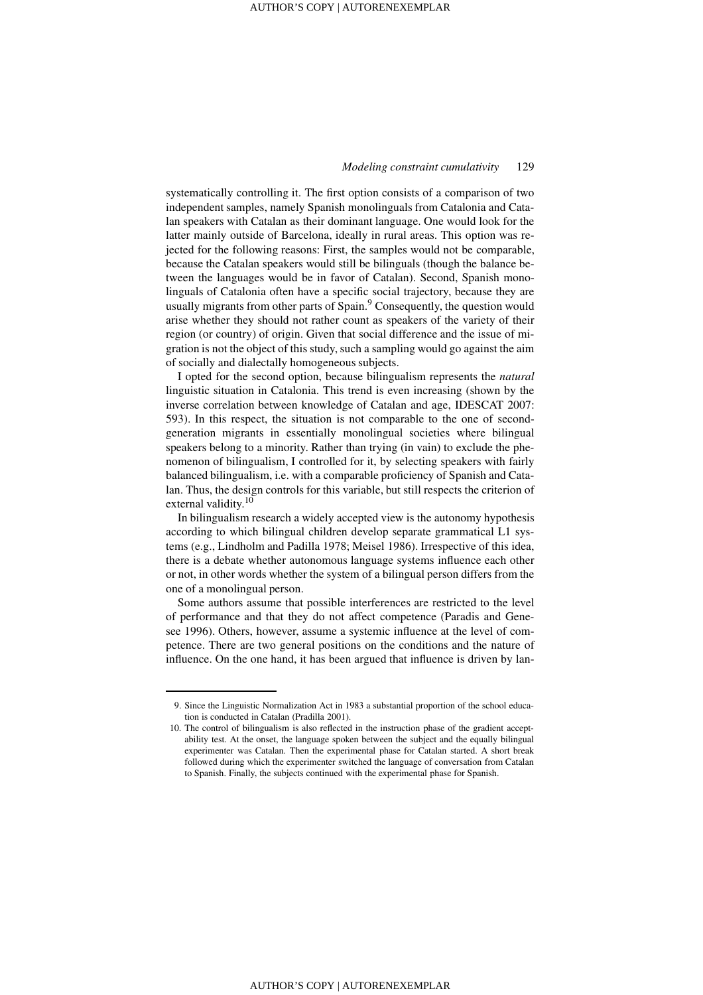systematically controlling it. The first option consists of a comparison of two independent samples, namely Spanish monolinguals from Catalonia and Catalan speakers with Catalan as their dominant language. One would look for the latter mainly outside of Barcelona, ideally in rural areas. This option was rejected for the following reasons: First, the samples would not be comparable, because the Catalan speakers would still be bilinguals (though the balance between the languages would be in favor of Catalan). Second, Spanish monolinguals of Catalonia often have a specific social trajectory, because they are usually migrants from other parts of Spain.<sup>9</sup> Consequently, the question would arise whether they should not rather count as speakers of the variety of their region (or country) of origin. Given that social difference and the issue of migration is not the object of this study, such a sampling would go against the aim of socially and dialectally homogeneous subjects.

I opted for the second option, because bilingualism represents the *natural* linguistic situation in Catalonia. This trend is even increasing (shown by the inverse correlation between knowledge of Catalan and age, IDESCAT 2007: 593). In this respect, the situation is not comparable to the one of secondgeneration migrants in essentially monolingual societies where bilingual speakers belong to a minority. Rather than trying (in vain) to exclude the phenomenon of bilingualism, I controlled for it, by selecting speakers with fairly balanced bilingualism, i.e. with a comparable proficiency of Spanish and Catalan. Thus, the design controls for this variable, but still respects the criterion of external validity.<sup>10</sup>

In bilingualism research a widely accepted view is the autonomy hypothesis according to which bilingual children develop separate grammatical L1 systems (e.g., Lindholm and Padilla 1978; Meisel 1986). Irrespective of this idea, there is a debate whether autonomous language systems influence each other or not, in other words whether the system of a bilingual person differs from the one of a monolingual person.

Some authors assume that possible interferences are restricted to the level of performance and that they do not affect competence (Paradis and Genesee 1996). Others, however, assume a systemic influence at the level of competence. There are two general positions on the conditions and the nature of influence. On the one hand, it has been argued that influence is driven by lan-

<sup>9.</sup> Since the Linguistic Normalization Act in 1983 a substantial proportion of the school education is conducted in Catalan (Pradilla 2001).

<sup>10.</sup> The control of bilingualism is also reflected in the instruction phase of the gradient acceptability test. At the onset, the language spoken between the subject and the equally bilingual experimenter was Catalan. Then the experimental phase for Catalan started. A short break followed during which the experimenter switched the language of conversation from Catalan to Spanish. Finally, the subjects continued with the experimental phase for Spanish.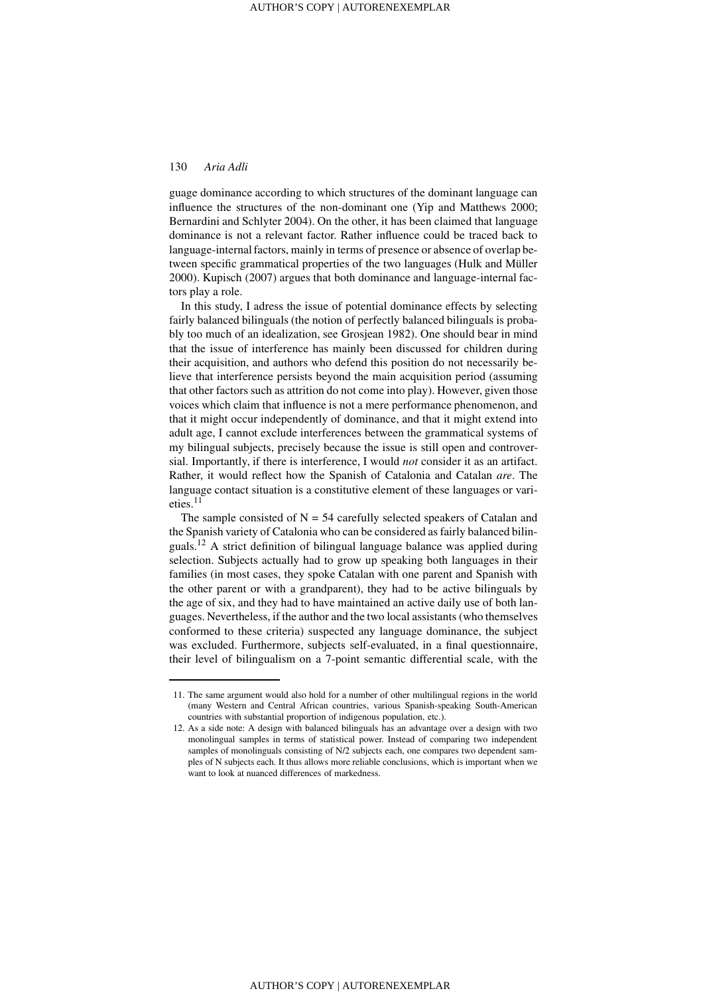guage dominance according to which structures of the dominant language can influence the structures of the non-dominant one (Yip and Matthews 2000; Bernardini and Schlyter 2004). On the other, it has been claimed that language dominance is not a relevant factor. Rather influence could be traced back to language-internal factors, mainly in terms of presence or absence of overlap between specific grammatical properties of the two languages (Hulk and Müller 2000). Kupisch (2007) argues that both dominance and language-internal factors play a role.

In this study, I adress the issue of potential dominance effects by selecting fairly balanced bilinguals (the notion of perfectly balanced bilinguals is probably too much of an idealization, see Grosjean 1982). One should bear in mind that the issue of interference has mainly been discussed for children during their acquisition, and authors who defend this position do not necessarily believe that interference persists beyond the main acquisition period (assuming that other factors such as attrition do not come into play). However, given those voices which claim that influence is not a mere performance phenomenon, and that it might occur independently of dominance, and that it might extend into adult age, I cannot exclude interferences between the grammatical systems of my bilingual subjects, precisely because the issue is still open and controversial. Importantly, if there is interference, I would *not* consider it as an artifact. Rather, it would reflect how the Spanish of Catalonia and Catalan *are*. The language contact situation is a constitutive element of these languages or varieties.<sup>11</sup>

The sample consisted of  $N = 54$  carefully selected speakers of Catalan and the Spanish variety of Catalonia who can be considered as fairly balanced bilinguals.<sup>12</sup> A strict definition of bilingual language balance was applied during selection. Subjects actually had to grow up speaking both languages in their families (in most cases, they spoke Catalan with one parent and Spanish with the other parent or with a grandparent), they had to be active bilinguals by the age of six, and they had to have maintained an active daily use of both languages. Nevertheless, if the author and the two local assistants (who themselves conformed to these criteria) suspected any language dominance, the subject was excluded. Furthermore, subjects self-evaluated, in a final questionnaire, their level of bilingualism on a 7-point semantic differential scale, with the

<sup>11.</sup> The same argument would also hold for a number of other multilingual regions in the world (many Western and Central African countries, various Spanish-speaking South-American countries with substantial proportion of indigenous population, etc.).

<sup>12.</sup> As a side note: A design with balanced bilinguals has an advantage over a design with two monolingual samples in terms of statistical power. Instead of comparing two independent samples of monolinguals consisting of N/2 subjects each, one compares two dependent samples of N subjects each. It thus allows more reliable conclusions, which is important when we want to look at nuanced differences of markedness.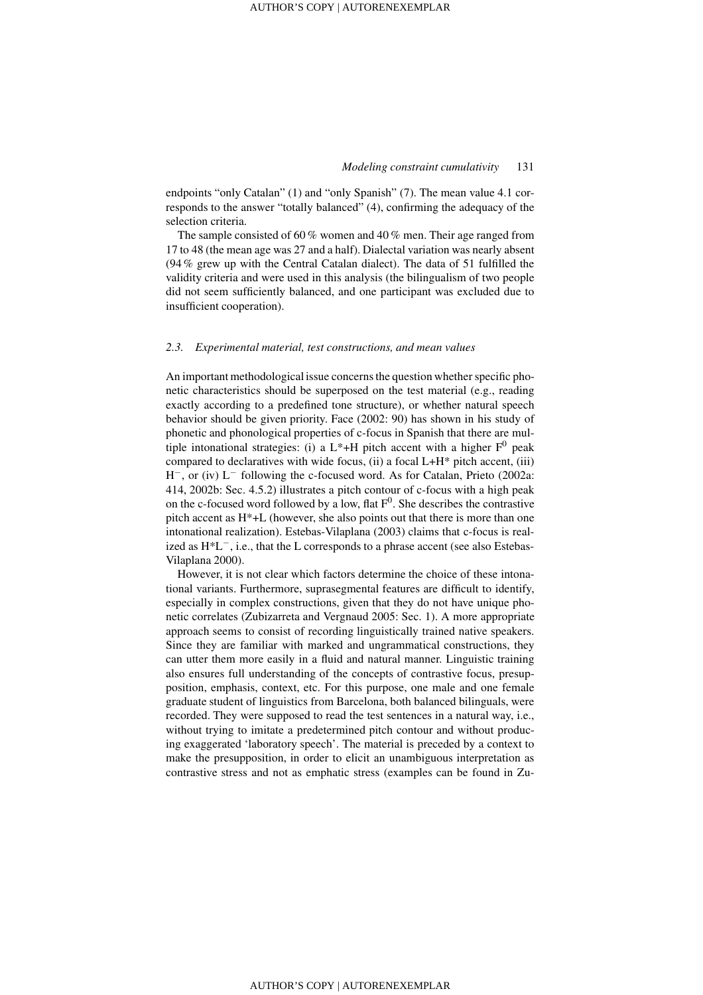endpoints "only Catalan" (1) and "only Spanish" (7). The mean value 4.1 corresponds to the answer "totally balanced" (4), confirming the adequacy of the selection criteria.

The sample consisted of 60 % women and 40 % men. Their age ranged from 17 to 48 (the mean age was 27 and a half). Dialectal variation was nearly absent (94 % grew up with the Central Catalan dialect). The data of 51 fulfilled the validity criteria and were used in this analysis (the bilingualism of two people did not seem sufficiently balanced, and one participant was excluded due to insufficient cooperation).

#### *2.3. Experimental material, test constructions, and mean values*

An important methodological issue concerns the question whether specific phonetic characteristics should be superposed on the test material (e.g., reading exactly according to a predefined tone structure), or whether natural speech behavior should be given priority. Face (2002: 90) has shown in his study of phonetic and phonological properties of c-focus in Spanish that there are multiple intonational strategies: (i) a  $L^*$ +H pitch accent with a higher  $F^0$  peak compared to declaratives with wide focus, (ii) a focal  $L+H^*$  pitch accent, (iii) H−, or (iv) L<sup>−</sup> following the c-focused word. As for Catalan, Prieto (2002a: 414, 2002b: Sec. 4.5.2) illustrates a pitch contour of c-focus with a high peak on the c-focused word followed by a low, flat  $F^0$ . She describes the contrastive pitch accent as H\*+L (however, she also points out that there is more than one intonational realization). Estebas-Vilaplana (2003) claims that c-focus is realized as H\*L−, i.e., that the L corresponds to a phrase accent (see also Estebas-Vilaplana 2000).

However, it is not clear which factors determine the choice of these intonational variants. Furthermore, suprasegmental features are difficult to identify, especially in complex constructions, given that they do not have unique phonetic correlates (Zubizarreta and Vergnaud 2005: Sec. 1). A more appropriate approach seems to consist of recording linguistically trained native speakers. Since they are familiar with marked and ungrammatical constructions, they can utter them more easily in a fluid and natural manner. Linguistic training also ensures full understanding of the concepts of contrastive focus, presupposition, emphasis, context, etc. For this purpose, one male and one female graduate student of linguistics from Barcelona, both balanced bilinguals, were recorded. They were supposed to read the test sentences in a natural way, i.e., without trying to imitate a predetermined pitch contour and without producing exaggerated 'laboratory speech'. The material is preceded by a context to make the presupposition, in order to elicit an unambiguous interpretation as contrastive stress and not as emphatic stress (examples can be found in Zu-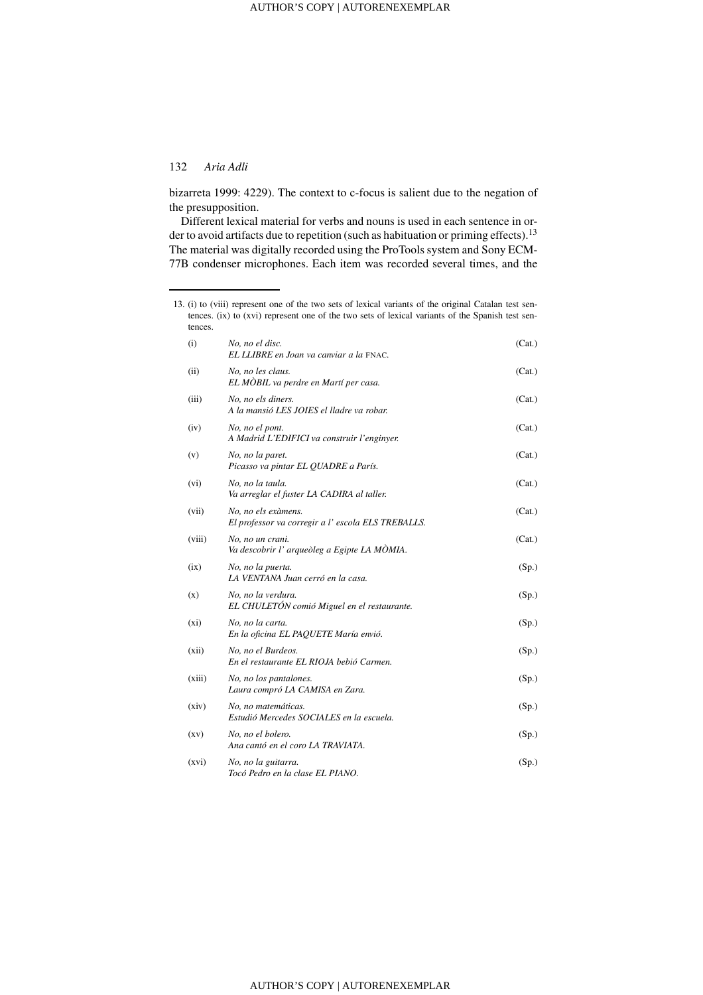bizarreta 1999: 4229). The context to c-focus is salient due to the negation of the presupposition.

Different lexical material for verbs and nouns is used in each sentence in order to avoid artifacts due to repetition (such as habituation or priming effects).<sup>13</sup> The material was digitally recorded using the ProTools system and Sony ECM-77B condenser microphones. Each item was recorded several times, and the

13. (i) to (viii) represent one of the two sets of lexical variants of the original Catalan test sentences. (ix) to (xvi) represent one of the two sets of lexical variants of the Spanish test sentences.

| (i)     | No, no el disc.<br>EL LLIBRE en Joan va canviar a la FNAC.               | (Cat.) |
|---------|--------------------------------------------------------------------------|--------|
| (ii)    | No, no les claus.<br>EL MÓBIL va perdre en Martí per casa.               | (Cat.) |
| (iii)   | No, no els diners.<br>A la mansió LES JOIES el lladre va robar.          | (Cat.) |
| (iv)    | No, no el pont.<br>A Madrid L'EDIFICI va construir l'enginyer.           | (Cat.) |
| (v)     | No, no la paret.<br>Picasso va pintar EL QUADRE a París.                 | (Cat.) |
| (vi)    | No, no la taula.<br>Va arreglar el fuster LA CADIRA al taller.           | (Cat.) |
| (vii)   | No, no els exàmens.<br>El professor va corregir a l'escola ELS TREBALLS. | (Cat.) |
| (viii)  | No, no un crani.<br>Va descobrir l'arqueòleg a Egipte LA MOMIA.          | (Cat.) |
| (ix)    | No, no la puerta.<br>LA VENTANA Juan cerró en la casa.                   | (Sp.)  |
| (x)     | No, no la verdura.<br>EL CHULETÓN comió Miguel en el restaurante.        | (Sp.)  |
| $(x_i)$ | No, no la carta.<br>En la oficina EL PAQUETE María envió.                | (Sp.)  |
| (xii)   | No, no el Burdeos.<br>En el restaurante EL RIOJA bebió Carmen.           | (Sp.)  |
| (xiii)  | No, no los pantalones.<br>Laura compró LA CAMISA en Zara.                | (Sp.)  |
| (xiv)   | No, no matemáticas.<br>Estudió Mercedes SOCIALES en la escuela.          | (Sp.)  |
| (xv)    | No, no el bolero.<br>Ana cantó en el coro LA TRAVIATA.                   | (Sp.)  |
| (xvi)   | No, no la guitarra.<br>Tocó Pedro en la clase EL PIANO.                  | (Sp.)  |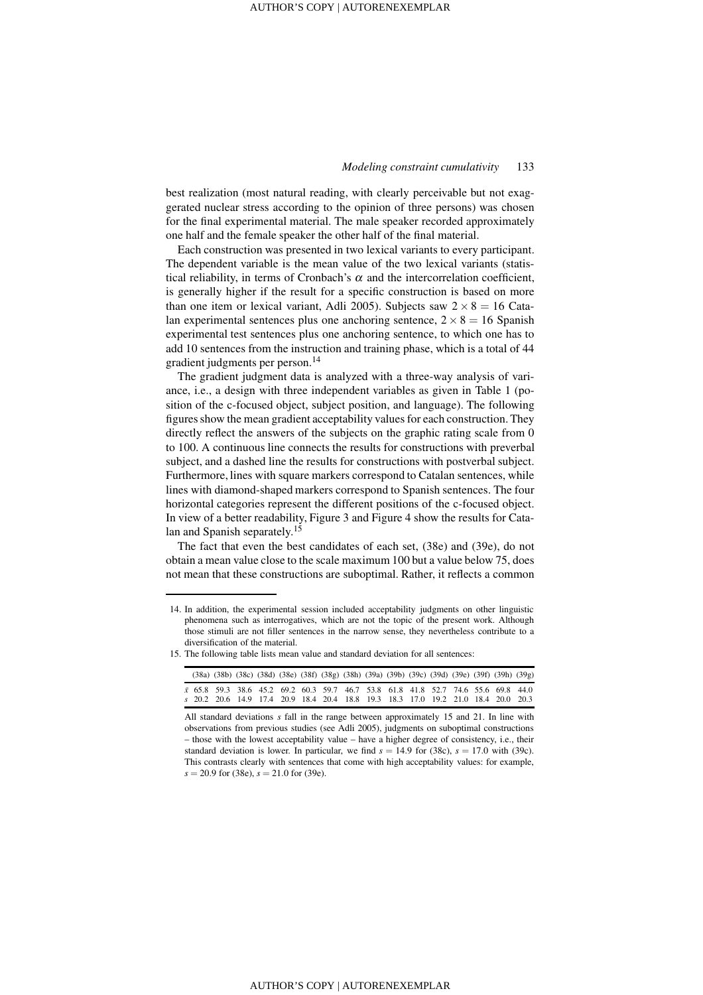best realization (most natural reading, with clearly perceivable but not exaggerated nuclear stress according to the opinion of three persons) was chosen for the final experimental material. The male speaker recorded approximately one half and the female speaker the other half of the final material.

Each construction was presented in two lexical variants to every participant. The dependent variable is the mean value of the two lexical variants (statistical reliability, in terms of Cronbach's  $\alpha$  and the intercorrelation coefficient, is generally higher if the result for a specific construction is based on more than one item or lexical variant, Adli 2005). Subjects saw  $2 \times 8 = 16$  Catalan experimental sentences plus one anchoring sentence,  $2 \times 8 = 16$  Spanish experimental test sentences plus one anchoring sentence, to which one has to add 10 sentences from the instruction and training phase, which is a total of 44 gradient judgments per person.<sup>14</sup>

The gradient judgment data is analyzed with a three-way analysis of variance, i.e., a design with three independent variables as given in Table 1 (position of the c-focused object, subject position, and language). The following figures show the mean gradient acceptability values for each construction. They directly reflect the answers of the subjects on the graphic rating scale from 0 to 100. A continuous line connects the results for constructions with preverbal subject, and a dashed line the results for constructions with postverbal subject. Furthermore, lines with square markers correspond to Catalan sentences, while lines with diamond-shaped markers correspond to Spanish sentences. The four horizontal categories represent the different positions of the c-focused object. In view of a better readability, Figure 3 and Figure 4 show the results for Catalan and Spanish separately.<sup>15</sup>

The fact that even the best candidates of each set, (38e) and (39e), do not obtain a mean value close to the scale maximum 100 but a value below 75, does not mean that these constructions are suboptimal. Rather, it reflects a common

<sup>15.</sup> The following table lists mean value and standard deviation for all sentences:

|  |  |  |  |  |  |  | (38a) (38b) (38c) (38d) (38e) (38f) (38g) (38h) (39a) (39b) (39c) (39d) (39e) (39f) (39h) (39g) |  |
|--|--|--|--|--|--|--|-------------------------------------------------------------------------------------------------|--|
|  |  |  |  |  |  |  | $\bar{x}$ 65.8 59.3 38.6 45.2 69.2 60.3 59.7 46.7 53.8 61.8 41.8 52.7 74.6 55.6 69.8 44.0       |  |
|  |  |  |  |  |  |  | s 20.2 20.6 14.9 17.4 20.9 18.4 20.4 18.8 19.3 18.3 17.0 19.2 21.0 18.4 20.0 20.3               |  |

All standard deviations *s* fall in the range between approximately 15 and 21. In line with observations from previous studies (see Adli 2005), judgments on suboptimal constructions – those with the lowest acceptability value – have a higher degree of consistency, i.e., their standard deviation is lower. In particular, we find  $s = 14.9$  for (38c),  $s = 17.0$  with (39c). This contrasts clearly with sentences that come with high acceptability values: for example,  $s = 20.9$  for (38e),  $s = 21.0$  for (39e).

<sup>14.</sup> In addition, the experimental session included acceptability judgments on other linguistic phenomena such as interrogatives, which are not the topic of the present work. Although those stimuli are not filler sentences in the narrow sense, they nevertheless contribute to a diversification of the material.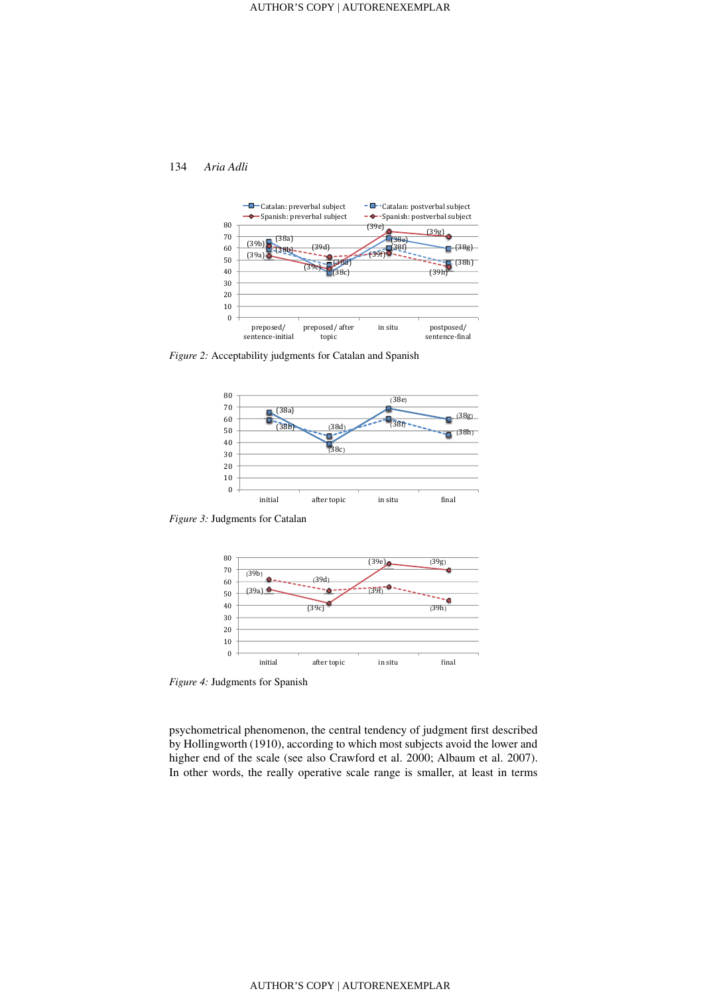



*Figure 2:* Acceptability judgments for Catalan and Spanish



*Figure 3:* Judgments for Catalan



*Figure 4:* Judgments for Spanish

psychometrical phenomenon, the central tendency of judgment first described by Hollingworth (1910), according to which most subjects avoid the lower and higher end of the scale (see also Crawford et al. 2000; Albaum et al. 2007). In other words, the really operative scale range is smaller, at least in terms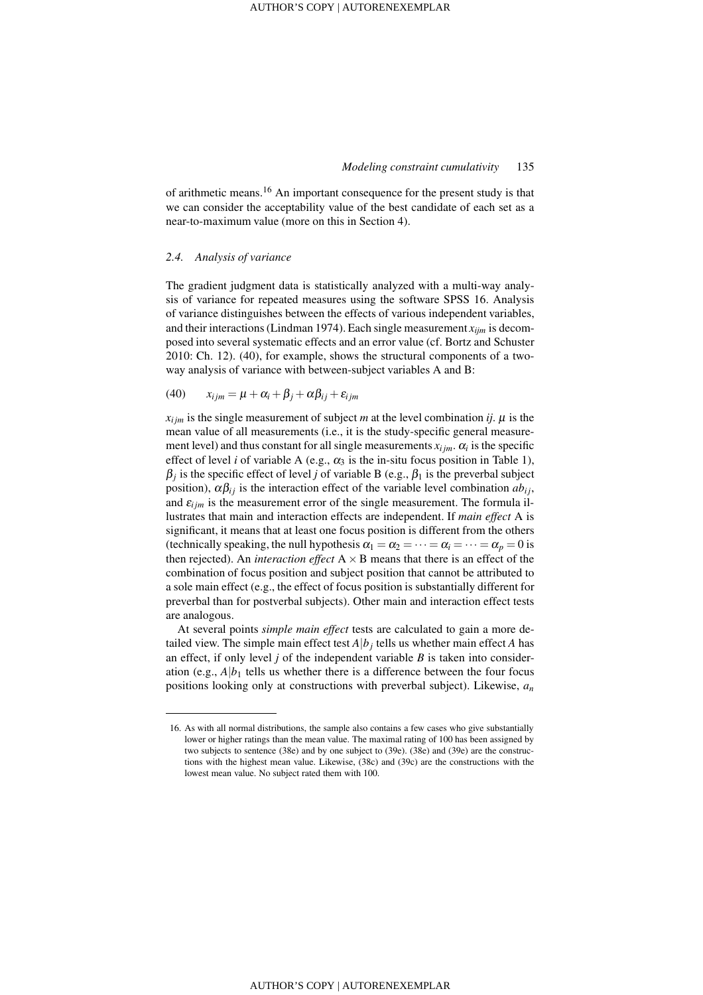of arithmetic means.<sup>16</sup> An important consequence for the present study is that we can consider the acceptability value of the best candidate of each set as a near-to-maximum value (more on this in Section 4).

#### *2.4. Analysis of variance*

The gradient judgment data is statistically analyzed with a multi-way analysis of variance for repeated measures using the software SPSS 16. Analysis of variance distinguishes between the effects of various independent variables, and their interactions (Lindman 1974). Each single measurement  $x_{ijm}$  is decomposed into several systematic effects and an error value (cf. Bortz and Schuster 2010: Ch. 12). (40), for example, shows the structural components of a twoway analysis of variance with between-subject variables A and B:

$$
(40) \qquad x_{ijm} = \mu + \alpha_i + \beta_j + \alpha \beta_{ij} + \varepsilon_{ijm}
$$

 $x_{i,jm}$  is the single measurement of subject *m* at the level combination *ij*.  $\mu$  is the mean value of all measurements (i.e., it is the study-specific general measurement level) and thus constant for all single measurements  $x_{ijm}$ .  $\alpha_i$  is the specific effect of level *i* of variable A (e.g.,  $\alpha_3$  is the in-situ focus position in Table 1),  $\beta_i$  is the specific effect of level *j* of variable B (e.g.,  $\beta_1$  is the preverbal subject position),  $\alpha \beta_{ij}$  is the interaction effect of the variable level combination  $ab_{ij}$ , and  $\varepsilon_{ijm}$  is the measurement error of the single measurement. The formula illustrates that main and interaction effects are independent. If *main effect* A is significant, it means that at least one focus position is different from the others (technically speaking, the null hypothesis  $\alpha_1 = \alpha_2 = \cdots = \alpha_i = \cdots = \alpha_p = 0$  is then rejected). An *interaction effect*  $A \times B$  means that there is an effect of the combination of focus position and subject position that cannot be attributed to a sole main effect (e.g., the effect of focus position is substantially different for preverbal than for postverbal subjects). Other main and interaction effect tests are analogous.

At several points *simple main effect* tests are calculated to gain a more detailed view. The simple main effect test  $A|b_j$  tells us whether main effect A has an effect, if only level *j* of the independent variable *B* is taken into consideration (e.g.,  $A|b_1$  tells us whether there is a difference between the four focus positions looking only at constructions with preverbal subject). Likewise, *an*

<sup>16.</sup> As with all normal distributions, the sample also contains a few cases who give substantially lower or higher ratings than the mean value. The maximal rating of 100 has been assigned by two subjects to sentence (38e) and by one subject to (39e). (38e) and (39e) are the constructions with the highest mean value. Likewise, (38c) and (39c) are the constructions with the lowest mean value. No subject rated them with 100.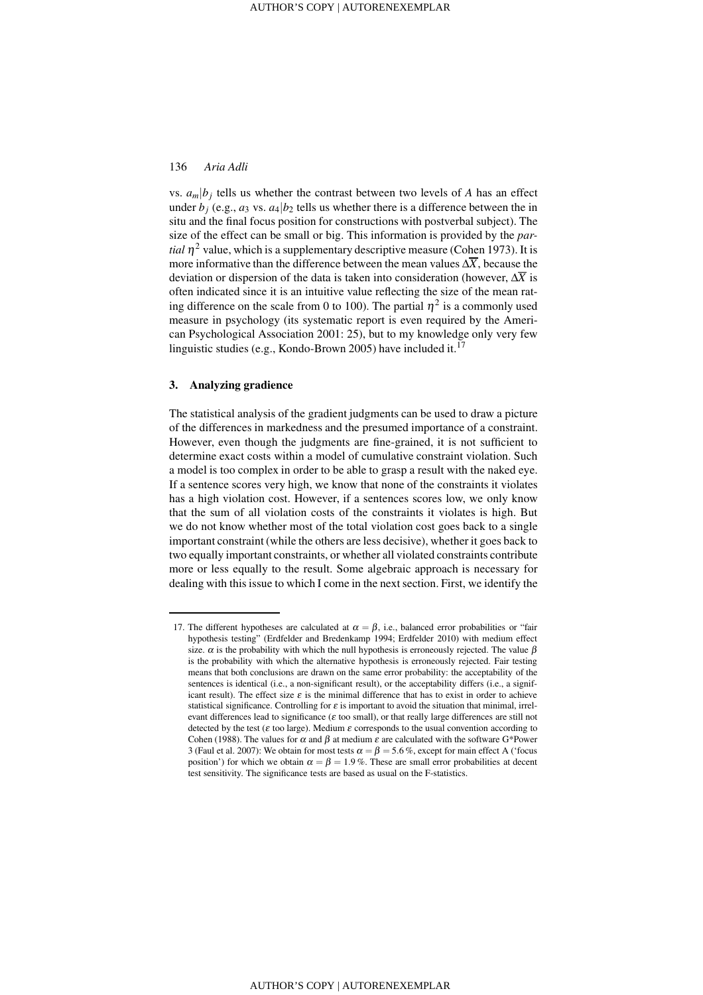vs.  $a_m|b_j$  tells us whether the contrast between two levels of *A* has an effect under  $b_j$  (e.g.,  $a_3$  vs.  $a_4|b_2$  tells us whether there is a difference between the in situ and the final focus position for constructions with postverbal subject). The size of the effect can be small or big. This information is provided by the *partial*  $\eta^2$  value, which is a supplementary descriptive measure (Cohen 1973). It is more informative than the difference between the mean values  $\Delta \overline{X}$ , because the deviation or dispersion of the data is taken into consideration (however,  $\Delta \overline{X}$  is often indicated since it is an intuitive value reflecting the size of the mean rating difference on the scale from 0 to 100). The partial  $\eta^2$  is a commonly used measure in psychology (its systematic report is even required by the American Psychological Association 2001: 25), but to my knowledge only very few linguistic studies (e.g., Kondo-Brown 2005) have included it.<sup>17</sup>

#### **3. Analyzing gradience**

The statistical analysis of the gradient judgments can be used to draw a picture of the differences in markedness and the presumed importance of a constraint. However, even though the judgments are fine-grained, it is not sufficient to determine exact costs within a model of cumulative constraint violation. Such a model is too complex in order to be able to grasp a result with the naked eye. If a sentence scores very high, we know that none of the constraints it violates has a high violation cost. However, if a sentences scores low, we only know that the sum of all violation costs of the constraints it violates is high. But we do not know whether most of the total violation cost goes back to a single important constraint (while the others are less decisive), whether it goes back to two equally important constraints, or whether all violated constraints contribute more or less equally to the result. Some algebraic approach is necessary for dealing with this issue to which I come in the next section. First, we identify the

<sup>17.</sup> The different hypotheses are calculated at  $\alpha = \beta$ , i.e., balanced error probabilities or "fair hypothesis testing" (Erdfelder and Bredenkamp 1994; Erdfelder 2010) with medium effect size.  $\alpha$  is the probability with which the null hypothesis is erroneously rejected. The value  $\beta$ is the probability with which the alternative hypothesis is erroneously rejected. Fair testing means that both conclusions are drawn on the same error probability: the acceptability of the sentences is identical (i.e., a non-significant result), or the acceptability differs (i.e., a significant result). The effect size  $\varepsilon$  is the minimal difference that has to exist in order to achieve statistical significance. Controlling for  $\varepsilon$  is important to avoid the situation that minimal, irrelevant differences lead to significance (<sup>ε</sup> too small), or that really large differences are still not detected by the test ( $\varepsilon$  too large). Medium  $\varepsilon$  corresponds to the usual convention according to Cohen (1988). The values for  $\alpha$  and  $\beta$  at medium  $\varepsilon$  are calculated with the software G\*Power 3 (Faul et al. 2007): We obtain for most tests  $\alpha = \beta = 5.6$ %, except for main effect A ('focus position') for which we obtain  $\alpha = \beta = 1.9$ %. These are small error probabilities at decent test sensitivity. The significance tests are based as usual on the F-statistics.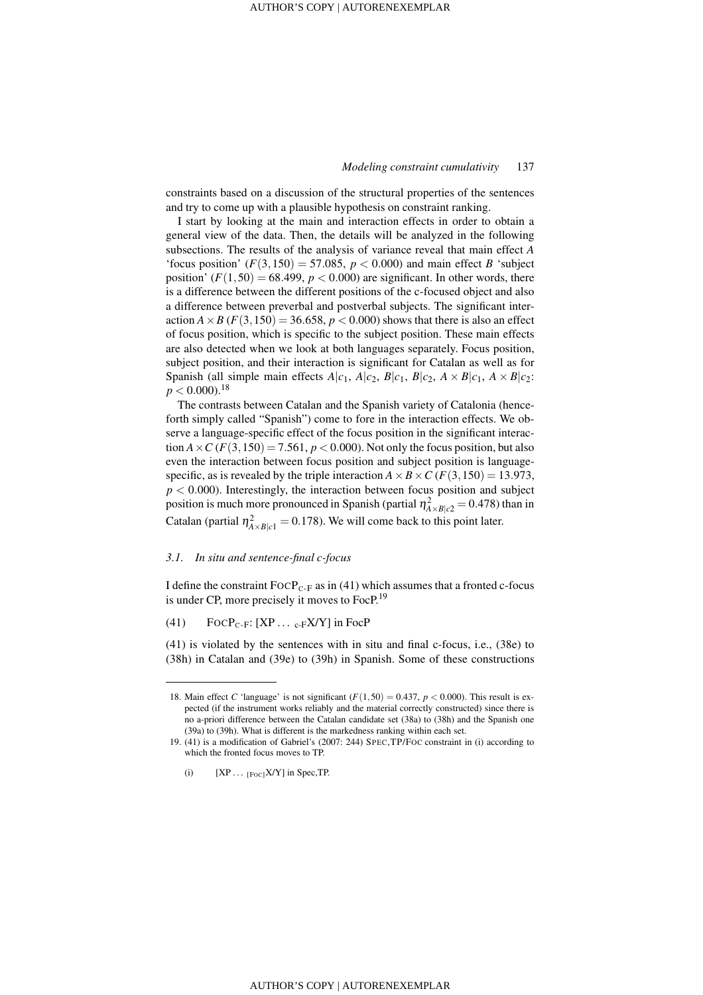constraints based on a discussion of the structural properties of the sentences and try to come up with a plausible hypothesis on constraint ranking.

I start by looking at the main and interaction effects in order to obtain a general view of the data. Then, the details will be analyzed in the following subsections. The results of the analysis of variance reveal that main effect *A* 'focus position'  $(F(3, 150) = 57.085, p < 0.000)$  and main effect *B* 'subject position'  $(F(1,50) = 68.499, p < 0.000)$  are significant. In other words, there is a difference between the different positions of the c-focused object and also a difference between preverbal and postverbal subjects. The significant interaction  $A \times B$  ( $F(3,150) = 36.658$ ,  $p < 0.000$ ) shows that there is also an effect of focus position, which is specific to the subject position. These main effects are also detected when we look at both languages separately. Focus position, subject position, and their interaction is significant for Catalan as well as for Spanish (all simple main effects  $A|c_1, A|c_2, B|c_1, B|c_2, A \times B|c_1, A \times B|c_2$ :  $p < 0.000$ .<sup>18</sup>

The contrasts between Catalan and the Spanish variety of Catalonia (henceforth simply called "Spanish") come to fore in the interaction effects. We observe a language-specific effect of the focus position in the significant interac- $\frac{\text{tion } A \times C}{\text{(F(3.150)} = 7.561, p \le 0.000)}$ . Not only the focus position, but also even the interaction between focus position and subject position is languagespecific, as is revealed by the triple interaction  $A \times B \times C$  ( $F(3,150) = 13.973$ ,  $p < 0.000$ ). Interestingly, the interaction between focus position and subject position is much more pronounced in Spanish (partial  $\eta_{A\times B|c2}^2 = 0.478$ ) than in Catalan (partial  $\eta_{A \times B|c1}^2 = 0.178$ ). We will come back to this point later.

# *3.1. In situ and sentence-final c-focus*

I define the constraint  $FocP_{C-F}$  as in (41) which assumes that a fronted c-focus is under CP, more precisely it moves to FocP.<sup>19</sup>

(41)  $FocP_{C-F}: [XP \dots c_F X/Y]$  in FocP

(41) is violated by the sentences with in situ and final c-focus, i.e., (38e) to (38h) in Catalan and (39e) to (39h) in Spanish. Some of these constructions

<sup>18.</sup> Main effect *C* 'language' is not significant  $(F(1,50) = 0.437, p < 0.000)$ . This result is expected (if the instrument works reliably and the material correctly constructed) since there is no a-priori difference between the Catalan candidate set (38a) to (38h) and the Spanish one (39a) to (39h). What is different is the markedness ranking within each set.

<sup>19. (41)</sup> is a modification of Gabriel's (2007: 244) SPEC,TP/FOC constraint in (i) according to which the fronted focus moves to TP.

<sup>(</sup>i)  $[XP \dots F_{\text{Poc}}] X/Y$ ] in Spec, TP.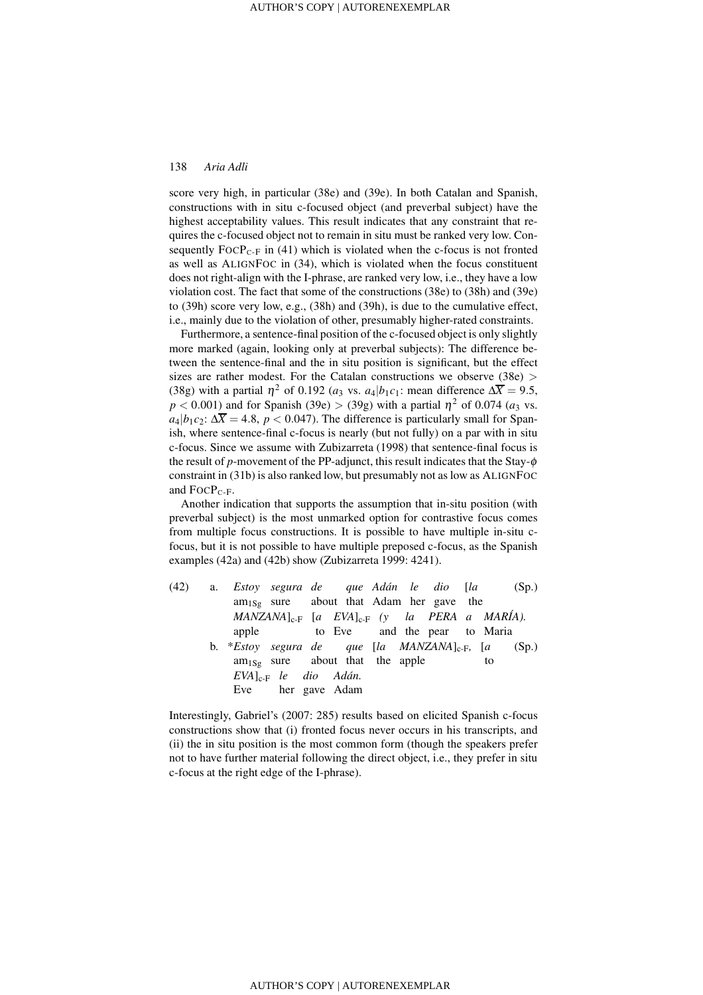score very high, in particular (38e) and (39e). In both Catalan and Spanish, constructions with in situ c-focused object (and preverbal subject) have the highest acceptability values. This result indicates that any constraint that requires the c-focused object not to remain in situ must be ranked very low. Consequently  $FocP_{C-F}$  in (41) which is violated when the c-focus is not fronted as well as ALIGNFOC in (34), which is violated when the focus constituent does not right-align with the I-phrase, are ranked very low, i.e., they have a low violation cost. The fact that some of the constructions (38e) to (38h) and (39e) to (39h) score very low, e.g., (38h) and (39h), is due to the cumulative effect, i.e., mainly due to the violation of other, presumably higher-rated constraints.

Furthermore, a sentence-final position of the c-focused object is only slightly more marked (again, looking only at preverbal subjects): The difference between the sentence-final and the in situ position is significant, but the effect sizes are rather modest. For the Catalan constructions we observe  $(38e)$ (38g) with a partial  $\eta^2$  of 0.192 (*a*<sub>3</sub> vs. *a*<sub>4</sub>|*b*<sub>1</sub>*c*<sub>1</sub>: mean difference  $\Delta \overline{X} = 9.5$ ,  $p < 0.001$ ) and for Spanish (39e) > (39g) with a partial  $\eta^2$  of 0.074 ( $a_3$  vs.  $a_4|b_1c_2$ :  $\Delta \overline{X} = 4.8$ ,  $p < 0.047$ ). The difference is particularly small for Spanish, where sentence-final c-focus is nearly (but not fully) on a par with in situ c-focus. Since we assume with Zubizarreta (1998) that sentence-final focus is the result of *p*-movement of the PP-adjunct, this result indicates that the Stay-φ constraint in (31b) is also ranked low, but presumably not as low as ALIGNFOC and  $FOCP_{C-F}$ .

Another indication that supports the assumption that in-situ position (with preverbal subject) is the most unmarked option for contrastive focus comes from multiple focus constructions. It is possible to have multiple in-situ cfocus, but it is not possible to have multiple preposed c-focus, as the Spanish examples (42a) and (42b) show (Zubizarreta 1999: 4241).

\n- (42) a. *Estoy segura de que Adán le dio* [la (Sp.) am<sub>1Sg</sub> sure about that Adam her gave the *MANZANA*<sub>C-F</sub> [*a EVA*<sub>C-F</sub> (*y la PERA a MARÍA*).
\n- apple to Eve and the pear to Maria
\n- b. \**Estoy segura de que* [la *MANZANA*<sub>C-F</sub>, [a (Sp.) am<sub>1Sg</sub> sure about that the apple to 
$$
EVA
$$
]<sub>C-F</sub> *le dio Adán*.
\n- Eve her gave Adam
\n

Interestingly, Gabriel's (2007: 285) results based on elicited Spanish c-focus constructions show that (i) fronted focus never occurs in his transcripts, and (ii) the in situ position is the most common form (though the speakers prefer not to have further material following the direct object, i.e., they prefer in situ c-focus at the right edge of the I-phrase).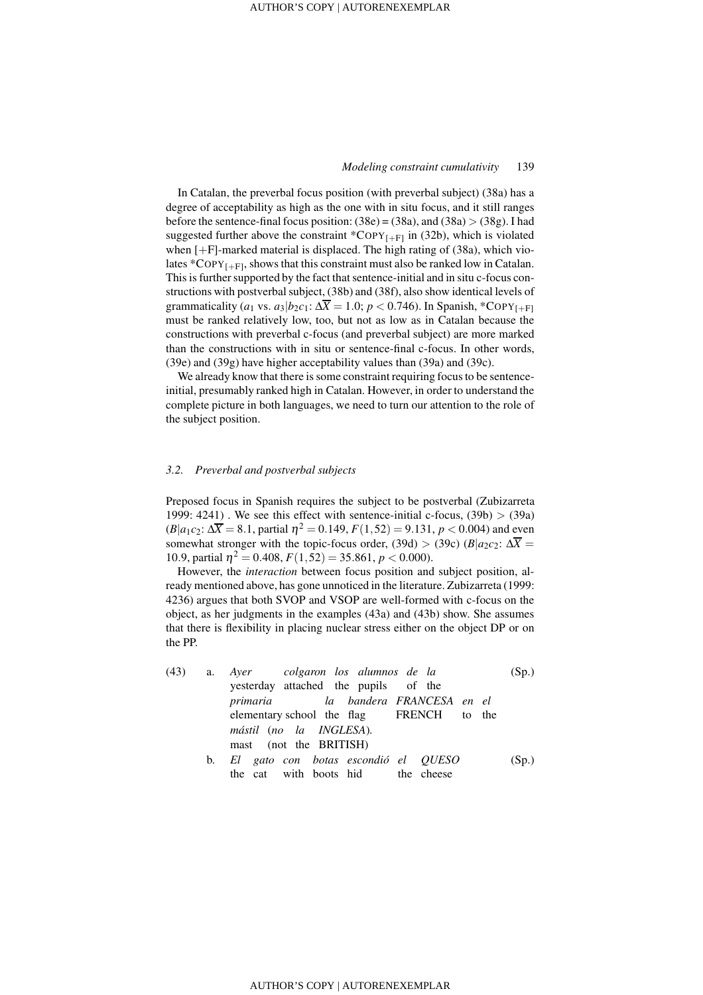In Catalan, the preverbal focus position (with preverbal subject) (38a) has a degree of acceptability as high as the one with in situ focus, and it still ranges before the sentence-final focus position:  $(38e) = (38a)$ , and  $(38a) > (38g)$ . I had suggested further above the constraint \*COPY<sub>[+F]</sub> in (32b), which is violated when [+F]-marked material is displaced. The high rating of (38a), which violates \*COPY<sub>[+F]</sub>, shows that this constraint must also be ranked low in Catalan. This is further supported by the fact that sentence-initial and in situ c-focus constructions with postverbal subject, (38b) and (38f), also show identical levels of grammaticality ( $a_1$  vs.  $a_3|b_2c_1$ :  $\Delta \overline{X} = 1.0$ ;  $p < 0.746$ ). In Spanish, \*COPY<sub>[+F]</sub> must be ranked relatively low, too, but not as low as in Catalan because the constructions with preverbal c-focus (and preverbal subject) are more marked than the constructions with in situ or sentence-final c-focus. In other words, (39e) and (39g) have higher acceptability values than (39a) and (39c).

We already know that there is some constraint requiring focus to be sentenceinitial, presumably ranked high in Catalan. However, in order to understand the complete picture in both languages, we need to turn our attention to the role of the subject position.

## *3.2. Preverbal and postverbal subjects*

Preposed focus in Spanish requires the subject to be postverbal (Zubizarreta 1999: 4241). We see this effect with sentence-initial c-focus,  $(39b) > (39a)$  $(B|a_1c_2; \Delta \overline{X} = 8.1$ , partial  $\eta^2 = 0.149$ ,  $F(1,52) = 9.131$ ,  $p < 0.004$ ) and even somewhat stronger with the topic-focus order, (39d) > (39c) ( $B|a_2c_2$ :  $\Delta \overline{X}$  = 10.9, partial  $\eta^2 = 0.408$ ,  $F(1,52) = 35.861$ ,  $p < 0.000$ ).

However, the *interaction* between focus position and subject position, already mentioned above, has gone unnoticed in the literature. Zubizarreta (1999: 4236) argues that both SVOP and VSOP are well-formed with c-focus on the object, as her judgments in the examples (43a) and (43b) show. She assumes that there is flexibility in placing nuclear stress either on the object DP or on the PP.

|  | (43) a. Ayer colgaron los alumnos de la  | (Sp.) |
|--|------------------------------------------|-------|
|  | yesterday attached the pupils of the     |       |
|  | primaria la bandera FRANCESA en el       |       |
|  | elementary school the flag FRENCH to the |       |
|  | mástil (no la INGLESA).                  |       |
|  | mast (not the BRITISH)                   |       |
|  | b. El gato con botas escondió el QUESO   | (Sp.) |
|  | the cat with boots hid the cheese        |       |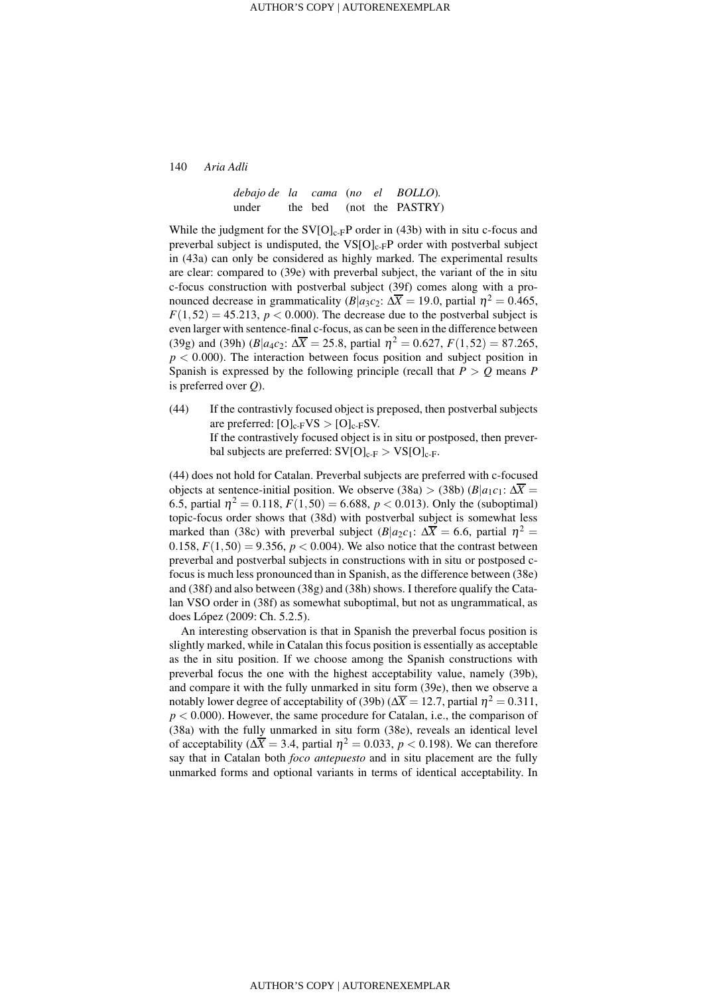#### *debajo de la cama* (*no el BOLLO*)*.* under the bed (not the PASTRY)

While the judgment for the  $SV[O]_{C-F}P$  order in (43b) with in situ c-focus and preverbal subject is undisputed, the  $VS[O]_{c-F}P$  order with postverbal subject in (43a) can only be considered as highly marked. The experimental results are clear: compared to (39e) with preverbal subject, the variant of the in situ c-focus construction with postverbal subject (39f) comes along with a pronounced decrease in grammaticality ( $B|a_3c_2$ :  $\Delta \overline{X} = 19.0$ , partial  $\eta^2 = 0.465$ ,  $F(1,52) = 45.213$ ,  $p < 0.000$ ). The decrease due to the postverbal subject is even larger with sentence-final c-focus, as can be seen in the difference between (39g) and (39h) ( $B|a_4c_2$ :  $\Delta \overline{X} = 25.8$ , partial  $\eta^2 = 0.627$ ,  $F(1,52) = 87.265$ ,  $p < 0.000$ ). The interaction between focus position and subject position in Spanish is expressed by the following principle (recall that  $P > Q$  means  $P$ is preferred over *Q*).

(44) If the contrastivly focused object is preposed, then postverbal subjects are preferred:  $[O]_{c-F}VS > [O]_{c-F}SV$ . If the contrastively focused object is in situ or postposed, then preverbal subjects are preferred:  $SV[O]_{c-F} > VS[O]_{c-F}$ .

(44) does not hold for Catalan. Preverbal subjects are preferred with c-focused objects at sentence-initial position. We observe (38a) > (38b)  $(B|a_1c_1: \Delta \overline{X})$ 6.5, partial  $\eta^2 = 0.118$ ,  $F(1,50) = 6.688$ ,  $p < 0.013$ ). Only the (suboptimal) topic-focus order shows that (38d) with postverbal subject is somewhat less marked than (38c) with preverbal subject ( $B|a_2c_1$ :  $\Delta \overline{X} = 6.6$ , partial  $\eta^2 =$ 0.158,  $F(1,50) = 9.356$ ,  $p < 0.004$ ). We also notice that the contrast between preverbal and postverbal subjects in constructions with in situ or postposed cfocus is much less pronounced than in Spanish, as the difference between (38e) and (38f) and also between (38g) and (38h) shows. I therefore qualify the Catalan VSO order in (38f) as somewhat suboptimal, but not as ungrammatical, as does López (2009: Ch. 5.2.5).

An interesting observation is that in Spanish the preverbal focus position is slightly marked, while in Catalan this focus position is essentially as acceptable as the in situ position. If we choose among the Spanish constructions with preverbal focus the one with the highest acceptability value, namely (39b), and compare it with the fully unmarked in situ form (39e), then we observe a notably lower degree of acceptability of (39b) ( $\Delta \overline{X} = 12.7$ , partial  $\eta^2 = 0.311$ ,  $p < 0.000$ ). However, the same procedure for Catalan, i.e., the comparison of (38a) with the fully unmarked in situ form (38e), reveals an identical level of acceptability ( $\Delta \overline{X} = 3.4$ , partial  $\eta^2 = 0.033$ ,  $p < 0.198$ ). We can therefore say that in Catalan both *foco antepuesto* and in situ placement are the fully unmarked forms and optional variants in terms of identical acceptability. In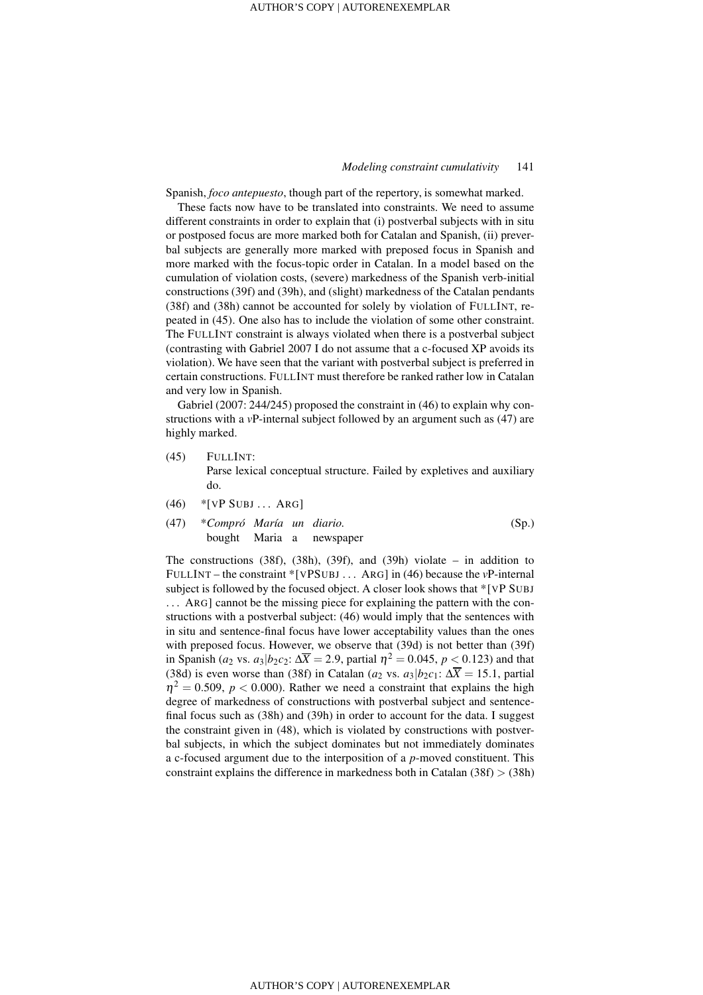Spanish, *foco antepuesto*, though part of the repertory, is somewhat marked.

These facts now have to be translated into constraints. We need to assume different constraints in order to explain that (i) postverbal subjects with in situ or postposed focus are more marked both for Catalan and Spanish, (ii) preverbal subjects are generally more marked with preposed focus in Spanish and more marked with the focus-topic order in Catalan. In a model based on the cumulation of violation costs, (severe) markedness of the Spanish verb-initial constructions (39f) and (39h), and (slight) markedness of the Catalan pendants (38f) and (38h) cannot be accounted for solely by violation of FULLINT, repeated in (45). One also has to include the violation of some other constraint. The FULLINT constraint is always violated when there is a postverbal subject (contrasting with Gabriel 2007 I do not assume that a c-focused XP avoids its violation). We have seen that the variant with postverbal subject is preferred in certain constructions. FULLINT must therefore be ranked rather low in Catalan and very low in Spanish.

Gabriel (2007: 244/245) proposed the constraint in (46) to explain why constructions with a *v*P-internal subject followed by an argument such as (47) are highly marked.

- (45) FULLINT: Parse lexical conceptual structure. Failed by expletives and auxiliary do.
- (46) \*[VP SUBJ ... ARG]
- (47) \* (Sp.) *Compró María un diario.* bought Maria a newspaper

The constructions (38f), (38h), (39f), and (39h) violate – in addition to FULLINT – the constraint \*[VPSUBJ ... ARG] in (46) because the *v*P-internal subject is followed by the focused object. A closer look shows that \*[VP SUBJ ... ARG] cannot be the missing piece for explaining the pattern with the constructions with a postverbal subject: (46) would imply that the sentences with in situ and sentence-final focus have lower acceptability values than the ones with preposed focus. However, we observe that (39d) is not better than (39f) in Spanish (*a*<sub>2</sub> vs. *a*<sub>3</sub>|*b*<sub>2</sub>*c*<sub>2</sub>:  $\Delta \overline{X}$  = 2.9, partial  $\eta$ <sup>2</sup> = 0.045, *p* < 0.123) and that (38d) is even worse than (38f) in Catalan (*a*<sub>2</sub> vs. *a*<sub>3</sub>|*b*<sub>2</sub>*c*<sub>1</sub>:  $\Delta \overline{X}$  = 15.1, partial  $\eta^2 = 0.509$ ,  $p < 0.000$ ). Rather we need a constraint that explains the high degree of markedness of constructions with postverbal subject and sentencefinal focus such as (38h) and (39h) in order to account for the data. I suggest the constraint given in (48), which is violated by constructions with postverbal subjects, in which the subject dominates but not immediately dominates a c-focused argument due to the interposition of a *p*-moved constituent. This constraint explains the difference in markedness both in Catalan  $(38f) > (38h)$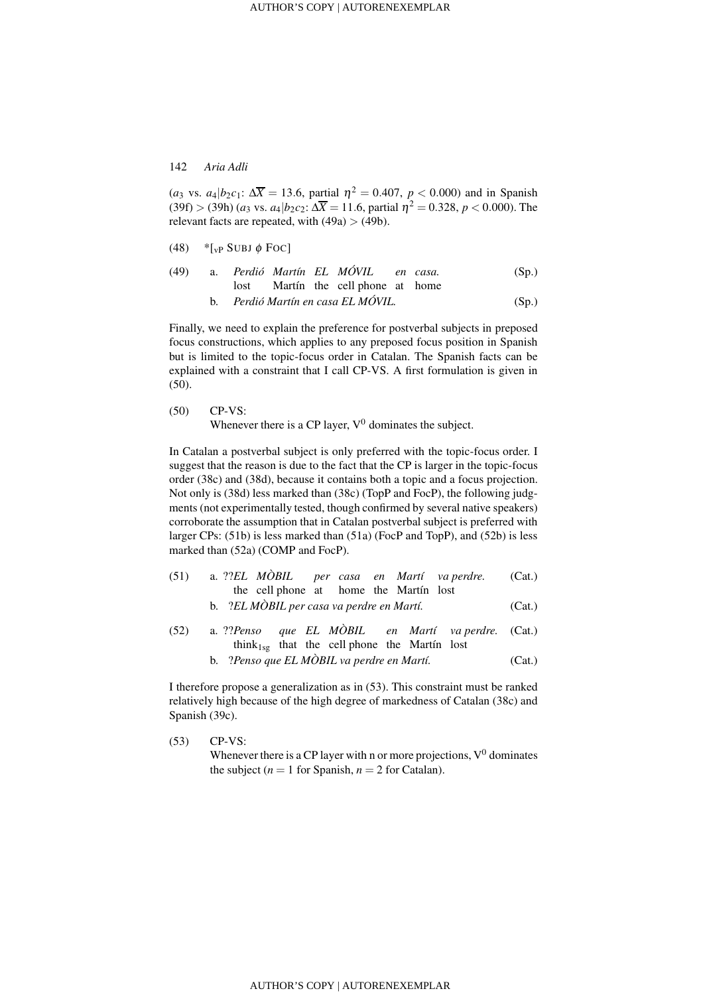$(a_3$  vs.  $a_4|b_2c_1$ :  $\Delta \overline{X} = 13.6$ , partial  $\eta^2 = 0.407$ ,  $p < 0.000$ ) and in Spanish  $(39f) > (39h) (a_3 \text{ vs. } a_4 | b_2 c_2$ :  $\Delta \overline{X} = 11.6$ , partial  $\eta^2 = 0.328$ ,  $p < 0.000$ ). The relevant facts are repeated, with  $(49a) > (49b)$ .

- (48) \* $[vP$  SUBJ  $\phi$  Foc]
- (49) a. *Perdió Martín EL MÓVIL en casa*. (Sp.) lost Martín the cell phone at home *en casa.* b. (Sp.) *Perdió Martín en casa EL MÓVIL.*

Finally, we need to explain the preference for postverbal subjects in preposed focus constructions, which applies to any preposed focus position in Spanish but is limited to the topic-focus order in Catalan. The Spanish facts can be explained with a constraint that I call CP-VS. A first formulation is given in (50).

(50) CP-VS: Whenever there is a CP layer,  $V^0$  dominates the subject.

In Catalan a postverbal subject is only preferred with the topic-focus order. I suggest that the reason is due to the fact that the CP is larger in the topic-focus order (38c) and (38d), because it contains both a topic and a focus projection. Not only is (38d) less marked than (38c) (TopP and FocP), the following judgments (not experimentally tested, though confirmed by several native speakers) corroborate the assumption that in Catalan postverbal subject is preferred with larger CPs: (51b) is less marked than (51a) (FocP and TopP), and (52b) is less marked than (52a) (COMP and FocP).

| (51) | a. ??EL MÒBIL per casa en Martí vaperdre. |                                        | (Cat.) |
|------|-------------------------------------------|----------------------------------------|--------|
|      |                                           | the cell phone at home the Martin lost |        |
|      | b. ?EL MÒBIL per casa va perdre en Martí. |                                        | (Cat.) |
|      |                                           |                                        |        |

(52) a. ??*Penso que EL MÒBIL en Martí va perdre.* (Cat.) think $_{1sg}$  that the cell phone the Martín lost *que EL MÒBIL* b. ? (Cat.) *Penso que EL MÒBIL va perdre en Martí.*

I therefore propose a generalization as in (53). This constraint must be ranked relatively high because of the high degree of markedness of Catalan (38c) and Spanish (39c).

(53) CP-VS: Whenever there is a CP layer with n or more projections,  $V^0$  dominates the subject ( $n = 1$  for Spanish,  $n = 2$  for Catalan).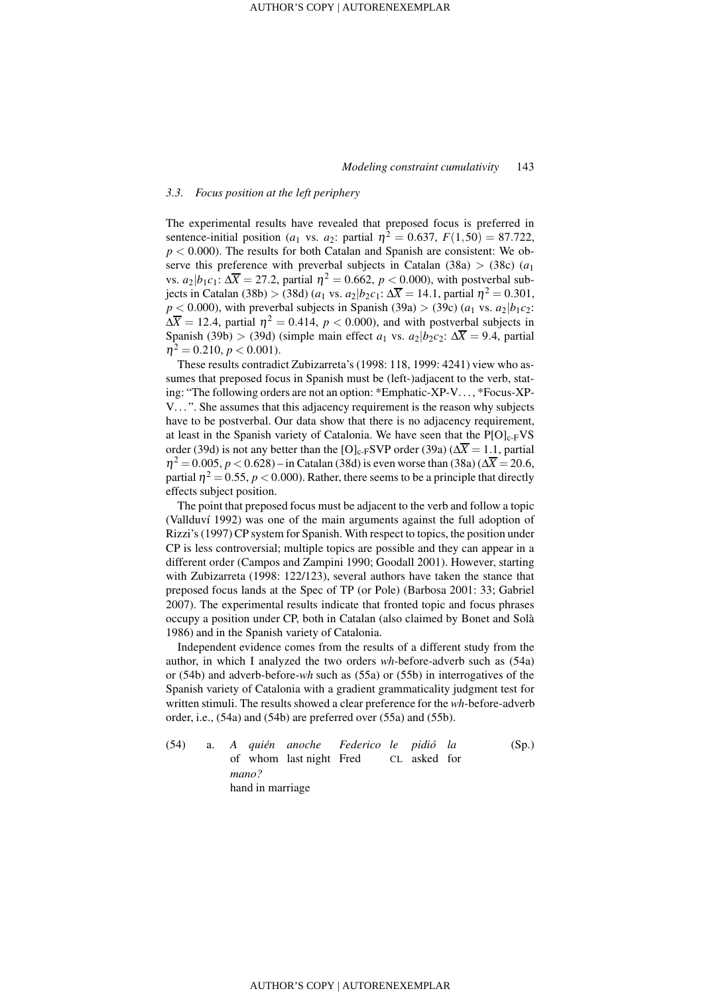#### *3.3. Focus position at the left periphery*

The experimental results have revealed that preposed focus is preferred in sentence-initial position ( $a_1$  vs.  $a_2$ : partial  $\eta^2 = 0.637$ ,  $F(1,50) = 87.722$ ,  $p < 0.000$ ). The results for both Catalan and Spanish are consistent: We observe this preference with preverbal subjects in Catalan  $(38a) > (38c)$   $(a<sub>1</sub>)$ vs.  $a_2|b_1c_1$ :  $\Delta \overline{X} = 27.2$ , partial  $\eta^2 = 0.662$ ,  $p < 0.000$ ), with postverbal subjects in Catalan (38b) > (38d) (*a*<sub>1</sub> vs. *a*<sub>2</sub>|*b*<sub>2</sub>*c*<sub>1</sub>:  $\Delta \overline{X}$  = 14.1, partial  $\eta$ <sup>2</sup> = 0.301,  $p < 0.000$ ), with preverbal subjects in Spanish (39a)  $>$  (39c) ( $a_1$  vs.  $a_2|b_1c_2$ :  $\Delta \overline{X} = 12.4$ , partial  $\eta^2 = 0.414$ ,  $p < 0.000$ ), and with postverbal subjects in Spanish (39b) > (39d) (simple main effect  $a_1$  vs.  $a_2 | b_2 c_2$ :  $\Delta \overline{X} = 9.4$ , partial  $\eta^2 = 0.210, p < 0.001$ ).

These results contradict Zubizarreta's (1998: 118, 1999: 4241) view who assumes that preposed focus in Spanish must be (left-)adjacent to the verb, stating: "The following orders are not an option: \*Emphatic-XP-V. . . , \*Focus-XP-V...". She assumes that this adjacency requirement is the reason why subjects have to be postverbal. Our data show that there is no adjacency requirement, at least in the Spanish variety of Catalonia. We have seen that the  $P[O]_{C-F}VS$ order (39d) is not any better than the  $[O]_{C-F}SVP$  order (39a) ( $\Delta \overline{X} = 1.1$ , partial  $\eta^2 = 0.005$ ,  $p < 0.628$ ) – in Catalan (38d) is even worse than (38a) ( $\Delta \overline{X} = 20.6$ , partial  $\eta^2 = 0.55$ ,  $p < 0.000$ ). Rather, there seems to be a principle that directly effects subject position.

The point that preposed focus must be adjacent to the verb and follow a topic (Vallduví 1992) was one of the main arguments against the full adoption of Rizzi's (1997) CP system for Spanish. With respect to topics, the position under CP is less controversial; multiple topics are possible and they can appear in a different order (Campos and Zampini 1990; Goodall 2001). However, starting with Zubizarreta (1998: 122/123), several authors have taken the stance that preposed focus lands at the Spec of TP (or Pole) (Barbosa 2001: 33; Gabriel 2007). The experimental results indicate that fronted topic and focus phrases occupy a position under CP, both in Catalan (also claimed by Bonet and Solà 1986) and in the Spanish variety of Catalonia.

Independent evidence comes from the results of a different study from the author, in which I analyzed the two orders *wh*-before-adverb such as (54a) or (54b) and adverb-before-*wh* such as (55a) or (55b) in interrogatives of the Spanish variety of Catalonia with a gradient grammaticality judgment test for written stimuli. The results showed a clear preference for the *wh*-before-adverb order, i.e., (54a) and (54b) are preferred over (55a) and (55b).

(54) a. (Sp.) *A* of *quién* whom *anoche* last night *Federico* Fred *le* CL *pidió* asked *la* for *mano?* hand in marriage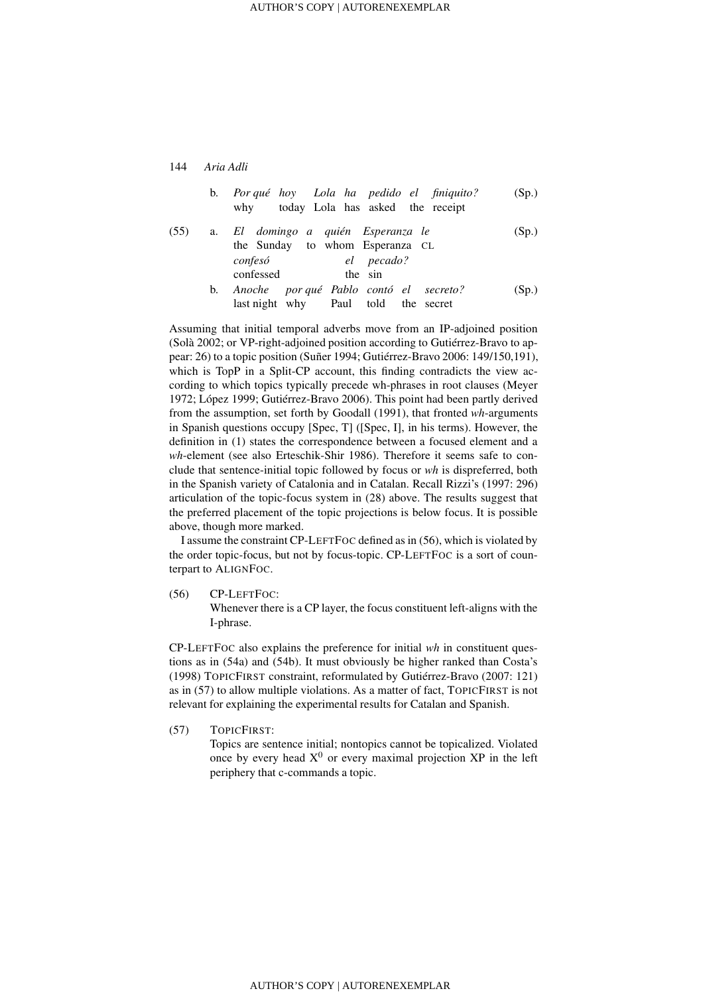|      |    | b. Porqué hoy Lola ha pedido el finiquito?<br>why today Lola has asked the receipt             | (Sp.) |
|------|----|------------------------------------------------------------------------------------------------|-------|
| (55) |    | a. El domingo a quién Esperanza le<br>the Sunday to whom Esperanza CL<br>confesó<br>el pecado? | (Sp.) |
|      |    | confessed<br>the sin                                                                           |       |
|      | b. | Anoche por qué Pablo contó el secreto?<br>last night why Paul told the secret                  | (Sp.) |

Assuming that initial temporal adverbs move from an IP-adjoined position (Solà 2002; or VP-right-adjoined position according to Gutiérrez-Bravo to appear: 26) to a topic position (Suñer 1994; Gutiérrez-Bravo 2006: 149/150,191), which is TopP in a Split-CP account, this finding contradicts the view according to which topics typically precede wh-phrases in root clauses (Meyer 1972; López 1999; Gutiérrez-Bravo 2006). This point had been partly derived from the assumption, set forth by Goodall (1991), that fronted *wh*-arguments in Spanish questions occupy [Spec, T] ([Spec, I], in his terms). However, the definition in (1) states the correspondence between a focused element and a *wh*-element (see also Erteschik-Shir 1986). Therefore it seems safe to conclude that sentence-initial topic followed by focus or *wh* is dispreferred, both in the Spanish variety of Catalonia and in Catalan. Recall Rizzi's (1997: 296) articulation of the topic-focus system in (28) above. The results suggest that the preferred placement of the topic projections is below focus. It is possible above, though more marked.

I assume the constraint CP-LEFTFOC defined as in (56), which is violated by the order topic-focus, but not by focus-topic. CP-LEFTFOC is a sort of counterpart to ALIGNFOC.

(56) CP-LEFTFOC:

Whenever there is a CP layer, the focus constituent left-aligns with the I-phrase.

CP-LEFTFOC also explains the preference for initial *wh* in constituent questions as in (54a) and (54b). It must obviously be higher ranked than Costa's (1998) TOPICFIRST constraint, reformulated by Gutiérrez-Bravo (2007: 121) as in (57) to allow multiple violations. As a matter of fact, TOPICFIRST is not relevant for explaining the experimental results for Catalan and Spanish.

(57) TOPICFIRST:

Topics are sentence initial; nontopics cannot be topicalized. Violated once by every head  $X^0$  or every maximal projection  $XP$  in the left periphery that c-commands a topic.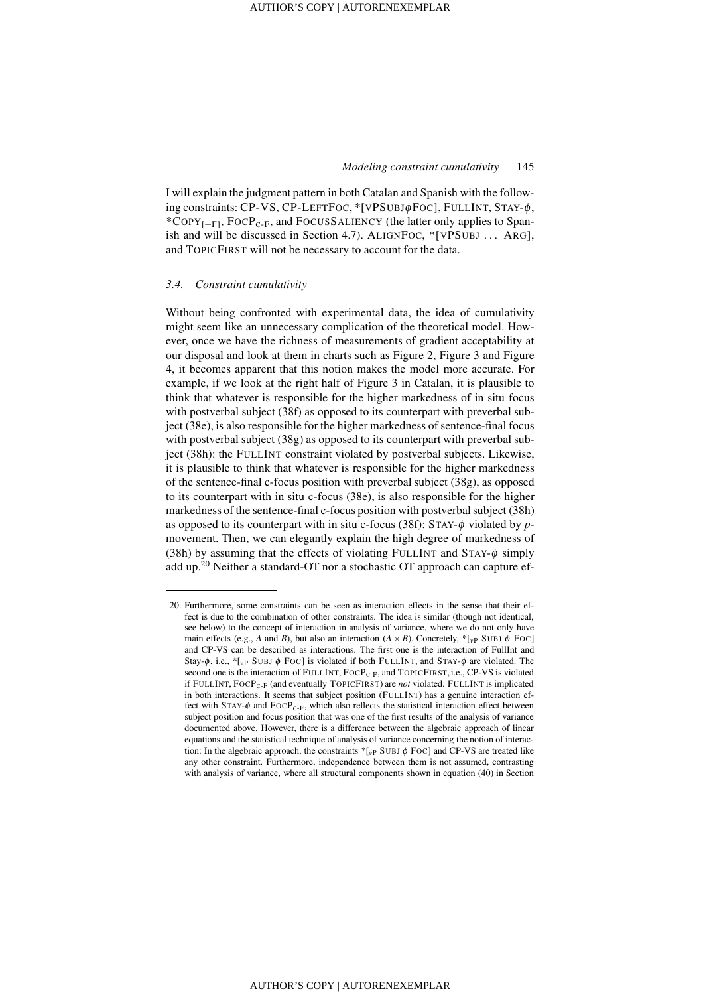I will explain the judgment pattern in both Catalan and Spanish with the following constraints: CP-VS, CP-LEFTFOC, \*[VPSUBJφFOC], FULLINT, STAY-φ, \*COPY $_{[+F]}$ , FOCP<sub>C-F</sub>, and FOCUSSALIENCY (the latter only applies to Spanish and will be discussed in Section 4.7). ALIGNFOC, \*[VPSUBJ ... ARG], and TOPICFIRST will not be necessary to account for the data.

#### *3.4. Constraint cumulativity*

Without being confronted with experimental data, the idea of cumulativity might seem like an unnecessary complication of the theoretical model. However, once we have the richness of measurements of gradient acceptability at our disposal and look at them in charts such as Figure 2, Figure 3 and Figure 4, it becomes apparent that this notion makes the model more accurate. For example, if we look at the right half of Figure 3 in Catalan, it is plausible to think that whatever is responsible for the higher markedness of in situ focus with postverbal subject (38f) as opposed to its counterpart with preverbal subject (38e), is also responsible for the higher markedness of sentence-final focus with postverbal subject (38g) as opposed to its counterpart with preverbal subject (38h): the FULLINT constraint violated by postverbal subjects. Likewise, it is plausible to think that whatever is responsible for the higher markedness of the sentence-final c-focus position with preverbal subject (38g), as opposed to its counterpart with in situ c-focus (38e), is also responsible for the higher markedness of the sentence-final c-focus position with postverbal subject (38h) as opposed to its counterpart with in situ c-focus (38f): STAY-φ violated by *p*movement. Then, we can elegantly explain the high degree of markedness of (38h) by assuming that the effects of violating FULLINT and  $STAY-\phi$  simply add up.<sup>20</sup> Neither a standard-OT nor a stochastic OT approach can capture ef-

<sup>20.</sup> Furthermore, some constraints can be seen as interaction effects in the sense that their effect is due to the combination of other constraints. The idea is similar (though not identical, see below) to the concept of interaction in analysis of variance, where we do not only have main effects (e.g., *A* and *B*), but also an interaction  $(A \times B)$ . Concretely, \*[<sub>*vP*</sub> SUBJ  $\phi$  FOC] and CP-VS can be described as interactions. The first one is the interaction of FullInt and Stay- $\phi$ , i.e.,  $*[$ <sub>*vP*</sub> SUBJ  $\phi$  FOC] is violated if both FULLINT, and STAY- $\phi$  are violated. The second one is the interaction of FULLINT, FOCP<sub>C-F</sub>, and TOPICFIRST, i.e., CP-VS is violated if FULLINT, FOCP<sub>C-F</sub> (and eventually TOPICFIRST) are *not* violated. FULLINT is implicated in both interactions. It seems that subject position (FULLINT) has a genuine interaction effect with  $STAY-\phi$  and  $FOCP_{C-F}$ , which also reflects the statistical interaction effect between subject position and focus position that was one of the first results of the analysis of variance documented above. However, there is a difference between the algebraic approach of linear equations and the statistical technique of analysis of variance concerning the notion of interaction: In the algebraic approach, the constraints  $*$ [<sub>*vP*</sub> SUBJ  $\phi$  FOC] and CP-VS are treated like any other constraint. Furthermore, independence between them is not assumed, contrasting with analysis of variance, where all structural components shown in equation (40) in Section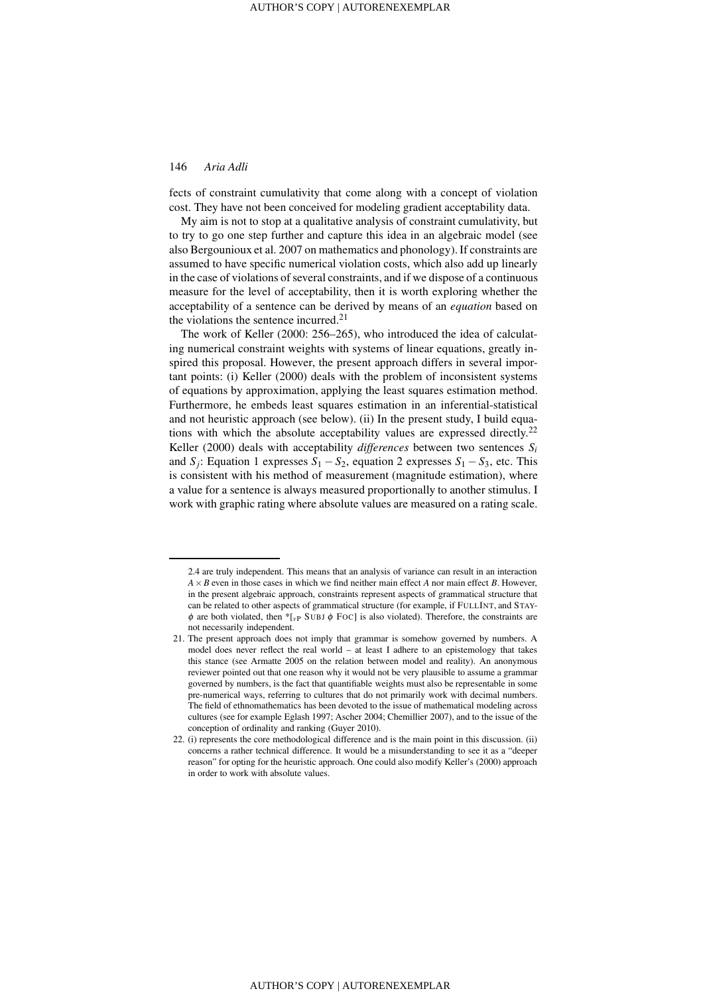fects of constraint cumulativity that come along with a concept of violation cost. They have not been conceived for modeling gradient acceptability data.

My aim is not to stop at a qualitative analysis of constraint cumulativity, but to try to go one step further and capture this idea in an algebraic model (see also Bergounioux et al. 2007 on mathematics and phonology). If constraints are assumed to have specific numerical violation costs, which also add up linearly in the case of violations of several constraints, and if we dispose of a continuous measure for the level of acceptability, then it is worth exploring whether the acceptability of a sentence can be derived by means of an *equation* based on the violations the sentence incurred.<sup>21</sup>

The work of Keller (2000: 256–265), who introduced the idea of calculating numerical constraint weights with systems of linear equations, greatly inspired this proposal. However, the present approach differs in several important points: (i) Keller (2000) deals with the problem of inconsistent systems of equations by approximation, applying the least squares estimation method. Furthermore, he embeds least squares estimation in an inferential-statistical and not heuristic approach (see below). (ii) In the present study, I build equations with which the absolute acceptability values are expressed directly.<sup>22</sup> Keller (2000) deals with acceptability *differences* between two sentences *Si* and *S<sub>i</sub>*: Equation 1 expresses  $S_1 - S_2$ , equation 2 expresses  $S_1 - S_3$ , etc. This is consistent with his method of measurement (magnitude estimation), where a value for a sentence is always measured proportionally to another stimulus. I work with graphic rating where absolute values are measured on a rating scale.

<sup>2.4</sup> are truly independent. This means that an analysis of variance can result in an interaction  $A \times B$  even in those cases in which we find neither main effect *A* nor main effect *B*. However, in the present algebraic approach, constraints represent aspects of grammatical structure that can be related to other aspects of grammatical structure (for example, if FULLINT, and STAY- $\phi$  are both violated, then \*[<sub>*vP*</sub> SUBJ  $\phi$  FOC] is also violated). Therefore, the constraints are not necessarily independent.

<sup>21.</sup> The present approach does not imply that grammar is somehow governed by numbers. A model does never reflect the real world – at least I adhere to an epistemology that takes this stance (see Armatte 2005 on the relation between model and reality). An anonymous reviewer pointed out that one reason why it would not be very plausible to assume a grammar governed by numbers, is the fact that quantifiable weights must also be representable in some pre-numerical ways, referring to cultures that do not primarily work with decimal numbers. The field of ethnomathematics has been devoted to the issue of mathematical modeling across cultures (see for example Eglash 1997; Ascher 2004; Chemillier 2007), and to the issue of the conception of ordinality and ranking (Guyer 2010).

<sup>22. (</sup>i) represents the core methodological difference and is the main point in this discussion. (ii) concerns a rather technical difference. It would be a misunderstanding to see it as a "deeper reason" for opting for the heuristic approach. One could also modify Keller's (2000) approach in order to work with absolute values.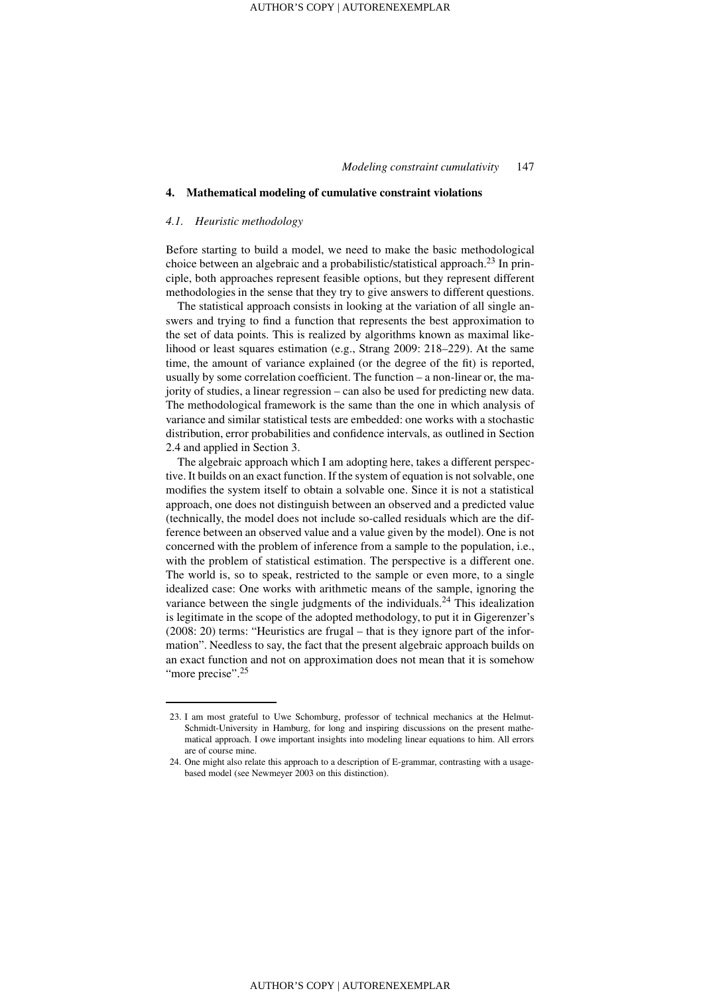#### **4. Mathematical modeling of cumulative constraint violations**

#### *4.1. Heuristic methodology*

Before starting to build a model, we need to make the basic methodological choice between an algebraic and a probabilistic/statistical approach.<sup>23</sup> In principle, both approaches represent feasible options, but they represent different methodologies in the sense that they try to give answers to different questions.

The statistical approach consists in looking at the variation of all single answers and trying to find a function that represents the best approximation to the set of data points. This is realized by algorithms known as maximal likelihood or least squares estimation (e.g., Strang 2009: 218–229). At the same time, the amount of variance explained (or the degree of the fit) is reported, usually by some correlation coefficient. The function – a non-linear or, the majority of studies, a linear regression – can also be used for predicting new data. The methodological framework is the same than the one in which analysis of variance and similar statistical tests are embedded: one works with a stochastic distribution, error probabilities and confidence intervals, as outlined in Section 2.4 and applied in Section 3.

The algebraic approach which I am adopting here, takes a different perspective. It builds on an exact function. If the system of equation is not solvable, one modifies the system itself to obtain a solvable one. Since it is not a statistical approach, one does not distinguish between an observed and a predicted value (technically, the model does not include so-called residuals which are the difference between an observed value and a value given by the model). One is not concerned with the problem of inference from a sample to the population, i.e., with the problem of statistical estimation. The perspective is a different one. The world is, so to speak, restricted to the sample or even more, to a single idealized case: One works with arithmetic means of the sample, ignoring the variance between the single judgments of the individuals.<sup>24</sup> This idealization is legitimate in the scope of the adopted methodology, to put it in Gigerenzer's (2008: 20) terms: "Heuristics are frugal – that is they ignore part of the information". Needless to say, the fact that the present algebraic approach builds on an exact function and not on approximation does not mean that it is somehow "more precise".<sup>25</sup>

<sup>23.</sup> I am most grateful to Uwe Schomburg, professor of technical mechanics at the Helmut-Schmidt-University in Hamburg, for long and inspiring discussions on the present mathematical approach. I owe important insights into modeling linear equations to him. All errors are of course mine.

<sup>24.</sup> One might also relate this approach to a description of E-grammar, contrasting with a usagebased model (see Newmeyer 2003 on this distinction).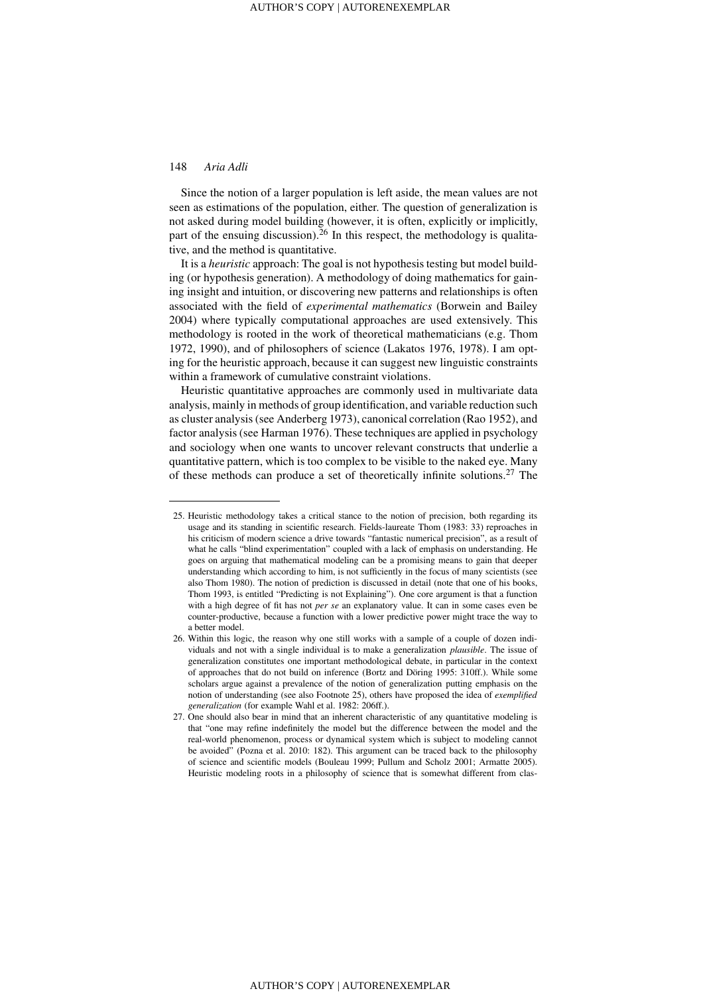Since the notion of a larger population is left aside, the mean values are not seen as estimations of the population, either. The question of generalization is not asked during model building (however, it is often, explicitly or implicitly, part of the ensuing discussion).  $^{26}$  In this respect, the methodology is qualitative, and the method is quantitative.

It is a *heuristic* approach: The goal is not hypothesis testing but model building (or hypothesis generation). A methodology of doing mathematics for gaining insight and intuition, or discovering new patterns and relationships is often associated with the field of *experimental mathematics* (Borwein and Bailey 2004) where typically computational approaches are used extensively. This methodology is rooted in the work of theoretical mathematicians (e.g. Thom 1972, 1990), and of philosophers of science (Lakatos 1976, 1978). I am opting for the heuristic approach, because it can suggest new linguistic constraints within a framework of cumulative constraint violations.

Heuristic quantitative approaches are commonly used in multivariate data analysis, mainly in methods of group identification, and variable reduction such as cluster analysis (see Anderberg 1973), canonical correlation (Rao 1952), and factor analysis (see Harman 1976). These techniques are applied in psychology and sociology when one wants to uncover relevant constructs that underlie a quantitative pattern, which is too complex to be visible to the naked eye. Many of these methods can produce a set of theoretically infinite solutions.<sup>27</sup> The

<sup>25.</sup> Heuristic methodology takes a critical stance to the notion of precision, both regarding its usage and its standing in scientific research. Fields-laureate Thom (1983: 33) reproaches in his criticism of modern science a drive towards "fantastic numerical precision", as a result of what he calls "blind experimentation" coupled with a lack of emphasis on understanding. He goes on arguing that mathematical modeling can be a promising means to gain that deeper understanding which according to him, is not sufficiently in the focus of many scientists (see also Thom 1980). The notion of prediction is discussed in detail (note that one of his books, Thom 1993, is entitled "Predicting is not Explaining"). One core argument is that a function with a high degree of fit has not *per se* an explanatory value. It can in some cases even be counter-productive, because a function with a lower predictive power might trace the way to a better model.

<sup>26.</sup> Within this logic, the reason why one still works with a sample of a couple of dozen individuals and not with a single individual is to make a generalization *plausible*. The issue of generalization constitutes one important methodological debate, in particular in the context of approaches that do not build on inference (Bortz and Döring 1995: 310ff.). While some scholars argue against a prevalence of the notion of generalization putting emphasis on the notion of understanding (see also Footnote 25), others have proposed the idea of *exemplified generalization* (for example Wahl et al. 1982: 206ff.).

<sup>27.</sup> One should also bear in mind that an inherent characteristic of any quantitative modeling is that "one may refine indefinitely the model but the difference between the model and the real-world phenomenon, process or dynamical system which is subject to modeling cannot be avoided" (Pozna et al. 2010: 182). This argument can be traced back to the philosophy of science and scientific models (Bouleau 1999; Pullum and Scholz 2001; Armatte 2005). Heuristic modeling roots in a philosophy of science that is somewhat different from clas-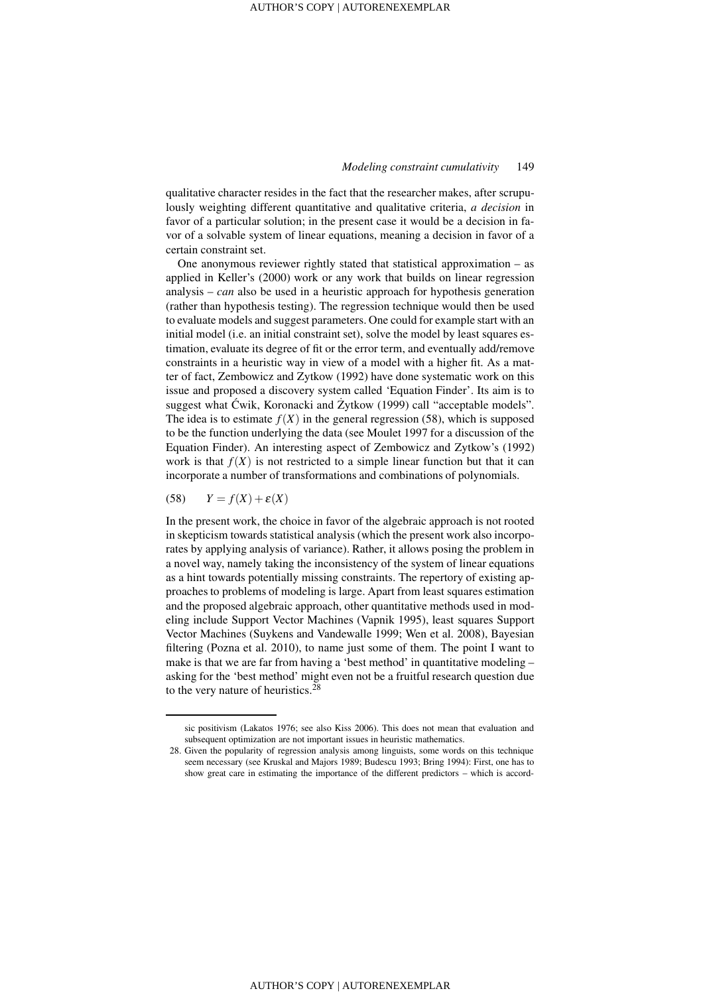qualitative character resides in the fact that the researcher makes, after scrupulously weighting different quantitative and qualitative criteria, *a decision* in favor of a particular solution; in the present case it would be a decision in favor of a solvable system of linear equations, meaning a decision in favor of a certain constraint set.

One anonymous reviewer rightly stated that statistical approximation – as applied in Keller's (2000) work or any work that builds on linear regression analysis – *can* also be used in a heuristic approach for hypothesis generation (rather than hypothesis testing). The regression technique would then be used to evaluate models and suggest parameters. One could for example start with an initial model (i.e. an initial constraint set), solve the model by least squares estimation, evaluate its degree of fit or the error term, and eventually add/remove constraints in a heuristic way in view of a model with a higher fit. As a matter of fact, Zembowicz and Zytkow (1992) have done systematic work on this issue and proposed a discovery system called 'Equation Finder'. Its aim is to suggest what Ćwik, Koronacki and Żytkow (1999) call "acceptable models". The idea is to estimate  $f(X)$  in the general regression (58), which is supposed to be the function underlying the data (see Moulet 1997 for a discussion of the Equation Finder). An interesting aspect of Zembowicz and Zytkow's (1992) work is that  $f(X)$  is not restricted to a simple linear function but that it can incorporate a number of transformations and combinations of polynomials.

$$
(58) \qquad Y = f(X) + \varepsilon(X)
$$

In the present work, the choice in favor of the algebraic approach is not rooted in skepticism towards statistical analysis (which the present work also incorporates by applying analysis of variance). Rather, it allows posing the problem in a novel way, namely taking the inconsistency of the system of linear equations as a hint towards potentially missing constraints. The repertory of existing approaches to problems of modeling is large. Apart from least squares estimation and the proposed algebraic approach, other quantitative methods used in modeling include Support Vector Machines (Vapnik 1995), least squares Support Vector Machines (Suykens and Vandewalle 1999; Wen et al. 2008), Bayesian filtering (Pozna et al. 2010), to name just some of them. The point I want to make is that we are far from having a 'best method' in quantitative modeling – asking for the 'best method' might even not be a fruitful research question due to the very nature of heuristics.<sup>28</sup>

sic positivism (Lakatos 1976; see also Kiss 2006). This does not mean that evaluation and subsequent optimization are not important issues in heuristic mathematics.

<sup>28.</sup> Given the popularity of regression analysis among linguists, some words on this technique seem necessary (see Kruskal and Majors 1989; Budescu 1993; Bring 1994): First, one has to show great care in estimating the importance of the different predictors – which is accord-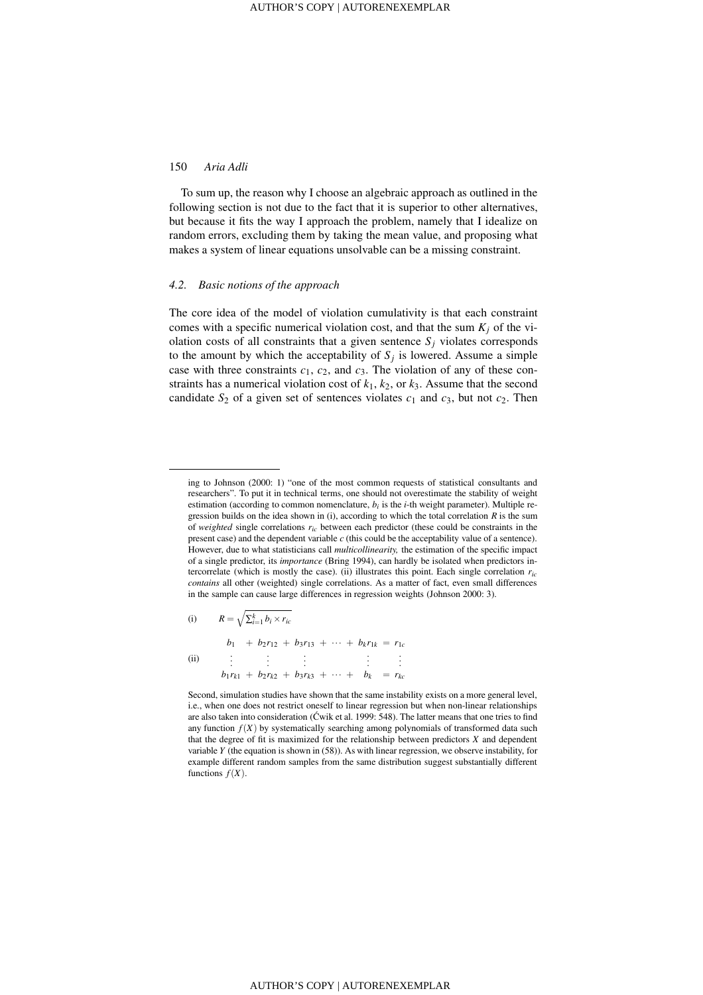To sum up, the reason why I choose an algebraic approach as outlined in the following section is not due to the fact that it is superior to other alternatives, but because it fits the way I approach the problem, namely that I idealize on random errors, excluding them by taking the mean value, and proposing what makes a system of linear equations unsolvable can be a missing constraint.

#### *4.2. Basic notions of the approach*

The core idea of the model of violation cumulativity is that each constraint comes with a specific numerical violation cost, and that the sum  $K_i$  of the violation costs of all constraints that a given sentence  $S_j$  violates corresponds to the amount by which the acceptability of  $S_j$  is lowered. Assume a simple case with three constraints  $c_1$ ,  $c_2$ , and  $c_3$ . The violation of any of these constraints has a numerical violation cost of  $k_1$ ,  $k_2$ , or  $k_3$ . Assume that the second candidate  $S_2$  of a given set of sentences violates  $c_1$  and  $c_3$ , but not  $c_2$ . Then

(i) 
$$
R = \sqrt{\sum_{i=1}^{k} b_i \times r_{ic}}
$$

$$
b_1 + b_2 r_{12} + b_3 r_{13} + \dots + b_k r_{1k} = r_{1c}
$$

(ii) . . . . . . . . . . . . . . .  $b_1 r_{k1} + b_2 r_{k2} + b_3 r_{k3} + \cdots + b_k = r_{kc}$ 

ing to Johnson (2000: 1) "one of the most common requests of statistical consultants and researchers". To put it in technical terms, one should not overestimate the stability of weight estimation (according to common nomenclature,  $b_i$  is the *i*-th weight parameter). Multiple regression builds on the idea shown in (i), according to which the total correlation  $R$  is the sum of *weighted* single correlations *ric* between each predictor (these could be constraints in the present case) and the dependent variable *c* (this could be the acceptability value of a sentence). However, due to what statisticians call *multicollinearity,* the estimation of the specific impact of a single predictor, its *importance* (Bring 1994), can hardly be isolated when predictors intercorrelate (which is mostly the case). (ii) illustrates this point. Each single correlation *ric contains* all other (weighted) single correlations. As a matter of fact, even small differences in the sample can cause large differences in regression weights (Johnson 2000: 3).

Second, simulation studies have shown that the same instability exists on a more general level, i.e., when one does not restrict oneself to linear regression but when non-linear relationships are also taken into consideration (Ćwik et al. 1999: 548). The latter means that one tries to find any function  $f(X)$  by systematically searching among polynomials of transformed data such that the degree of fit is maximized for the relationship between predictors *X* and dependent variable *Y* (the equation is shown in (58)). As with linear regression, we observe instability, for example different random samples from the same distribution suggest substantially different functions  $f(X)$ .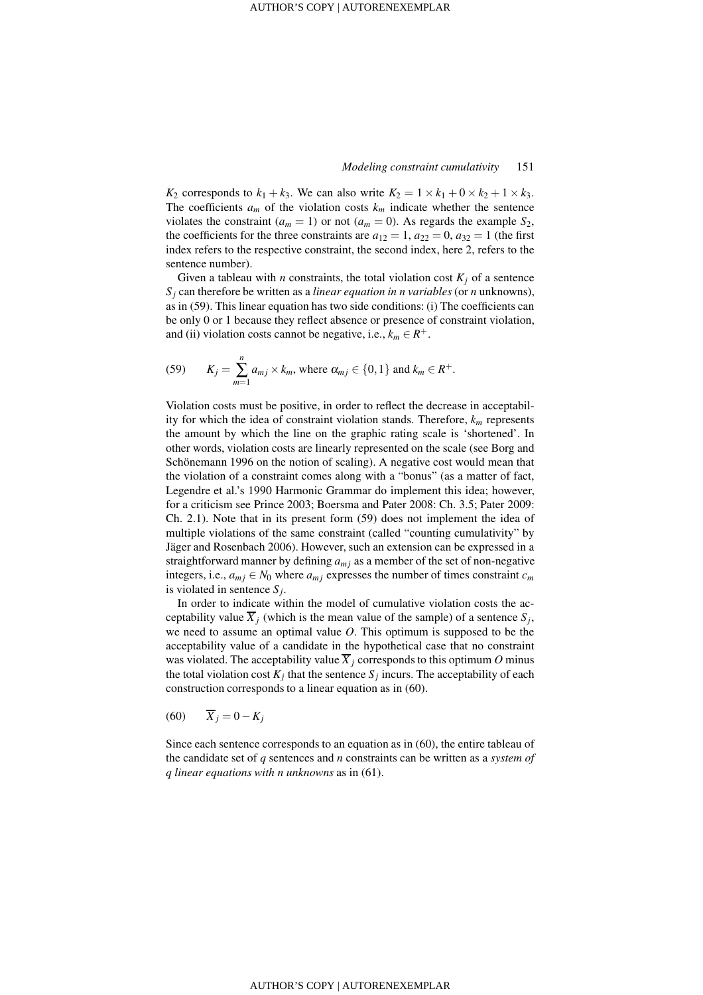$K_2$  corresponds to  $k_1 + k_3$ . We can also write  $K_2 = 1 \times k_1 + 0 \times k_2 + 1 \times k_3$ . The coefficients  $a_m$  of the violation costs  $k_m$  indicate whether the sentence violates the constraint ( $a_m = 1$ ) or not ( $a_m = 0$ ). As regards the example  $S_2$ , the coefficients for the three constraints are  $a_{12} = 1$ ,  $a_{22} = 0$ ,  $a_{32} = 1$  (the first index refers to the respective constraint, the second index, here 2, refers to the sentence number).

Given a tableau with *n* constraints, the total violation cost  $K_i$  of a sentence *Sj* can therefore be written as a *linear equation in n variables* (or *n* unknowns), as in (59). This linear equation has two side conditions: (i) The coefficients can be only 0 or 1 because they reflect absence or presence of constraint violation, and (ii) violation costs cannot be negative, i.e.,  $k_m \in \mathbb{R}^+$ .

(59) 
$$
K_j = \sum_{m=1}^n a_{mj} \times k_m, \text{ where } \alpha_{mj} \in \{0,1\} \text{ and } k_m \in R^+.
$$

Violation costs must be positive, in order to reflect the decrease in acceptability for which the idea of constraint violation stands. Therefore, *km* represents the amount by which the line on the graphic rating scale is 'shortened'. In other words, violation costs are linearly represented on the scale (see Borg and Schönemann 1996 on the notion of scaling). A negative cost would mean that the violation of a constraint comes along with a "bonus" (as a matter of fact, Legendre et al.'s 1990 Harmonic Grammar do implement this idea; however, for a criticism see Prince 2003; Boersma and Pater 2008: Ch. 3.5; Pater 2009: Ch. 2.1). Note that in its present form (59) does not implement the idea of multiple violations of the same constraint (called "counting cumulativity" by Jäger and Rosenbach 2006). However, such an extension can be expressed in a straightforward manner by defining  $a_{mj}$  as a member of the set of non-negative integers, i.e.,  $a_{mi} \in N_0$  where  $a_{mi}$  expresses the number of times constraint  $c_m$ is violated in sentence  $S_i$ .

In order to indicate within the model of cumulative violation costs the acceptability value  $\overline{X}_i$  (which is the mean value of the sample) of a sentence  $S_i$ , we need to assume an optimal value *O*. This optimum is supposed to be the acceptability value of a candidate in the hypothetical case that no constraint was violated. The acceptability value  $\overline{X}_i$  corresponds to this optimum O minus the total violation cost  $K_j$  that the sentence  $S_j$  incurs. The acceptability of each construction corresponds to a linear equation as in (60).

$$
(60) \qquad \overline{X}_j = 0 - K_j
$$

Since each sentence corresponds to an equation as in (60), the entire tableau of the candidate set of *q* sentences and *n* constraints can be written as a *system of q linear equations with n unknowns* as in (61).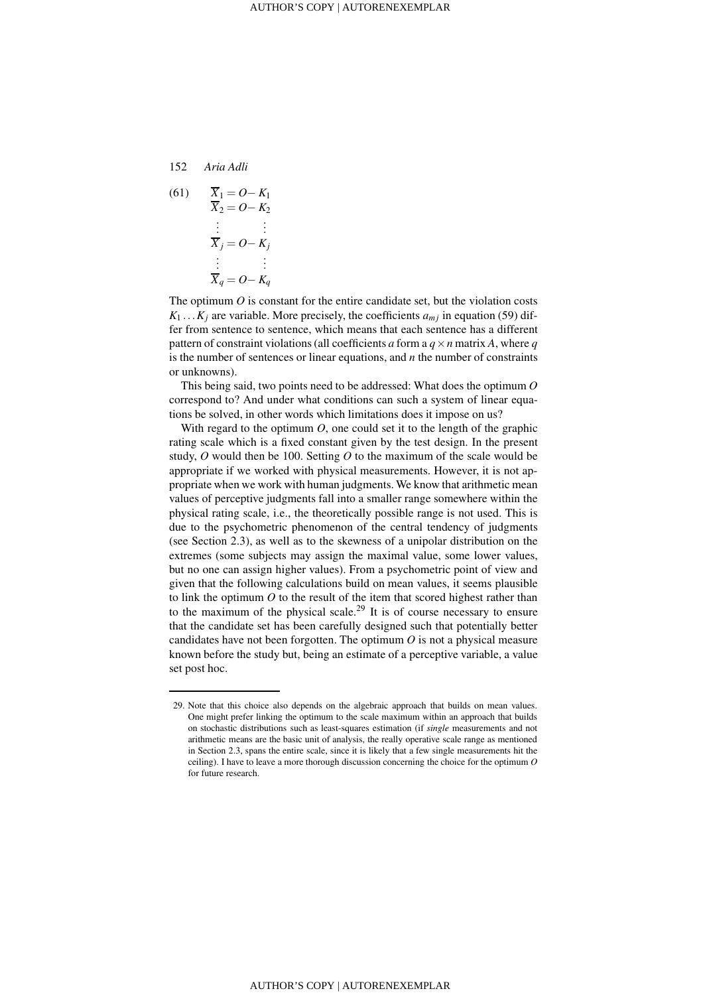(61) 
$$
\overline{X}_1 = O - K_1
$$

$$
\overline{X}_2 = O - K_2
$$

$$
\vdots \qquad \vdots
$$

$$
\overline{X}_j = O - K_j
$$

$$
\vdots \qquad \vdots
$$

$$
\overline{X}_q = O - K_q
$$

The optimum *O* is constant for the entire candidate set, but the violation costs  $K_1 \ldots K_j$  are variable. More precisely, the coefficients  $a_{mj}$  in equation (59) differ from sentence to sentence, which means that each sentence has a different pattern of constraint violations (all coefficients *a* form a  $q \times n$  matrix *A*, where *q* is the number of sentences or linear equations, and *n* the number of constraints or unknowns).

This being said, two points need to be addressed: What does the optimum *O* correspond to? And under what conditions can such a system of linear equations be solved, in other words which limitations does it impose on us?

With regard to the optimum *O*, one could set it to the length of the graphic rating scale which is a fixed constant given by the test design. In the present study, *O* would then be 100. Setting *O* to the maximum of the scale would be appropriate if we worked with physical measurements. However, it is not appropriate when we work with human judgments. We know that arithmetic mean values of perceptive judgments fall into a smaller range somewhere within the physical rating scale, i.e., the theoretically possible range is not used. This is due to the psychometric phenomenon of the central tendency of judgments (see Section 2.3), as well as to the skewness of a unipolar distribution on the extremes (some subjects may assign the maximal value, some lower values, but no one can assign higher values). From a psychometric point of view and given that the following calculations build on mean values, it seems plausible to link the optimum *O* to the result of the item that scored highest rather than to the maximum of the physical scale.<sup>29</sup> It is of course necessary to ensure that the candidate set has been carefully designed such that potentially better candidates have not been forgotten. The optimum *O* is not a physical measure known before the study but, being an estimate of a perceptive variable, a value set post hoc.

<sup>29.</sup> Note that this choice also depends on the algebraic approach that builds on mean values. One might prefer linking the optimum to the scale maximum within an approach that builds on stochastic distributions such as least-squares estimation (if *single* measurements and not arithmetic means are the basic unit of analysis, the really operative scale range as mentioned in Section 2.3, spans the entire scale, since it is likely that a few single measurements hit the ceiling). I have to leave a more thorough discussion concerning the choice for the optimum *O* for future research.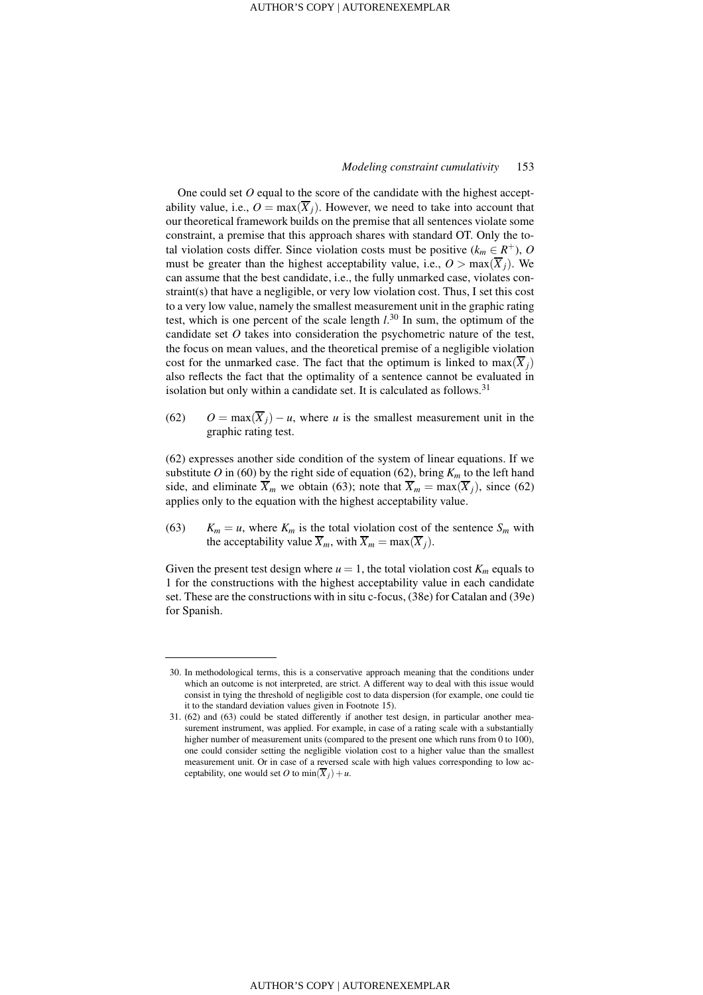One could set *O* equal to the score of the candidate with the highest acceptability value, i.e.,  $O = \max(\overline{X}_i)$ . However, we need to take into account that our theoretical framework builds on the premise that all sentences violate some constraint, a premise that this approach shares with standard OT. Only the total violation costs differ. Since violation costs must be positive ( $k_m \in R^+$ ), *O* must be greater than the highest acceptability value, i.e.,  $O > \max(\overline{X}_i)$ . We can assume that the best candidate, i.e., the fully unmarked case, violates constraint(s) that have a negligible, or very low violation cost. Thus, I set this cost to a very low value, namely the smallest measurement unit in the graphic rating test, which is one percent of the scale length *l*. <sup>30</sup> In sum, the optimum of the candidate set *O* takes into consideration the psychometric nature of the test, the focus on mean values, and the theoretical premise of a negligible violation cost for the unmarked case. The fact that the optimum is linked to  $\max(\overline{X}_i)$ also reflects the fact that the optimality of a sentence cannot be evaluated in isolation but only within a candidate set. It is calculated as follows. $31$ 

(62)  $O = \max(\overline{X}_i) - u$ , where *u* is the smallest measurement unit in the graphic rating test.

(62) expresses another side condition of the system of linear equations. If we substitute *O* in (60) by the right side of equation (62), bring  $K_m$  to the left hand side, and eliminate  $\overline{X}_m$  we obtain (63); note that  $\overline{X}_m = \max(\overline{X}_i)$ , since (62) applies only to the equation with the highest acceptability value.

(63)  $K_m = u$ , where  $K_m$  is the total violation cost of the sentence  $S_m$  with the acceptability value  $\overline{X}_m$ , with  $\overline{X}_m = \max(\overline{X}_i)$ .

Given the present test design where  $u = 1$ , the total violation cost  $K_m$  equals to 1 for the constructions with the highest acceptability value in each candidate set. These are the constructions with in situ c-focus, (38e) for Catalan and (39e) for Spanish.

<sup>30.</sup> In methodological terms, this is a conservative approach meaning that the conditions under which an outcome is not interpreted, are strict. A different way to deal with this issue would consist in tying the threshold of negligible cost to data dispersion (for example, one could tie it to the standard deviation values given in Footnote 15).

<sup>31. (62)</sup> and (63) could be stated differently if another test design, in particular another measurement instrument, was applied. For example, in case of a rating scale with a substantially higher number of measurement units (compared to the present one which runs from 0 to 100), one could consider setting the negligible violation cost to a higher value than the smallest measurement unit. Or in case of a reversed scale with high values corresponding to low acceptability, one would set *O* to min $(\overline{X}_i) + u$ .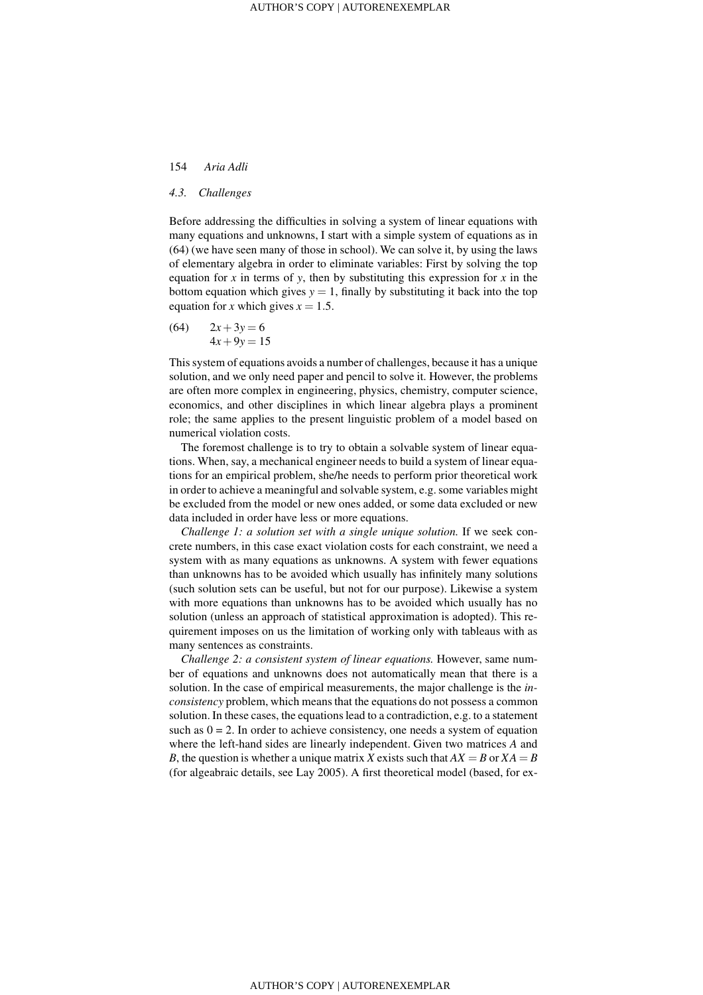#### *4.3. Challenges*

Before addressing the difficulties in solving a system of linear equations with many equations and unknowns, I start with a simple system of equations as in (64) (we have seen many of those in school). We can solve it, by using the laws of elementary algebra in order to eliminate variables: First by solving the top equation for  $x$  in terms of  $y$ , then by substituting this expression for  $x$  in the bottom equation which gives  $y = 1$ , finally by substituting it back into the top equation for *x* which gives  $x = 1.5$ .

$$
\begin{array}{r}\n(64) & 2x + 3y = 6 \\
4x + 9y = 15\n\end{array}
$$

This system of equations avoids a number of challenges, because it has a unique solution, and we only need paper and pencil to solve it. However, the problems are often more complex in engineering, physics, chemistry, computer science, economics, and other disciplines in which linear algebra plays a prominent role; the same applies to the present linguistic problem of a model based on numerical violation costs.

The foremost challenge is to try to obtain a solvable system of linear equations. When, say, a mechanical engineer needs to build a system of linear equations for an empirical problem, she/he needs to perform prior theoretical work in order to achieve a meaningful and solvable system, e.g. some variables might be excluded from the model or new ones added, or some data excluded or new data included in order have less or more equations.

*Challenge 1: a solution set with a single unique solution.* If we seek concrete numbers, in this case exact violation costs for each constraint, we need a system with as many equations as unknowns. A system with fewer equations than unknowns has to be avoided which usually has infinitely many solutions (such solution sets can be useful, but not for our purpose). Likewise a system with more equations than unknowns has to be avoided which usually has no solution (unless an approach of statistical approximation is adopted). This requirement imposes on us the limitation of working only with tableaus with as many sentences as constraints.

*Challenge 2: a consistent system of linear equations.* However, same number of equations and unknowns does not automatically mean that there is a solution. In the case of empirical measurements, the major challenge is the *inconsistency* problem, which means that the equations do not possess a common solution. In these cases, the equations lead to a contradiction, e.g. to a statement such as  $0 = 2$ . In order to achieve consistency, one needs a system of equation where the left-hand sides are linearly independent. Given two matrices *A* and *B*, the question is whether a unique matrix *X* exists such that  $AX = B$  or  $XA = B$ (for algeabraic details, see Lay 2005). A first theoretical model (based, for ex-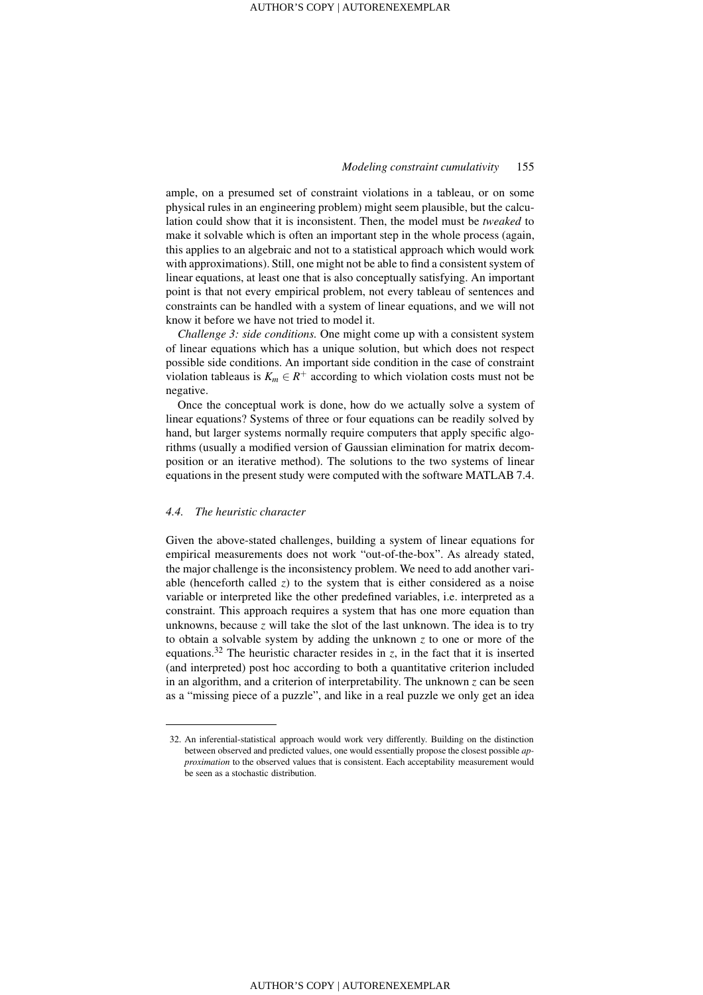ample, on a presumed set of constraint violations in a tableau, or on some physical rules in an engineering problem) might seem plausible, but the calculation could show that it is inconsistent. Then, the model must be *tweaked* to make it solvable which is often an important step in the whole process (again, this applies to an algebraic and not to a statistical approach which would work with approximations). Still, one might not be able to find a consistent system of linear equations, at least one that is also conceptually satisfying. An important point is that not every empirical problem, not every tableau of sentences and constraints can be handled with a system of linear equations, and we will not know it before we have not tried to model it.

*Challenge 3: side conditions.* One might come up with a consistent system of linear equations which has a unique solution, but which does not respect possible side conditions. An important side condition in the case of constraint violation tableaus is  $K_m \in \mathbb{R}^+$  according to which violation costs must not be negative.

Once the conceptual work is done, how do we actually solve a system of linear equations? Systems of three or four equations can be readily solved by hand, but larger systems normally require computers that apply specific algorithms (usually a modified version of Gaussian elimination for matrix decomposition or an iterative method). The solutions to the two systems of linear equations in the present study were computed with the software MATLAB 7.4.

# *4.4. The heuristic character*

Given the above-stated challenges, building a system of linear equations for empirical measurements does not work "out-of-the-box". As already stated, the major challenge is the inconsistency problem. We need to add another variable (henceforth called *z*) to the system that is either considered as a noise variable or interpreted like the other predefined variables, i.e. interpreted as a constraint. This approach requires a system that has one more equation than unknowns, because *z* will take the slot of the last unknown. The idea is to try to obtain a solvable system by adding the unknown *z* to one or more of the equations.<sup>32</sup> The heuristic character resides in *z*, in the fact that it is inserted (and interpreted) post hoc according to both a quantitative criterion included in an algorithm, and a criterion of interpretability. The unknown *z* can be seen as a "missing piece of a puzzle", and like in a real puzzle we only get an idea

<sup>32.</sup> An inferential-statistical approach would work very differently. Building on the distinction between observed and predicted values, one would essentially propose the closest possible *approximation* to the observed values that is consistent. Each acceptability measurement would be seen as a stochastic distribution.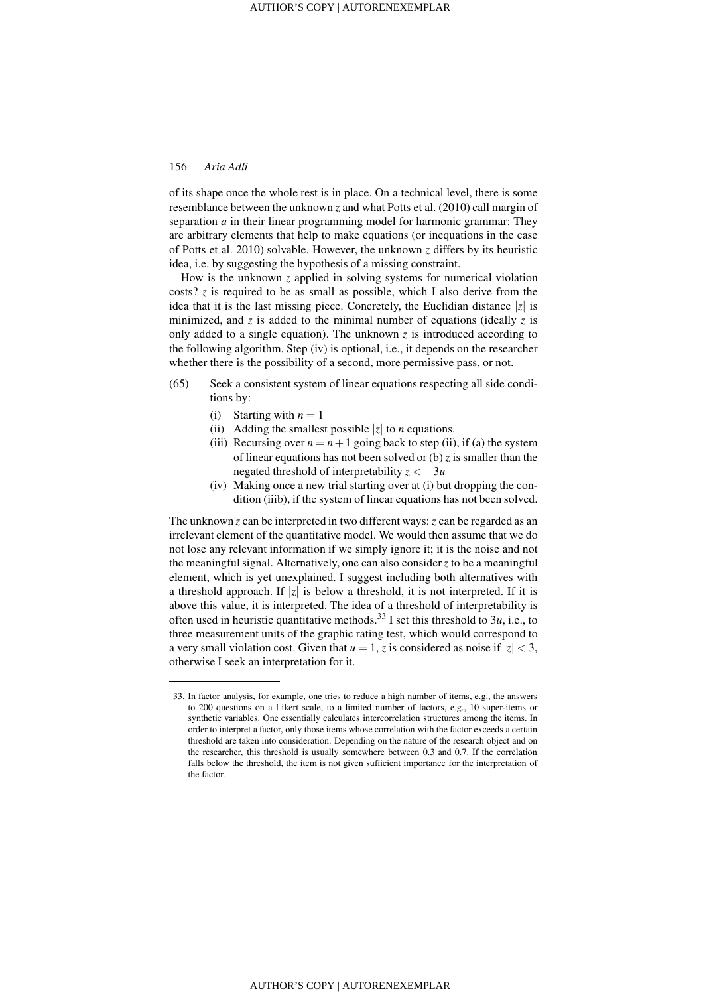of its shape once the whole rest is in place. On a technical level, there is some resemblance between the unknown *z* and what Potts et al. (2010) call margin of separation *a* in their linear programming model for harmonic grammar: They are arbitrary elements that help to make equations (or inequations in the case of Potts et al. 2010) solvable. However, the unknown *z* differs by its heuristic idea, i.e. by suggesting the hypothesis of a missing constraint.

How is the unknown *z* applied in solving systems for numerical violation costs? *z* is required to be as small as possible, which I also derive from the idea that it is the last missing piece. Concretely, the Euclidian distance  $|z|$  is minimized, and *z* is added to the minimal number of equations (ideally *z* is only added to a single equation). The unknown  $\zeta$  is introduced according to the following algorithm. Step (iv) is optional, i.e., it depends on the researcher whether there is the possibility of a second, more permissive pass, or not.

- (65) Seek a consistent system of linear equations respecting all side conditions by:
	- (i) Starting with  $n = 1$
	- (ii) Adding the smallest possible  $|z|$  to *n* equations.
	- (iii) Recursing over  $n = n + 1$  going back to step (ii), if (a) the system of linear equations has not been solved or (b) *z* is smaller than the negated threshold of interpretability *z* < −3*u*
	- (iv) Making once a new trial starting over at (i) but dropping the condition (iiib), if the system of linear equations has not been solved.

The unknown *z* can be interpreted in two different ways: *z* can be regarded as an irrelevant element of the quantitative model. We would then assume that we do not lose any relevant information if we simply ignore it; it is the noise and not the meaningful signal. Alternatively, one can also consider*z* to be a meaningful element, which is yet unexplained. I suggest including both alternatives with a threshold approach. If  $|z|$  is below a threshold, it is not interpreted. If it is above this value, it is interpreted. The idea of a threshold of interpretability is often used in heuristic quantitative methods.<sup>33</sup> I set this threshold to 3*u*, i.e., to three measurement units of the graphic rating test, which would correspond to a very small violation cost. Given that  $u = 1$ , *z* is considered as noise if  $|z| < 3$ , otherwise I seek an interpretation for it.

<sup>33.</sup> In factor analysis, for example, one tries to reduce a high number of items, e.g., the answers to 200 questions on a Likert scale, to a limited number of factors, e.g., 10 super-items or synthetic variables. One essentially calculates intercorrelation structures among the items. In order to interpret a factor, only those items whose correlation with the factor exceeds a certain threshold are taken into consideration. Depending on the nature of the research object and on the researcher, this threshold is usually somewhere between 0.3 and 0.7. If the correlation falls below the threshold, the item is not given sufficient importance for the interpretation of the factor.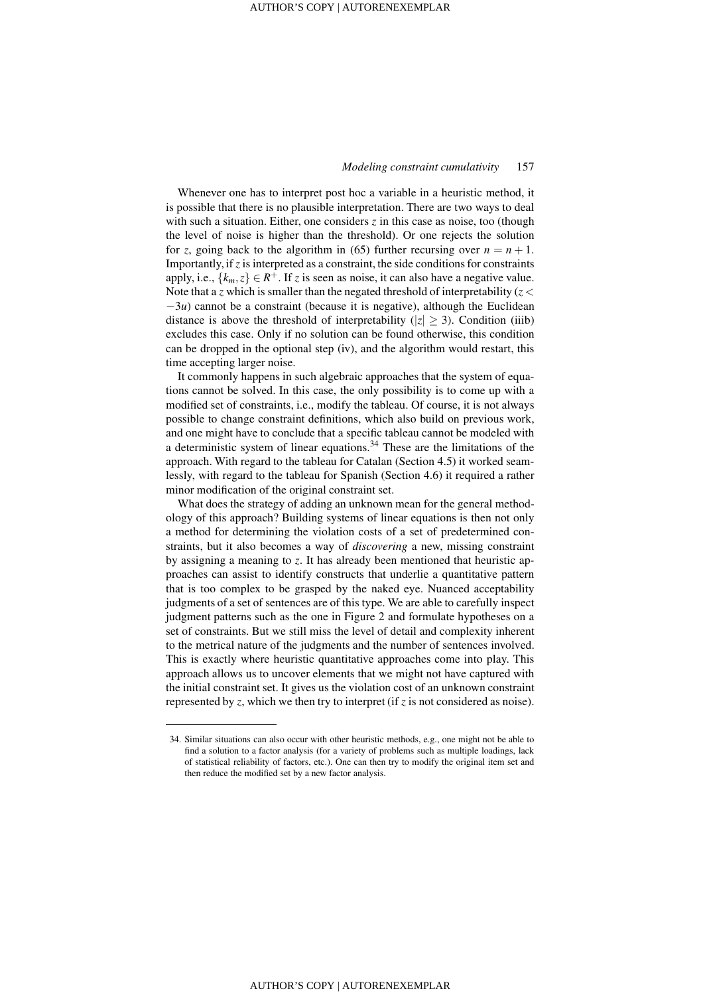Whenever one has to interpret post hoc a variable in a heuristic method, it is possible that there is no plausible interpretation. There are two ways to deal with such a situation. Either, one considers *z* in this case as noise, too (though the level of noise is higher than the threshold). Or one rejects the solution for *z*, going back to the algorithm in (65) further recursing over  $n = n + 1$ . Importantly, if  $z$  is interpreted as a constraint, the side conditions for constraints apply, i.e.,  $\{k_m, z\} \in \mathbb{R}^+$ . If *z* is seen as noise, it can also have a negative value. Note that a *z* which is smaller than the negated threshold of interpretability ( $z$  < −3*u*) cannot be a constraint (because it is negative), although the Euclidean distance is above the threshold of interpretability ( $|z| \ge 3$ ). Condition (iiib) excludes this case. Only if no solution can be found otherwise, this condition can be dropped in the optional step (iv), and the algorithm would restart, this time accepting larger noise.

It commonly happens in such algebraic approaches that the system of equations cannot be solved. In this case, the only possibility is to come up with a modified set of constraints, i.e., modify the tableau. Of course, it is not always possible to change constraint definitions, which also build on previous work, and one might have to conclude that a specific tableau cannot be modeled with a deterministic system of linear equations.<sup>34</sup> These are the limitations of the approach. With regard to the tableau for Catalan (Section 4.5) it worked seamlessly, with regard to the tableau for Spanish (Section 4.6) it required a rather minor modification of the original constraint set.

What does the strategy of adding an unknown mean for the general methodology of this approach? Building systems of linear equations is then not only a method for determining the violation costs of a set of predetermined constraints, but it also becomes a way of *discovering* a new, missing constraint by assigning a meaning to *z*. It has already been mentioned that heuristic approaches can assist to identify constructs that underlie a quantitative pattern that is too complex to be grasped by the naked eye. Nuanced acceptability judgments of a set of sentences are of this type. We are able to carefully inspect judgment patterns such as the one in Figure 2 and formulate hypotheses on a set of constraints. But we still miss the level of detail and complexity inherent to the metrical nature of the judgments and the number of sentences involved. This is exactly where heuristic quantitative approaches come into play. This approach allows us to uncover elements that we might not have captured with the initial constraint set. It gives us the violation cost of an unknown constraint represented by *z*, which we then try to interpret (if *z* is not considered as noise).

<sup>34.</sup> Similar situations can also occur with other heuristic methods, e.g., one might not be able to find a solution to a factor analysis (for a variety of problems such as multiple loadings, lack of statistical reliability of factors, etc.). One can then try to modify the original item set and then reduce the modified set by a new factor analysis.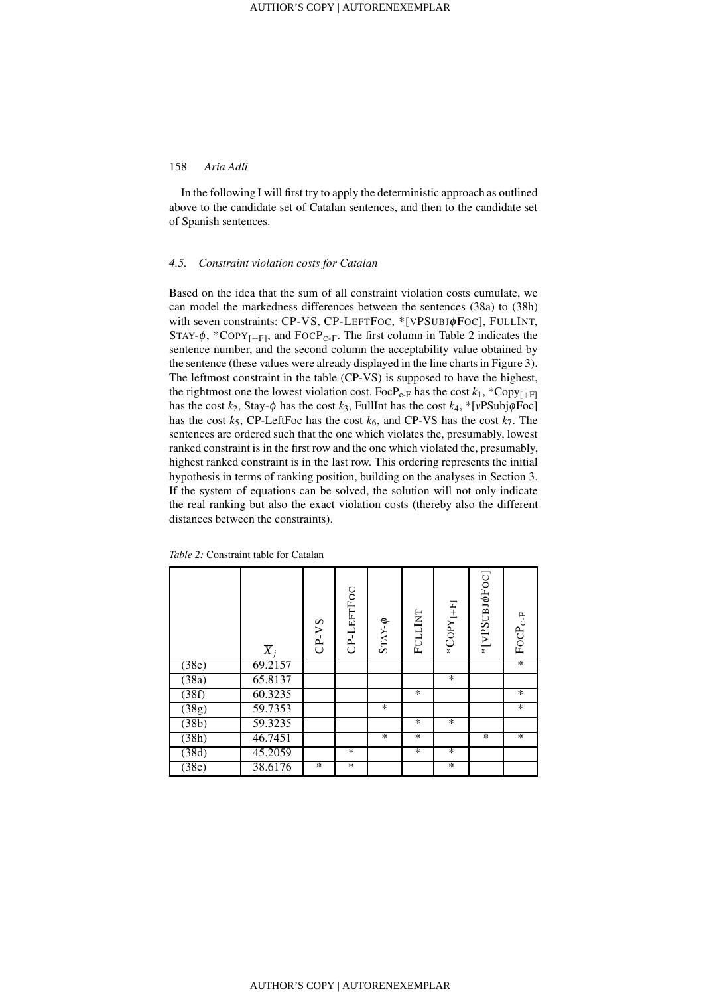In the following I will first try to apply the deterministic approach as outlined above to the candidate set of Catalan sentences, and then to the candidate set of Spanish sentences.

#### *4.5. Constraint violation costs for Catalan*

Based on the idea that the sum of all constraint violation costs cumulate, we can model the markedness differences between the sentences (38a) to (38h) with seven constraints: CP-VS, CP-LEFTFOC, \*[VPSUBJ $\phi$ FOC], FULLINT, STAY- $\phi$ , \*COPY<sub>[+F]</sub>, and FOCP<sub>C-F</sub>. The first column in Table 2 indicates the sentence number, and the second column the acceptability value obtained by the sentence (these values were already displayed in the line charts in Figure 3). The leftmost constraint in the table (CP-VS) is supposed to have the highest, the rightmost one the lowest violation cost. FocP<sub>c-F</sub> has the cost  $k_1$ , \*Copy<sub>[+F]</sub> has the cost  $k_2$ , Stay- $\phi$  has the cost  $k_3$ , FullInt has the cost  $k_4$ , \*[*vPSubj* $\phi$ *Foc*] has the cost  $k_5$ , CP-LeftFoc has the cost  $k_6$ , and CP-VS has the cost  $k_7$ . The sentences are ordered such that the one which violates the, presumably, lowest ranked constraint is in the first row and the one which violated the, presumably, highest ranked constraint is in the last row. This ordering represents the initial hypothesis in terms of ranking position, building on the analyses in Section 3. If the system of equations can be solved, the solution will not only indicate the real ranking but also the exact violation costs (thereby also the different distances between the constraints).

| <i>Table 2:</i> Constraint table for Catalan |  |  |
|----------------------------------------------|--|--|
|----------------------------------------------|--|--|

|       | $\overline{X}_i$ | $CP-VS$ | CP-LEFTFOC | $STAY-\phi$ | FULLINT | $*$ COPY <sub>[+F]</sub> | *[VPSUBJ <sub>\$</sub> FOC] | $FocP_{c-F}$ |
|-------|------------------|---------|------------|-------------|---------|--------------------------|-----------------------------|--------------|
| (38e) | 69.2157          |         |            |             |         |                          |                             | $\ast$       |
| (38a) | 65.8137          |         |            |             |         | *                        |                             |              |
| (38f) | 60.3235          |         |            |             | *       |                          |                             | $\ast$       |
| (38g) | 59.7353          |         |            | $\ast$      |         |                          |                             | $\ast$       |
| (38b) | 59.3235          |         |            |             | $\ast$  | *                        |                             |              |
| (38h) | 46.7451          |         |            | *           | $\ast$  |                          | $\ast$                      | $\ast$       |
| (38d) | 45.2059          |         | $\ast$     |             | $\ast$  | *                        |                             |              |
| (38c) | 38.6176          | *       | $\ast$     |             |         | *                        |                             |              |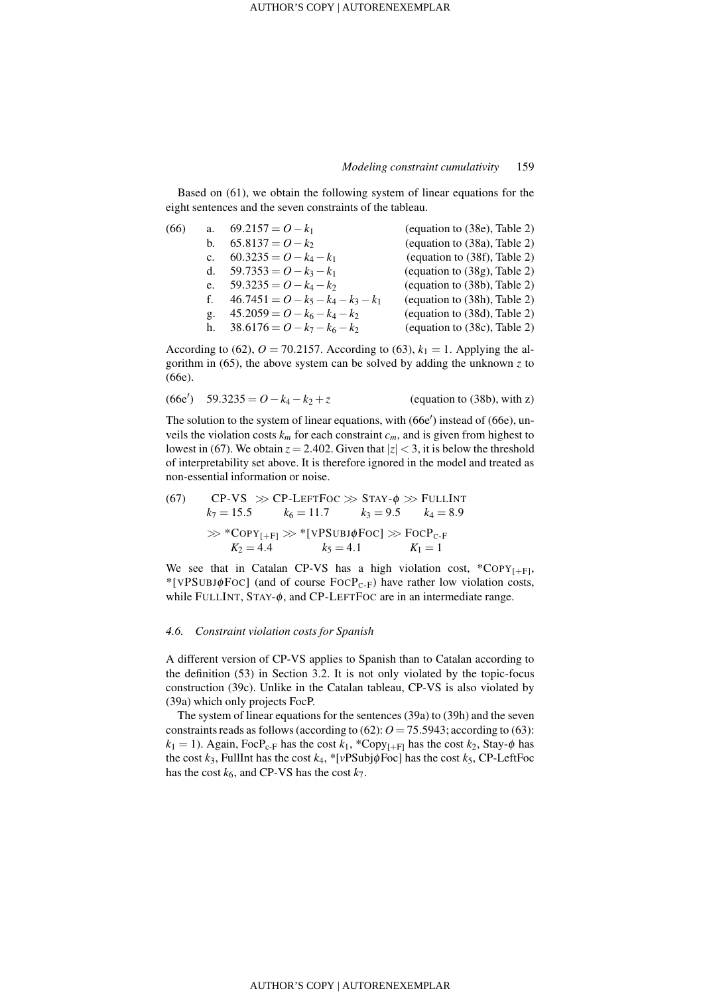Based on (61), we obtain the following system of linear equations for the eight sentences and the seven constraints of the tableau.

| (66) | a.          | $69.2157 = Q - k_1$                   | (equation to (38e), Table 2)    |
|------|-------------|---------------------------------------|---------------------------------|
|      | b.          | $65.8137 = Q - k_2$                   | (equation to $(38a)$ , Table 2) |
|      | $c_{\cdot}$ | $60.3235 = Q - k_4 - k_1$             | (equation to (38f), Table 2)    |
|      |             | d. $59.7353 = Q - k_3 - k_1$          | (equation to $(38g)$ , Table 2) |
|      | e.          | $59.3235 = Q - k_4 - k_2$             | (equation to (38b), Table 2)    |
|      | f.          | $46.7451 = Q - k_5 - k_4 - k_3 - k_1$ | (equation to (38h), Table 2)    |
|      | g.          | $45.2059 = Q - k_6 - k_4 - k_2$       | (equation to (38d), Table 2)    |
|      |             | h. $38.6176 = Q - k_7 - k_6 - k_2$    | (equation to (38c), Table 2)    |
|      |             |                                       |                                 |

According to (62),  $Q = 70.2157$ . According to (63),  $k_1 = 1$ . Applying the algorithm in (65), the above system can be solved by adding the unknown *z* to (66e).

$$
(66e') \quad 59.3235 = O - k_4 - k_2 + z \quad \text{(equation to (38b), with z)}
$$

The solution to the system of linear equations, with (66e') instead of (66e), unveils the violation costs  $k_m$  for each constraint  $c_m$ , and is given from highest to lowest in (67). We obtain  $z = 2.402$ . Given that  $|z| < 3$ , it is below the threshold of interpretability set above. It is therefore ignored in the model and treated as non-essential information or noise.

(67) CP-VS 
$$
\gg
$$
 CP-LEFTFOC  $\gg$  STAY- $\phi \gg$  FULLINT  
\n $k_7 = 15.5$   $k_6 = 11.7$   $k_3 = 9.5$   $k_4 = 8.9$   
\n $\gg$  \* COPY<sub>[+F]</sub>  $\gg$  \* [VPSUBJ $\phi$ Foc]  $\gg$  FocP<sub>C-F</sub>  
\n $K_2 = 4.4$   $k_5 = 4.1$   $K_1 = 1$ 

We see that in Catalan CP-VS has a high violation cost,  $^*COPY_{[+F]},$ \*[VPSUBJ $\phi$ FOC] (and of course FOCP<sub>C-F</sub>) have rather low violation costs, while FULLINT,  $STAY-\phi$ , and CP-LEFTFOC are in an intermediate range.

#### *4.6. Constraint violation costs for Spanish*

A different version of CP-VS applies to Spanish than to Catalan according to the definition (53) in Section 3.2. It is not only violated by the topic-focus construction (39c). Unlike in the Catalan tableau, CP-VS is also violated by (39a) which only projects FocP.

The system of linear equations for the sentences (39a) to (39h) and the seven constraints reads as follows (according to  $(62)$ :  $O = 75.5943$ ; according to  $(63)$ :  $k_1 = 1$ ). Again, FocP<sub>c-F</sub> has the cost  $k_1$ , \*Copy<sub>[+F]</sub> has the cost  $k_2$ , Stay- $\phi$  has the cost  $k_3$ , FullInt has the cost  $k_4$ , \*[*vPSubj* $\phi$ *Foc*] has the cost  $k_5$ , CP-LeftFoc has the cost  $k_6$ , and CP-VS has the cost  $k_7$ .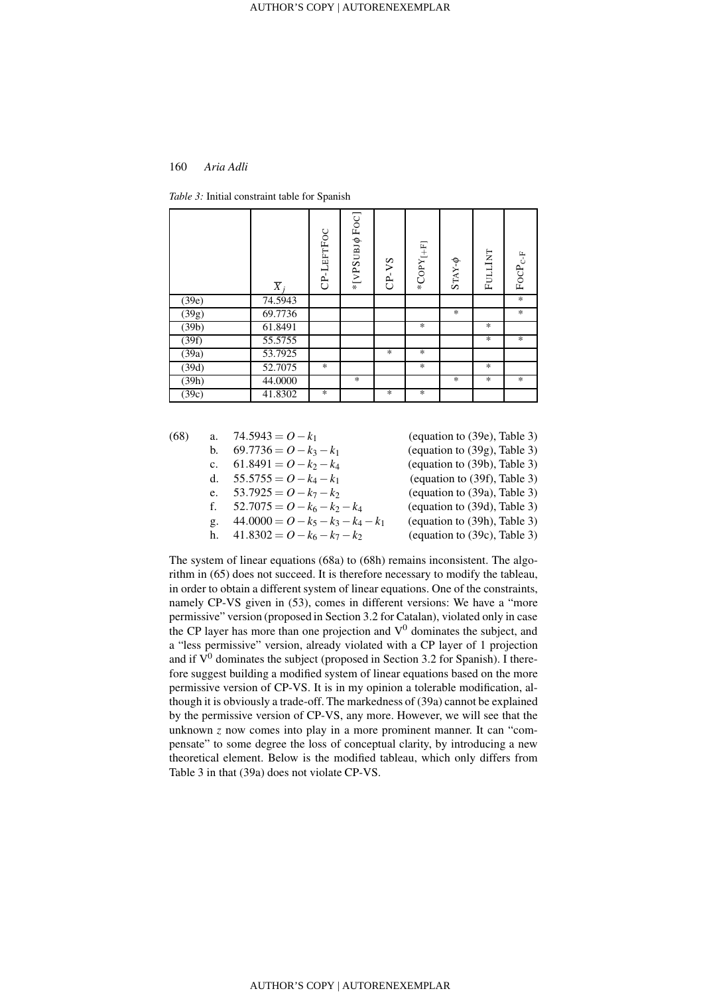*Table 3:* Initial constraint table for Spanish

|                    | $\overline{X}_i$ | CP-LEFTFOC | EDGI $\phi$ LENDALA | $CP-VS$ | $\rm ^{*}CoPY$ $\rm _{[+F]}$ | $S TAY-\phi$ | FULLINT | $\text{FocP}_{\text{C-F}}$ |
|--------------------|------------------|------------|---------------------|---------|------------------------------|--------------|---------|----------------------------|
| (39e)              | 74.5943          |            |                     |         |                              |              |         | $\ast$                     |
| $\overline{(39g)}$ | 69.7736          |            |                     |         |                              | $\ast$       |         | $\ast$                     |
| (39b)              | 61.8491          |            |                     |         | $\ast$                       |              | $\ast$  |                            |
| (39f)              | 55.5755          |            |                     |         |                              |              | $\ast$  | *                          |
| $\overline{(39a)}$ | 53.7925          |            |                     | $\ast$  | $\ast$                       |              |         |                            |
| $\overline{(39d)}$ | 52.7075          | $\ast$     |                     |         | $\ast$                       |              | $\ast$  |                            |
| (39h)              | 44.0000          |            | *                   |         |                              | $\ast$       | $\ast$  | *                          |
| (39c)              | 41.8302          | $\ast$     |                     | $\ast$  | $\ast$                       |              |         |                            |

| (68) | a.          | $74.5943 = Q - k_1$                   | (equation to (39e), Table 3)    |
|------|-------------|---------------------------------------|---------------------------------|
|      | b.          | $69.7736 = Q - k_3 - k_1$             | (equation to $(39g)$ , Table 3) |
|      | $c_{\cdot}$ | $61.8491 = Q - k_2 - k_4$             | (equation to (39b), Table 3)    |
|      | d.          | $55.5755 = Q - k_4 - k_1$             | (equation to (39f), Table 3)    |
|      | e.          | $53.7925 = Q - k_7 - k_2$             | (equation to $(39a)$ , Table 3) |
|      | f.          | $52.7075 = Q - k_6 - k_2 - k_4$       | (equation to (39d), Table 3)    |
|      | g.          | $44.0000 = Q - k_5 - k_3 - k_4 - k_1$ | (equation to (39h), Table 3)    |
|      |             | h. $41.8302 = Q - k_6 - k_7 - k_2$    | (equation to $(39c)$ , Table 3) |

The system of linear equations (68a) to (68h) remains inconsistent. The algorithm in (65) does not succeed. It is therefore necessary to modify the tableau, in order to obtain a different system of linear equations. One of the constraints, namely CP-VS given in (53), comes in different versions: We have a "more permissive" version (proposed in Section 3.2 for Catalan), violated only in case the CP layer has more than one projection and  $V^0$  dominates the subject, and a "less permissive" version, already violated with a CP layer of 1 projection and if  $V^0$  dominates the subject (proposed in Section 3.2 for Spanish). I therefore suggest building a modified system of linear equations based on the more permissive version of CP-VS. It is in my opinion a tolerable modification, although it is obviously a trade-off. The markedness of (39a) cannot be explained by the permissive version of CP-VS, any more. However, we will see that the unknown *z* now comes into play in a more prominent manner. It can "compensate" to some degree the loss of conceptual clarity, by introducing a new theoretical element. Below is the modified tableau, which only differs from Table 3 in that (39a) does not violate CP-VS.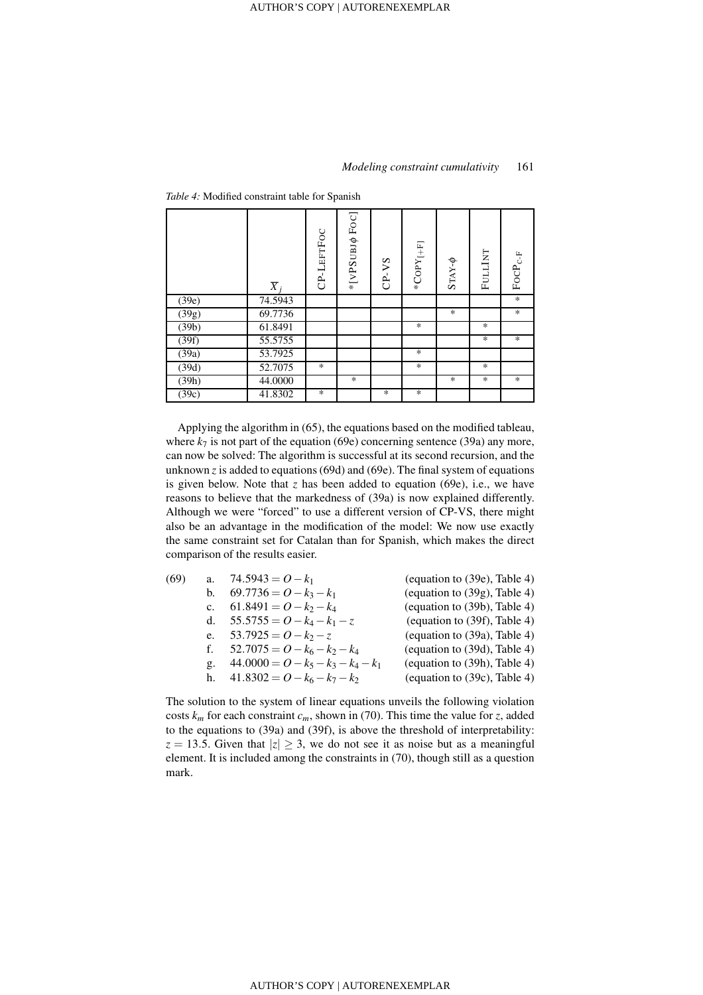*Table 4:* Modified constraint table for Spanish

|       | $\overline{X}_i$ | CP-LEFTFOC | FOG1 $\phi$ LOC1* | $CP-VS$ | $\ast$ COPY [+F] | $STAY-\phi$ | FULLINT | $\text{FocP}_{\text{c-F}}$ |
|-------|------------------|------------|-------------------|---------|------------------|-------------|---------|----------------------------|
| (39e) | 74.5943          |            |                   |         |                  |             |         | $\ast$                     |
| (39g) | 69.7736          |            |                   |         |                  | *           |         | $\ast$                     |
| (39b) | 61.8491          |            |                   |         | $\ast$           |             | $\ast$  |                            |
| (39f) | 55.5755          |            |                   |         |                  |             | $\ast$  | *                          |
| (39a) | 53.7925          |            |                   |         | $\ast$           |             |         |                            |
| (39d) | 52.7075          | *          |                   |         | $\ast$           |             | $\ast$  |                            |
| (39h) | 44.0000          |            | $\ast$            |         |                  | $\ast$      | $\ast$  | *                          |
| (39c) | 41.8302          | $\ast$     |                   | $\ast$  | $\ast$           |             |         |                            |

Applying the algorithm in (65), the equations based on the modified tableau, where  $k_7$  is not part of the equation (69e) concerning sentence (39a) any more, can now be solved: The algorithm is successful at its second recursion, and the unknown *z* is added to equations (69d) and (69e). The final system of equations is given below. Note that  $\zeta$  has been added to equation (69e), i.e., we have reasons to believe that the markedness of (39a) is now explained differently. Although we were "forced" to use a different version of CP-VS, there might also be an advantage in the modification of the model: We now use exactly the same constraint set for Catalan than for Spanish, which makes the direct comparison of the results easier.

| (69) | a.        | $74.5943 = Q - k_1$                   | (equation to $(39e)$ , Table 4) |
|------|-----------|---------------------------------------|---------------------------------|
|      | b.        | $69.7736 = Q - k_3 - k_1$             | (equation to $(39g)$ , Table 4) |
|      | $c_{\rm}$ | $61.8491 = Q - k_2 - k_4$             | (equation to (39b), Table 4)    |
|      |           | d. $55.5755 = Q - k_4 - k_1 - z$      | (equation to (39f), Table 4)    |
|      | e.        | $53.7925 = Q - k_2 - z$               | (equation to $(39a)$ , Table 4) |
|      | f.        | $52.7075 = Q - k_6 - k_2 - k_4$       | (equation to $(39d)$ , Table 4) |
|      | g.        | $44.0000 = Q - k_5 - k_3 - k_4 - k_1$ | (equation to (39h), Table 4)    |
|      |           | h. $41.8302 = Q - k_6 - k_7 - k_2$    | (equation to (39c), Table 4)    |
|      |           |                                       |                                 |

The solution to the system of linear equations unveils the following violation costs  $k_m$  for each constraint  $c_m$ , shown in (70). This time the value for *z*, added to the equations to (39a) and (39f), is above the threshold of interpretability:  $z = 13.5$ . Given that  $|z| \geq 3$ , we do not see it as noise but as a meaningful element. It is included among the constraints in (70), though still as a question mark.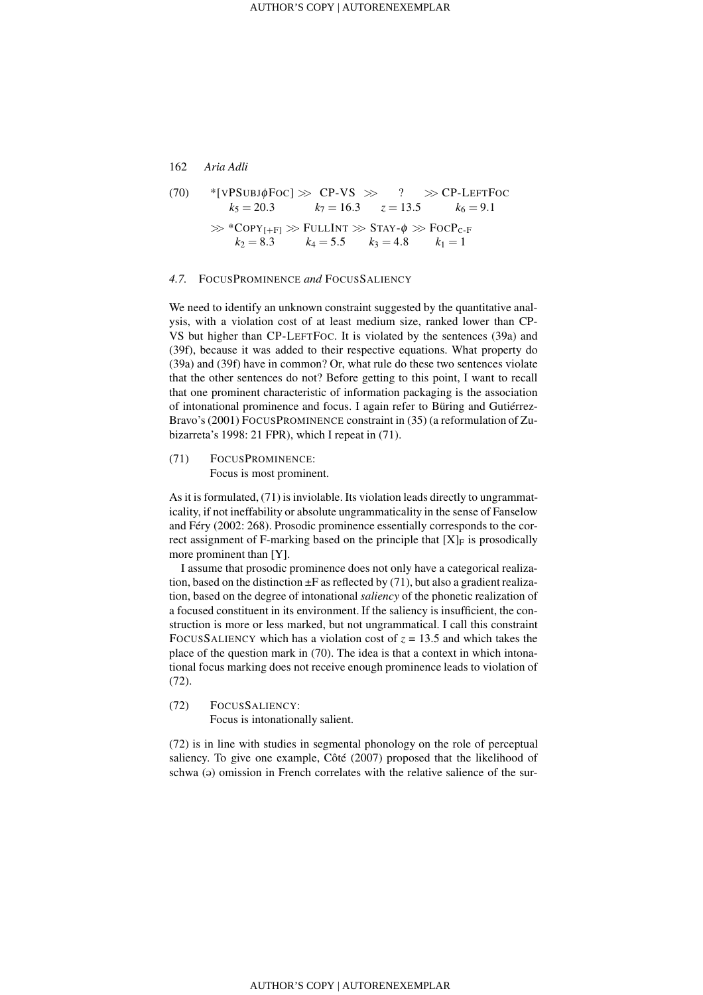(70) 
$$
*(\text{P}SUBJ\phi Foc) \gg \text{CP-VS} \gg ? \gg \text{CP-LEFTFoc}
$$

$$
k_5 = 20.3 \qquad k_7 = 16.3 \qquad z = 13.5 \qquad k_6 = 9.1
$$

$$
\gg * \text{COPY}_{[+F]} \gg \text{FULLNT} \gg \text{STAT-}\phi \gg \text{FocP}_{C-F}
$$

$$
k_2 = 8.3 \qquad k_4 = 5.5 \qquad k_3 = 4.8 \qquad k_1 = 1
$$

#### *4.7.* FOCUSPROMINENCE *and* FOCUSSALIENCY

We need to identify an unknown constraint suggested by the quantitative analysis, with a violation cost of at least medium size, ranked lower than CP-VS but higher than CP-LEFTFOC. It is violated by the sentences (39a) and (39f), because it was added to their respective equations. What property do (39a) and (39f) have in common? Or, what rule do these two sentences violate that the other sentences do not? Before getting to this point, I want to recall that one prominent characteristic of information packaging is the association of intonational prominence and focus. I again refer to Büring and Gutiérrez-Bravo's (2001) FOCUSPROMINENCE constraint in (35) (a reformulation of Zubizarreta's 1998: 21 FPR), which I repeat in (71).

(71) FOCUSPROMINENCE:

Focus is most prominent.

As it is formulated, (71) is inviolable. Its violation leads directly to ungrammaticality, if not ineffability or absolute ungrammaticality in the sense of Fanselow and Féry (2002: 268). Prosodic prominence essentially corresponds to the correct assignment of F-marking based on the principle that  $[X]_F$  is prosodically more prominent than [Y].

I assume that prosodic prominence does not only have a categorical realization, based on the distinction  $\pm F$  as reflected by (71), but also a gradient realization, based on the degree of intonational *saliency* of the phonetic realization of a focused constituent in its environment. If the saliency is insufficient, the construction is more or less marked, but not ungrammatical. I call this constraint FOCUSSALIENCY which has a violation cost of  $z = 13.5$  and which takes the place of the question mark in (70). The idea is that a context in which intonational focus marking does not receive enough prominence leads to violation of (72).

## (72) FOCUSSALIENCY: Focus is intonationally salient.

(72) is in line with studies in segmental phonology on the role of perceptual saliency. To give one example, Côté (2007) proposed that the likelihood of schwa (a) omission in French correlates with the relative salience of the sur-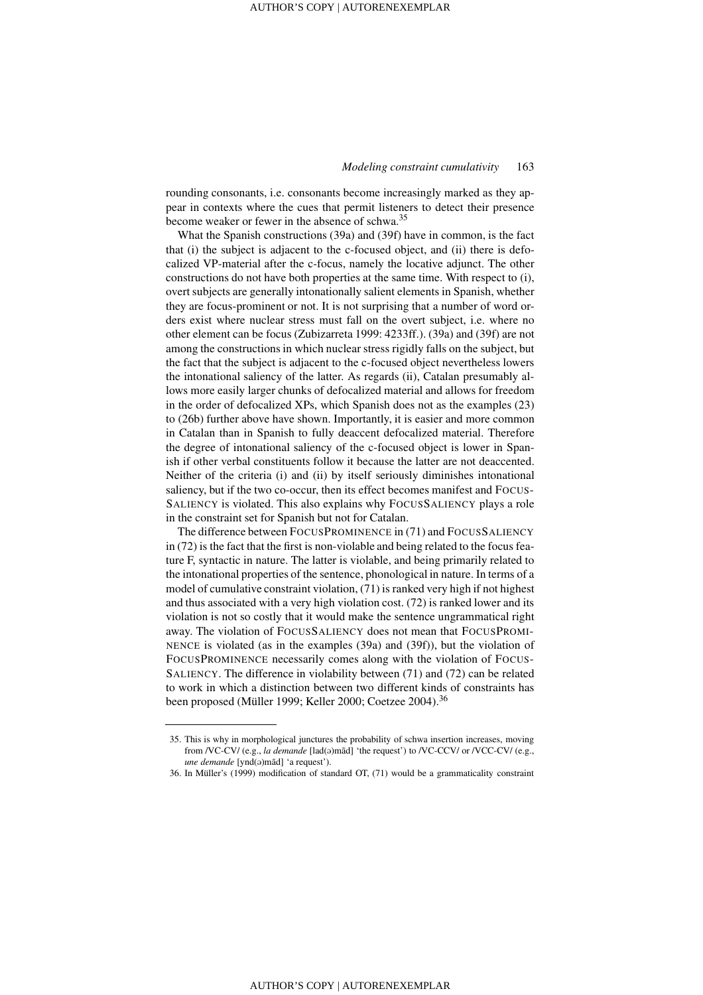rounding consonants, i.e. consonants become increasingly marked as they appear in contexts where the cues that permit listeners to detect their presence become weaker or fewer in the absence of schwa.<sup>35</sup>

What the Spanish constructions (39a) and (39f) have in common, is the fact that (i) the subject is adjacent to the c-focused object, and (ii) there is defocalized VP-material after the c-focus, namely the locative adjunct. The other constructions do not have both properties at the same time. With respect to (i), overt subjects are generally intonationally salient elements in Spanish, whether they are focus-prominent or not. It is not surprising that a number of word orders exist where nuclear stress must fall on the overt subject, i.e. where no other element can be focus (Zubizarreta 1999: 4233ff.). (39a) and (39f) are not among the constructions in which nuclear stress rigidly falls on the subject, but the fact that the subject is adjacent to the c-focused object nevertheless lowers the intonational saliency of the latter. As regards (ii), Catalan presumably allows more easily larger chunks of defocalized material and allows for freedom in the order of defocalized XPs, which Spanish does not as the examples (23) to (26b) further above have shown. Importantly, it is easier and more common in Catalan than in Spanish to fully deaccent defocalized material. Therefore the degree of intonational saliency of the c-focused object is lower in Spanish if other verbal constituents follow it because the latter are not deaccented. Neither of the criteria (i) and (ii) by itself seriously diminishes intonational saliency, but if the two co-occur, then its effect becomes manifest and FOCUS-SALIENCY is violated. This also explains why FOCUSSALIENCY plays a role in the constraint set for Spanish but not for Catalan.

The difference between FOCUSPROMINENCE in (71) and FOCUSSALIENCY in (72) is the fact that the first is non-violable and being related to the focus feature F, syntactic in nature. The latter is violable, and being primarily related to the intonational properties of the sentence, phonological in nature. In terms of a model of cumulative constraint violation, (71) is ranked very high if not highest and thus associated with a very high violation cost. (72) is ranked lower and its violation is not so costly that it would make the sentence ungrammatical right away. The violation of FOCUSSALIENCY does not mean that FOCUSPROMI-NENCE is violated (as in the examples (39a) and (39f)), but the violation of FOCUSPROMINENCE necessarily comes along with the violation of FOCUS-SALIENCY. The difference in violability between (71) and (72) can be related to work in which a distinction between two different kinds of constraints has been proposed (Müller 1999; Keller 2000; Coetzee 2004).<sup>36</sup>

<sup>35.</sup> This is why in morphological junctures the probability of schwa insertion increases, moving from /VC-CV/ (e.g., *la demande* [lad(a)mãd] 'the request') to /VC-CCV/ or /VCC-CV/ (e.g., *une demande* [ynd(a)mãd] 'a request').

<sup>36.</sup> In Müller's (1999) modification of standard OT, (71) would be a grammaticality constraint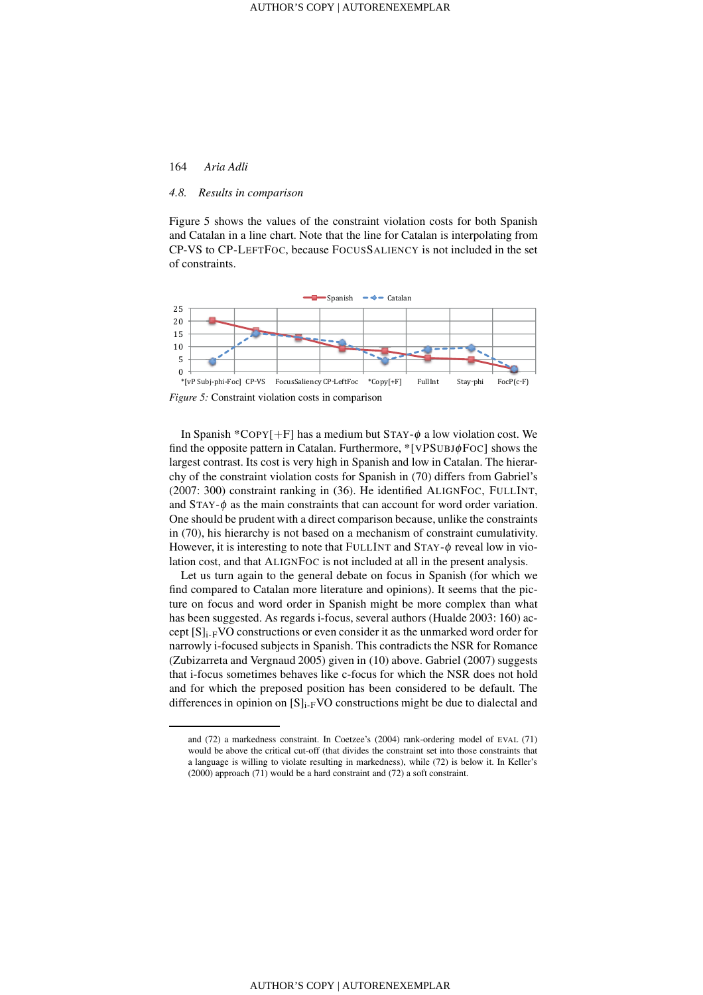#### *4.8. Results in comparison*

Figure 5 shows the values of the constraint violation costs for both Spanish and Catalan in a line chart. Note that the line for Catalan is interpolating from CP-VS to CP-LEFTFOC, because FOCUSSALIENCY is not included in the set of constraints.



*Figure 5:* Constraint violation costs in comparison

In Spanish  $^*$ COPY $[+F]$  has a medium but STAY- $\phi$  a low violation cost. We find the opposite pattern in Catalan. Furthermore,  $\sqrt[*]{[VPSUBJ\phi Foc]}$  shows the largest contrast. Its cost is very high in Spanish and low in Catalan. The hierarchy of the constraint violation costs for Spanish in (70) differs from Gabriel's (2007: 300) constraint ranking in (36). He identified ALIGNFOC, FULLINT, and  $STAY-\phi$  as the main constraints that can account for word order variation. One should be prudent with a direct comparison because, unlike the constraints in (70), his hierarchy is not based on a mechanism of constraint cumulativity. However, it is interesting to note that FULLINT and  $STAY-\phi$  reveal low in violation cost, and that ALIGNFOC is not included at all in the present analysis.

Let us turn again to the general debate on focus in Spanish (for which we find compared to Catalan more literature and opinions). It seems that the picture on focus and word order in Spanish might be more complex than what has been suggested. As regards i-focus, several authors (Hualde 2003: 160) accept  $[S]_{i-F}$ VO constructions or even consider it as the unmarked word order for narrowly i-focused subjects in Spanish. This contradicts the NSR for Romance (Zubizarreta and Vergnaud 2005) given in (10) above. Gabriel (2007) suggests that i-focus sometimes behaves like c-focus for which the NSR does not hold and for which the preposed position has been considered to be default. The differences in opinion on  $[S]_{i-F}VO$  constructions might be due to dialectal and

and (72) a markedness constraint. In Coetzee's (2004) rank-ordering model of EVAL (71) would be above the critical cut-off (that divides the constraint set into those constraints that a language is willing to violate resulting in markedness), while (72) is below it. In Keller's (2000) approach (71) would be a hard constraint and (72) a soft constraint.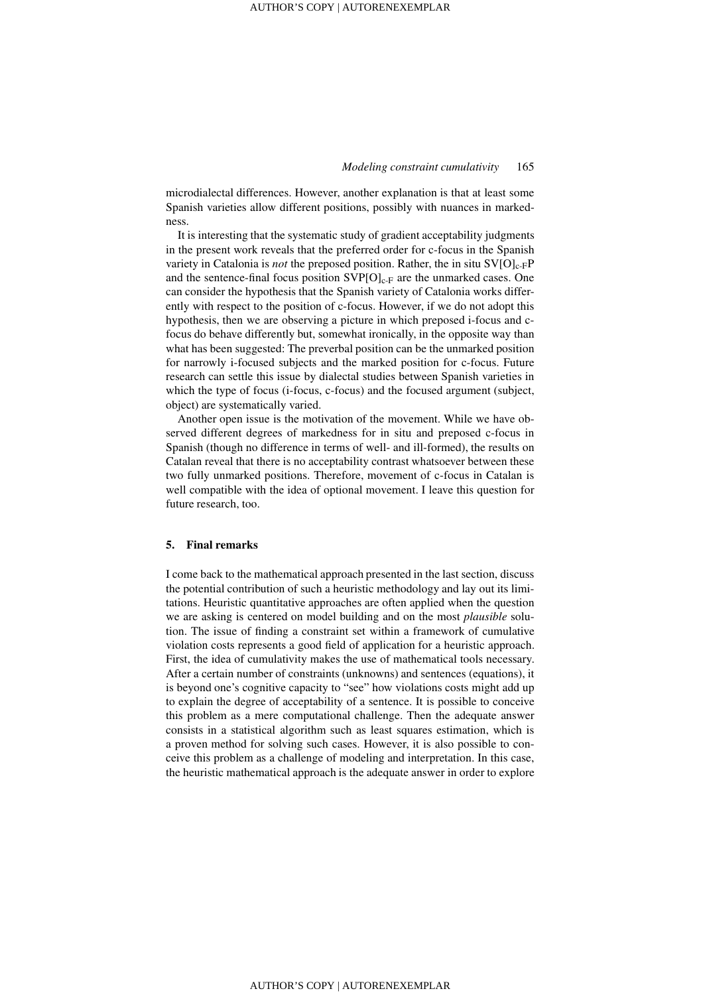microdialectal differences. However, another explanation is that at least some Spanish varieties allow different positions, possibly with nuances in markedness.

It is interesting that the systematic study of gradient acceptability judgments in the present work reveals that the preferred order for c-focus in the Spanish variety in Catalonia is *not* the preposed position. Rather, the in situ SV[O]<sub>c-F</sub>P and the sentence-final focus position  $SVP[O]_{C-F}$  are the unmarked cases. One can consider the hypothesis that the Spanish variety of Catalonia works differently with respect to the position of c-focus. However, if we do not adopt this hypothesis, then we are observing a picture in which preposed i-focus and cfocus do behave differently but, somewhat ironically, in the opposite way than what has been suggested: The preverbal position can be the unmarked position for narrowly i-focused subjects and the marked position for c-focus. Future research can settle this issue by dialectal studies between Spanish varieties in which the type of focus (i-focus, c-focus) and the focused argument (subject, object) are systematically varied.

Another open issue is the motivation of the movement. While we have observed different degrees of markedness for in situ and preposed c-focus in Spanish (though no difference in terms of well- and ill-formed), the results on Catalan reveal that there is no acceptability contrast whatsoever between these two fully unmarked positions. Therefore, movement of c-focus in Catalan is well compatible with the idea of optional movement. I leave this question for future research, too.

#### **5. Final remarks**

I come back to the mathematical approach presented in the last section, discuss the potential contribution of such a heuristic methodology and lay out its limitations. Heuristic quantitative approaches are often applied when the question we are asking is centered on model building and on the most *plausible* solution. The issue of finding a constraint set within a framework of cumulative violation costs represents a good field of application for a heuristic approach. First, the idea of cumulativity makes the use of mathematical tools necessary. After a certain number of constraints (unknowns) and sentences (equations), it is beyond one's cognitive capacity to "see" how violations costs might add up to explain the degree of acceptability of a sentence. It is possible to conceive this problem as a mere computational challenge. Then the adequate answer consists in a statistical algorithm such as least squares estimation, which is a proven method for solving such cases. However, it is also possible to conceive this problem as a challenge of modeling and interpretation. In this case, the heuristic mathematical approach is the adequate answer in order to explore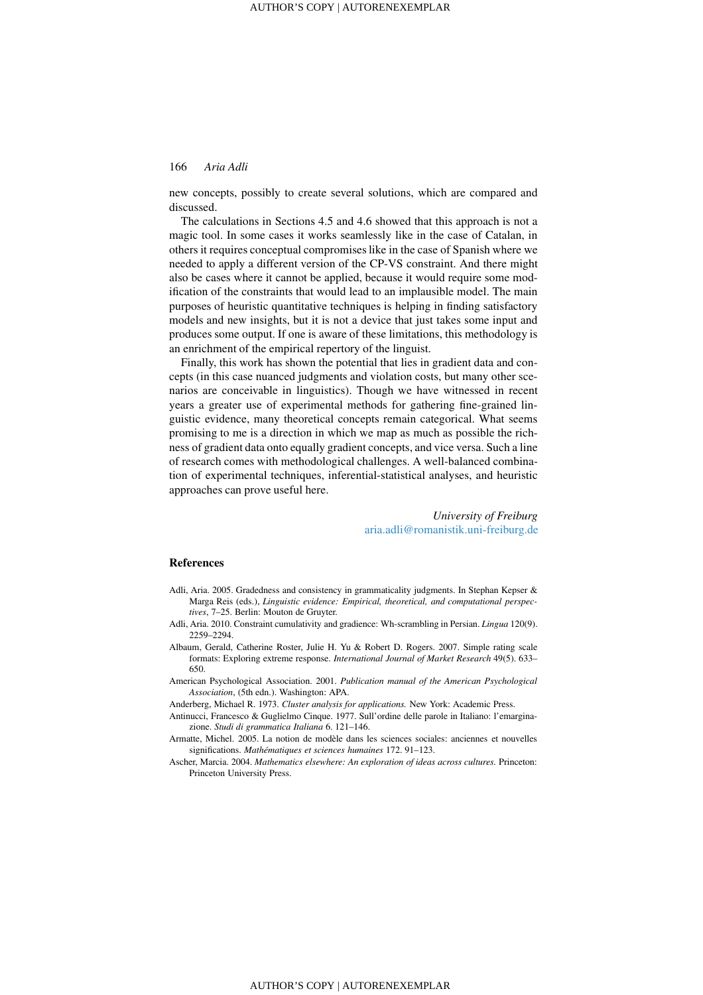new concepts, possibly to create several solutions, which are compared and discussed.

The calculations in Sections 4.5 and 4.6 showed that this approach is not a magic tool. In some cases it works seamlessly like in the case of Catalan, in others it requires conceptual compromises like in the case of Spanish where we needed to apply a different version of the CP-VS constraint. And there might also be cases where it cannot be applied, because it would require some modification of the constraints that would lead to an implausible model. The main purposes of heuristic quantitative techniques is helping in finding satisfactory models and new insights, but it is not a device that just takes some input and produces some output. If one is aware of these limitations, this methodology is an enrichment of the empirical repertory of the linguist.

Finally, this work has shown the potential that lies in gradient data and concepts (in this case nuanced judgments and violation costs, but many other scenarios are conceivable in linguistics). Though we have witnessed in recent years a greater use of experimental methods for gathering fine-grained linguistic evidence, many theoretical concepts remain categorical. What seems promising to me is a direction in which we map as much as possible the richness of gradient data onto equally gradient concepts, and vice versa. Such a line of research comes with methodological challenges. A well-balanced combination of experimental techniques, inferential-statistical analyses, and heuristic approaches can prove useful here.

> *University of Freiburg* [aria.adli@romanistik.uni-freiburg.de](mailto:aria.adli@romanistik.uni-freiburg.de)

#### <span id="page-55-0"></span>**References**

- Adli, Aria. 2005. Gradedness and consistency in grammaticality judgments. In Stephan Kepser & Marga Reis (eds.), *Linguistic evidence: Empirical, theoretical, and computational perspectives*, 7–25. Berlin: Mouton de Gruyter.
- Adli, Aria. 2010. Constraint cumulativity and gradience: Wh-scrambling in Persian. *Lingua* 120(9). 2259–2294.
- Albaum, Gerald, Catherine Roster, Julie H. Yu & Robert D. Rogers. 2007. Simple rating scale formats: Exploring extreme response. *International Journal of Market Research* 49(5). 633– 650.
- American Psychological Association. 2001. *Publication manual of the American Psychological Association*, (5th edn.). Washington: APA.
- Anderberg, Michael R. 1973. *Cluster analysis for applications.* New York: Academic Press.
- Antinucci, Francesco & Guglielmo Cinque. 1977. Sull'ordine delle parole in Italiano: l'emarginazione. *Studi di grammatica Italiana* 6. 121–146.
- Armatte, Michel. 2005. La notion de modèle dans les sciences sociales: anciennes et nouvelles significations. *Mathématiques et sciences humaines* 172. 91–123.
- Ascher, Marcia. 2004. *Mathematics elsewhere: An exploration of ideas across cultures.* Princeton: Princeton University Press.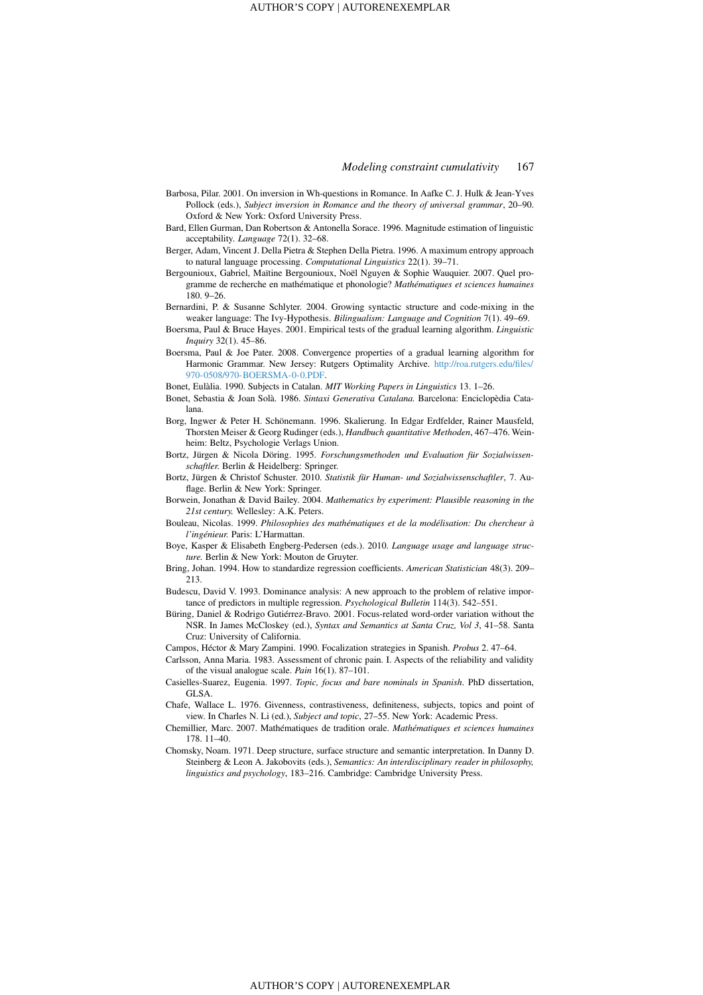- Barbosa, Pilar. 2001. On inversion in Wh-questions in Romance. In Aafke C. J. Hulk & Jean-Yves Pollock (eds.), *Subject inversion in Romance and the theory of universal grammar*, 20–90. Oxford & New York: Oxford University Press.
- Bard, Ellen Gurman, Dan Robertson & Antonella Sorace. 1996. Magnitude estimation of linguistic acceptability. *Language* 72(1). 32–68.
- Berger, Adam, Vincent J. Della Pietra & Stephen Della Pietra. 1996. A maximum entropy approach to natural language processing. *Computational Linguistics* 22(1). 39–71.
- Bergounioux, Gabriel, Maïtine Bergounioux, Noël Nguyen & Sophie Wauquier. 2007. Quel programme de recherche en mathématique et phonologie? *Mathématiques et sciences humaines* 180. 9–26.
- Bernardini, P. & Susanne Schlyter. 2004. Growing syntactic structure and code-mixing in the weaker language: The Ivy-Hypothesis. *Bilingualism: Language and Cognition* 7(1). 49–69.
- Boersma, Paul & Bruce Hayes. 2001. Empirical tests of the gradual learning algorithm. *Linguistic Inquiry* 32(1). 45–86.
- Boersma, Paul & Joe Pater. 2008. Convergence properties of a gradual learning algorithm for Harmonic Grammar. New Jersey: Rutgers Optimality Archive. [http://roa.rutgers.edu/files/](http://roa.rutgers.edu/files/970-0508/970-BOERSMA-0-0.PDF) [970-0508/970-BOERSMA-0-0.PDF.](http://roa.rutgers.edu/files/970-0508/970-BOERSMA-0-0.PDF)

Bonet, Eulàlia. 1990. Subjects in Catalan. *MIT Working Papers in Linguistics* 13. 1–26.

- Bonet, Sebastia & Joan Solà. 1986. *Sintaxi Generativa Catalana.* Barcelona: Enciclopèdia Catalana.
- Borg, Ingwer & Peter H. Schönemann. 1996. Skalierung. In Edgar Erdfelder, Rainer Mausfeld, Thorsten Meiser & Georg Rudinger (eds.), *Handbuch quantitative Methoden*, 467–476. Weinheim: Beltz, Psychologie Verlags Union.
- Bortz, Jürgen & Nicola Döring. 1995. *Forschungsmethoden und Evaluation für Sozialwissenschaftler.* Berlin & Heidelberg: Springer.
- Bortz, Jürgen & Christof Schuster. 2010. *Statistik für Human- und Sozialwissenschaftler*, 7. Auflage. Berlin & New York: Springer.
- Borwein, Jonathan & David Bailey. 2004. *Mathematics by experiment: Plausible reasoning in the 21st century.* Wellesley: A.K. Peters.
- Bouleau, Nicolas. 1999. *Philosophies des mathématiques et de la modélisation: Du chercheur à l'ingénieur.* Paris: L'Harmattan.
- Boye, Kasper & Elisabeth Engberg-Pedersen (eds.). 2010. *Language usage and language structure.* Berlin & New York: Mouton de Gruyter.
- Bring, Johan. 1994. How to standardize regression coefficients. *American Statistician* 48(3). 209– 213.
- Budescu, David V. 1993. Dominance analysis: A new approach to the problem of relative importance of predictors in multiple regression. *Psychological Bulletin* 114(3). 542–551.
- Büring, Daniel & Rodrigo Gutiérrez-Bravo. 2001. Focus-related word-order variation without the NSR. In James McCloskey (ed.), *Syntax and Semantics at Santa Cruz, Vol 3*, 41–58. Santa Cruz: University of California.
- Campos, Héctor & Mary Zampini. 1990. Focalization strategies in Spanish. *Probus* 2. 47–64.
- Carlsson, Anna Maria. 1983. Assessment of chronic pain. I. Aspects of the reliability and validity of the visual analogue scale. *Pain* 16(1). 87–101.
- Casielles-Suarez, Eugenia. 1997. *Topic, focus and bare nominals in Spanish*. PhD dissertation, GLSA.
- Chafe, Wallace L. 1976. Givenness, contrastiveness, definiteness, subjects, topics and point of view. In Charles N. Li (ed.), *Subject and topic*, 27–55. New York: Academic Press.
- Chemillier, Marc. 2007. Mathématiques de tradition orale. *Mathématiques et sciences humaines* 178. 11–40.
- Chomsky, Noam. 1971. Deep structure, surface structure and semantic interpretation. In Danny D. Steinberg & Leon A. Jakobovits (eds.), *Semantics: An interdisciplinary reader in philosophy, linguistics and psychology*, 183–216. Cambridge: Cambridge University Press.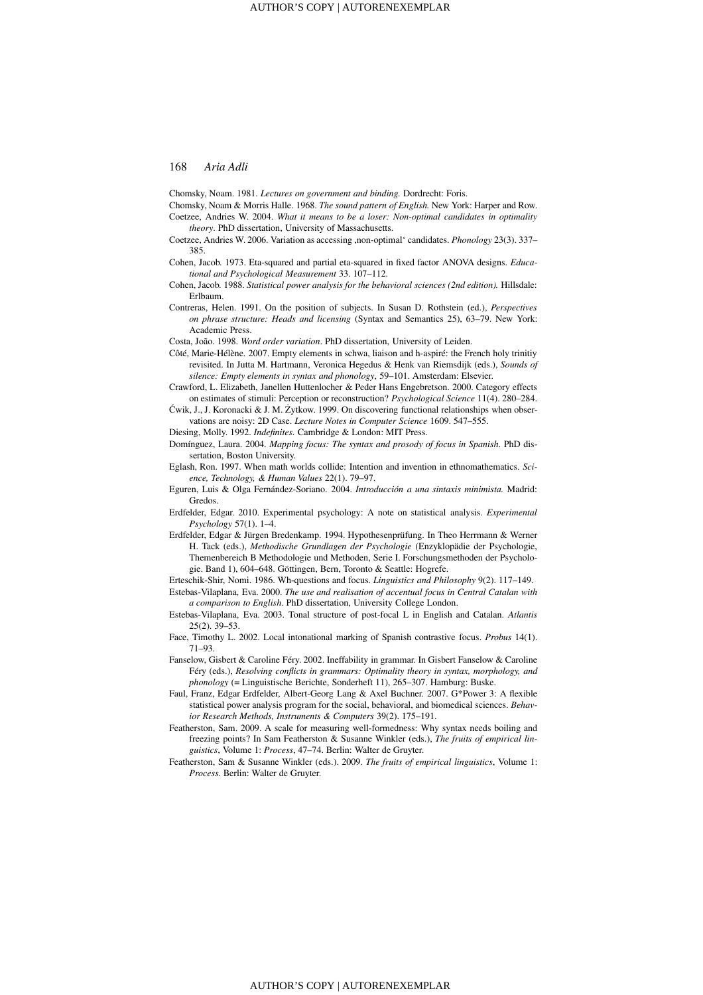Chomsky, Noam. 1981. *Lectures on government and binding.* Dordrecht: Foris.

- Chomsky, Noam & Morris Halle. 1968. *The sound pattern of English.* New York: Harper and Row. Coetzee, Andries W. 2004. *What it means to be a loser: Non-optimal candidates in optimality theory*. PhD dissertation, University of Massachusetts.
- Coetzee, Andries W. 2006. Variation as accessing ,non-optimal' candidates. *Phonology* 23(3). 337– 385.
- Cohen, Jacob. 1973. Eta-squared and partial eta-squared in fixed factor ANOVA designs. *Educational and Psychological Measurement* 33. 107–112.
- Cohen, Jacob. 1988. *Statistical power analysis for the behavioral sciences (2nd edition).* Hillsdale: Erlbaum.
- Contreras, Helen. 1991. On the position of subjects. In Susan D. Rothstein (ed.), *Perspectives on phrase structure: Heads and licensing* (Syntax and Semantics 25), 63–79. New York: Academic Press.
- Costa, João. 1998. *Word order variation*. PhD dissertation, University of Leiden.
- Côté, Marie-Hélène. 2007. Empty elements in schwa, liaison and h-aspiré: the French holy trinitiy revisited. In Jutta M. Hartmann, Veronica Hegedus & Henk van Riemsdijk (eds.), *Sounds of silence: Empty elements in syntax and phonology*, 59–101. Amsterdam: Elsevier.
- Crawford, L. Elizabeth, Janellen Huttenlocher & Peder Hans Engebretson. 2000. Category effects on estimates of stimuli: Perception or reconstruction? *Psychological Science* 11(4). 280–284.
- Cwik, J., J. Koronacki & J. M. Żytkow. 1999. On discovering functional relationships when observations are noisy: 2D Case. *Lecture Notes in Computer Science* 1609. 547–555.
- Diesing, Molly. 1992. *Indefinites.* Cambridge & London: MIT Press.
- Domínguez, Laura. 2004. *Mapping focus: The syntax and prosody of focus in Spanish*. PhD dissertation, Boston University.
- Eglash, Ron. 1997. When math worlds collide: Intention and invention in ethnomathematics. *Science, Technology, & Human Values* 22(1). 79–97.
- Eguren, Luis & Olga Fernández-Soriano. 2004. *Introducción a una sintaxis minimista.* Madrid: Gredos.
- Erdfelder, Edgar. 2010. Experimental psychology: A note on statistical analysis. *Experimental Psychology* 57(1). 1–4.
- Erdfelder, Edgar & Jürgen Bredenkamp. 1994. Hypothesenprüfung. In Theo Herrmann & Werner H. Tack (eds.), *Methodische Grundlagen der Psychologie* (Enzyklopädie der Psychologie, Themenbereich B Methodologie und Methoden, Serie I. Forschungsmethoden der Psychologie. Band 1), 604–648. Göttingen, Bern, Toronto & Seattle: Hogrefe.
- Erteschik-Shir, Nomi. 1986. Wh-questions and focus. *Linguistics and Philosophy* 9(2). 117–149. Estebas-Vilaplana, Eva. 2000. *The use and realisation of accentual focus in Central Catalan with*
- *a comparison to English*. PhD dissertation, University College London. Estebas-Vilaplana, Eva. 2003. Tonal structure of post-focal L in English and Catalan. *Atlantis* 25(2). 39–53.
- Face, Timothy L. 2002. Local intonational marking of Spanish contrastive focus. *Probus* 14(1). 71–93.
- Fanselow, Gisbert & Caroline Féry. 2002. Ineffability in grammar. In Gisbert Fanselow & Caroline Féry (eds.), *Resolving conflicts in grammars: Optimality theory in syntax, morphology, and phonology* (= Linguistische Berichte, Sonderheft 11), 265–307. Hamburg: Buske.
- Faul, Franz, Edgar Erdfelder, Albert-Georg Lang & Axel Buchner. 2007. G\*Power 3: A flexible statistical power analysis program for the social, behavioral, and biomedical sciences. *Behavior Research Methods, Instruments & Computers* 39(2). 175–191.
- Featherston, Sam. 2009. A scale for measuring well-formedness: Why syntax needs boiling and freezing points? In Sam Featherston & Susanne Winkler (eds.), *The fruits of empirical linguistics*, Volume 1: *Process*, 47–74. Berlin: Walter de Gruyter.
- Featherston, Sam & Susanne Winkler (eds.). 2009. *The fruits of empirical linguistics*, Volume 1: *Process*. Berlin: Walter de Gruyter.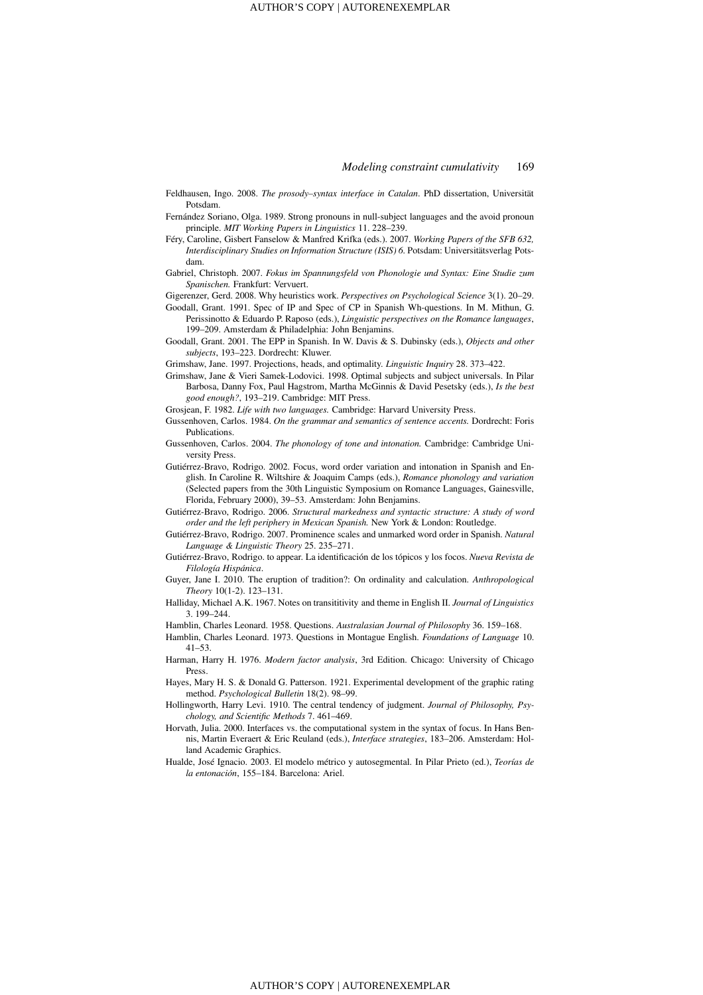- Feldhausen, Ingo. 2008. *The prosody–syntax interface in Catalan*. PhD dissertation, Universität Potsdam.
- Fernández Soriano, Olga. 1989. Strong pronouns in null-subject languages and the avoid pronoun principle. *MIT Working Papers in Linguistics* 11. 228–239.
- Féry, Caroline, Gisbert Fanselow & Manfred Krifka (eds.). 2007. *Working Papers of the SFB 632, Interdisciplinary Studies on Information Structure (ISIS) 6.* Potsdam: Universitätsverlag Potsdam.
- Gabriel, Christoph. 2007. *Fokus im Spannungsfeld von Phonologie und Syntax: Eine Studie zum Spanischen.* Frankfurt: Vervuert.
- Gigerenzer, Gerd. 2008. Why heuristics work. *Perspectives on Psychological Science* 3(1). 20–29.
- Goodall, Grant. 1991. Spec of IP and Spec of CP in Spanish Wh-questions. In M. Mithun, G. Perissinotto & Eduardo P. Raposo (eds.), *Linguistic perspectives on the Romance languages*, 199–209. Amsterdam & Philadelphia: John Benjamins.
- Goodall, Grant. 2001. The EPP in Spanish. In W. Davis & S. Dubinsky (eds.), *Objects and other subjects*, 193–223. Dordrecht: Kluwer.
- Grimshaw, Jane. 1997. Projections, heads, and optimality. *Linguistic Inquiry* 28. 373–422.
- Grimshaw, Jane & Vieri Samek-Lodovici. 1998. Optimal subjects and subject universals. In Pilar Barbosa, Danny Fox, Paul Hagstrom, Martha McGinnis & David Pesetsky (eds.), *Is the best good enough?*, 193–219. Cambridge: MIT Press.
- Grosjean, F. 1982. *Life with two languages.* Cambridge: Harvard University Press.
- Gussenhoven, Carlos. 1984. *On the grammar and semantics of sentence accents.* Dordrecht: Foris Publications.
- Gussenhoven, Carlos. 2004. *The phonology of tone and intonation.* Cambridge: Cambridge University Press.
- Gutiérrez-Bravo, Rodrigo. 2002. Focus, word order variation and intonation in Spanish and English. In Caroline R. Wiltshire & Joaquim Camps (eds.), *Romance phonology and variation* (Selected papers from the 30th Linguistic Symposium on Romance Languages, Gainesville, Florida, February 2000), 39–53. Amsterdam: John Benjamins.
- Gutiérrez-Bravo, Rodrigo. 2006. *Structural markedness and syntactic structure: A study of word order and the left periphery in Mexican Spanish.* New York & London: Routledge.
- Gutiérrez-Bravo, Rodrigo. 2007. Prominence scales and unmarked word order in Spanish. *Natural Language & Linguistic Theory* 25. 235–271.
- Gutiérrez-Bravo, Rodrigo. to appear. La identificación de los tópicos y los focos. *Nueva Revista de Filología Hispánica*.
- Guyer, Jane I. 2010. The eruption of tradition?: On ordinality and calculation. *Anthropological Theory* 10(1-2). 123–131.
- Halliday, Michael A.K. 1967. Notes on transititivity and theme in English II. *Journal of Linguistics* 3. 199–244.
- Hamblin, Charles Leonard. 1958. Questions. *Australasian Journal of Philosophy* 36. 159–168.
- Hamblin, Charles Leonard. 1973. Questions in Montague English. *Foundations of Language* 10. 41–53.
- Harman, Harry H. 1976. *Modern factor analysis*, 3rd Edition. Chicago: University of Chicago Press.
- Hayes, Mary H. S. & Donald G. Patterson. 1921. Experimental development of the graphic rating method. *Psychological Bulletin* 18(2). 98–99.
- Hollingworth, Harry Levi. 1910. The central tendency of judgment. *Journal of Philosophy, Psychology, and Scientific Methods* 7. 461–469.
- Horvath, Julia. 2000. Interfaces vs. the computational system in the syntax of focus. In Hans Bennis, Martin Everaert & Eric Reuland (eds.), *Interface strategies*, 183–206. Amsterdam: Holland Academic Graphics.
- Hualde, José Ignacio. 2003. El modelo métrico y autosegmental. In Pilar Prieto (ed.), *Teorías de la entonación*, 155–184. Barcelona: Ariel.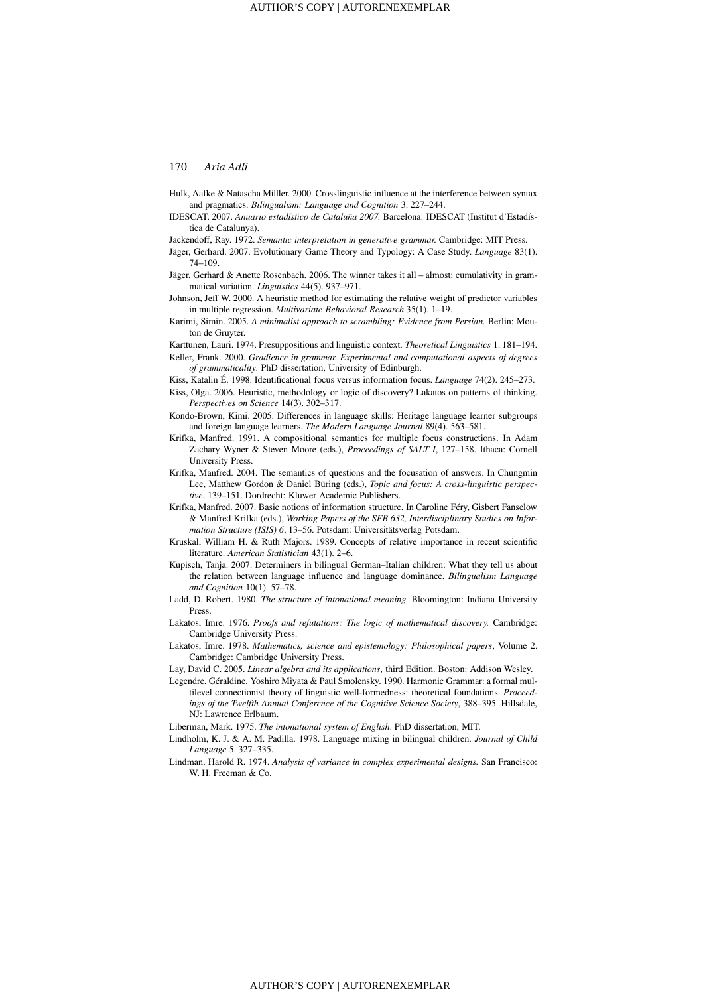- Hulk, Aafke & Natascha Müller. 2000. Crosslinguistic influence at the interference between syntax and pragmatics. *Bilingualism: Language and Cognition* 3. 227–244.
- IDESCAT. 2007. *Anuario estadístico de Cataluña 2007.* Barcelona: IDESCAT (Institut d'Estadística de Catalunya).
- Jackendoff, Ray. 1972. *Semantic interpretation in generative grammar.* Cambridge: MIT Press.
- Jäger, Gerhard. 2007. Evolutionary Game Theory and Typology: A Case Study. *Language* 83(1). 74–109.
- Jäger, Gerhard & Anette Rosenbach. 2006. The winner takes it all almost: cumulativity in grammatical variation. *Linguistics* 44(5). 937–971.
- Johnson, Jeff W. 2000. A heuristic method for estimating the relative weight of predictor variables in multiple regression. *Multivariate Behavioral Research* 35(1). 1–19.
- Karimi, Simin. 2005. *A minimalist approach to scrambling: Evidence from Persian.* Berlin: Mouton de Gruyter.

Karttunen, Lauri. 1974. Presuppositions and linguistic context. *Theoretical Linguistics* 1. 181–194.

- Keller, Frank. 2000. *Gradience in grammar. Experimental and computational aspects of degrees of grammaticality*. PhD dissertation, University of Edinburgh.
- Kiss, Katalin É. 1998. Identificational focus versus information focus. *Language* 74(2). 245–273.
- Kiss, Olga. 2006. Heuristic, methodology or logic of discovery? Lakatos on patterns of thinking. *Perspectives on Science* 14(3). 302–317.
- Kondo-Brown, Kimi. 2005. Differences in language skills: Heritage language learner subgroups and foreign language learners. *The Modern Language Journal* 89(4). 563–581.
- Krifka, Manfred. 1991. A compositional semantics for multiple focus constructions. In Adam Zachary Wyner & Steven Moore (eds.), *Proceedings of SALT I*, 127–158. Ithaca: Cornell University Press.
- Krifka, Manfred. 2004. The semantics of questions and the focusation of answers. In Chungmin Lee, Matthew Gordon & Daniel Büring (eds.), *Topic and focus: A cross-linguistic perspective*, 139–151. Dordrecht: Kluwer Academic Publishers.
- Krifka, Manfred. 2007. Basic notions of information structure. In Caroline Féry, Gisbert Fanselow & Manfred Krifka (eds.), *Working Papers of the SFB 632, Interdisciplinary Studies on Information Structure (ISIS) 6*, 13–56. Potsdam: Universitätsverlag Potsdam.
- Kruskal, William H. & Ruth Majors. 1989. Concepts of relative importance in recent scientific literature. *American Statistician* 43(1). 2–6.
- Kupisch, Tanja. 2007. Determiners in bilingual German–Italian children: What they tell us about the relation between language influence and language dominance. *Bilingualism Language and Cognition* 10(1). 57–78.
- Ladd, D. Robert. 1980. *The structure of intonational meaning.* Bloomington: Indiana University Press.
- Lakatos, Imre. 1976. *Proofs and refutations: The logic of mathematical discovery.* Cambridge: Cambridge University Press.
- Lakatos, Imre. 1978. *Mathematics, science and epistemology: Philosophical papers*, Volume 2. Cambridge: Cambridge University Press.
- Lay, David C. 2005. *Linear algebra and its applications*, third Edition. Boston: Addison Wesley.
- Legendre, Géraldine, Yoshiro Miyata & Paul Smolensky. 1990. Harmonic Grammar: a formal multilevel connectionist theory of linguistic well-formedness: theoretical foundations. *Proceedings of the Twelfth Annual Conference of the Cognitive Science Society*, 388–395. Hillsdale, NJ: Lawrence Erlbaum.
- Liberman, Mark. 1975. *The intonational system of English*. PhD dissertation, MIT.
- Lindholm, K. J. & A. M. Padilla. 1978. Language mixing in bilingual children. *Journal of Child Language* 5. 327–335.
- Lindman, Harold R. 1974. *Analysis of variance in complex experimental designs.* San Francisco: W. H. Freeman & Co.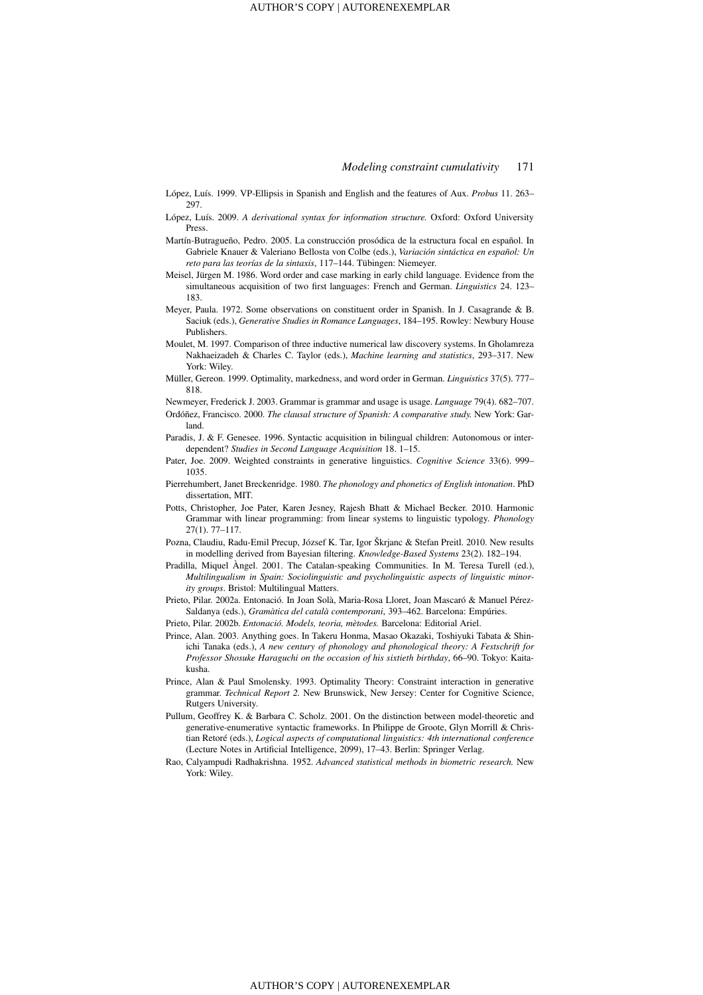- López, Luís. 1999. VP-Ellipsis in Spanish and English and the features of Aux. *Probus* 11. 263– 297.
- López, Luís. 2009. *A derivational syntax for information structure.* Oxford: Oxford University Press.
- Martín-Butragueño, Pedro. 2005. La construcción prosódica de la estructura focal en español. In Gabriele Knauer & Valeriano Bellosta von Colbe (eds.), *Variación sintáctica en español: Un reto para las teorías de la sintaxis*, 117–144. Tübingen: Niemeyer.
- Meisel, Jürgen M. 1986. Word order and case marking in early child language. Evidence from the simultaneous acquisition of two first languages: French and German. *Linguistics* 24. 123– 183.
- Meyer, Paula. 1972. Some observations on constituent order in Spanish. In J. Casagrande & B. Saciuk (eds.), *Generative Studies in Romance Languages*, 184–195. Rowley: Newbury House Publishers.
- Moulet, M. 1997. Comparison of three inductive numerical law discovery systems. In Gholamreza Nakhaeizadeh & Charles C. Taylor (eds.), *Machine learning and statistics*, 293–317. New York: Wiley.
- Müller, Gereon. 1999. Optimality, markedness, and word order in German. *Linguistics* 37(5). 777– 818.
- Newmeyer, Frederick J. 2003. Grammar is grammar and usage is usage. *Language* 79(4). 682–707.
- Ordóñez, Francisco. 2000. *The clausal structure of Spanish: A comparative study.* New York: Garland.
- Paradis, J. & F. Genesee. 1996. Syntactic acquisition in bilingual children: Autonomous or interdependent? *Studies in Second Language Acquisition* 18. 1–15.
- Pater, Joe. 2009. Weighted constraints in generative linguistics. *Cognitive Science* 33(6). 999– 1035.
- Pierrehumbert, Janet Breckenridge. 1980. *The phonology and phonetics of English intonation*. PhD dissertation, MIT.
- Potts, Christopher, Joe Pater, Karen Jesney, Rajesh Bhatt & Michael Becker. 2010. Harmonic Grammar with linear programming: from linear systems to linguistic typology. *Phonology* 27(1). 77–117.
- Pozna, Claudiu, Radu-Emil Precup, József K. Tar, Igor Škrjanc & Stefan Preitl. 2010. New results in modelling derived from Bayesian filtering. *Knowledge-Based Systems* 23(2). 182–194.
- Pradilla, Miquel Àngel. 2001. The Catalan-speaking Communities. In M. Teresa Turell (ed.), *Multilingualism in Spain: Sociolinguistic and psycholinguistic aspects of linguistic minority groups*. Bristol: Multilingual Matters.
- Prieto, Pilar. 2002a. Entonació. In Joan Solà, Maria-Rosa Lloret, Joan Mascaró & Manuel Pérez-Saldanya (eds.), *Gramàtica del català contemporani*, 393–462. Barcelona: Empúries.
- Prieto, Pilar. 2002b. *Entonació. Models, teoria, mètodes.* Barcelona: Editorial Ariel.
- Prince, Alan. 2003. Anything goes. In Takeru Honma, Masao Okazaki, Toshiyuki Tabata & Shinichi Tanaka (eds.), *A new century of phonology and phonological theory: A Festschrift for Professor Shosuke Haraguchi on the occasion of his sixtieth birthday*, 66–90. Tokyo: Kaitakusha.
- Prince, Alan & Paul Smolensky. 1993. Optimality Theory: Constraint interaction in generative grammar. *Technical Report 2.* New Brunswick, New Jersey: Center for Cognitive Science, Rutgers University.
- Pullum, Geoffrey K. & Barbara C. Scholz. 2001. On the distinction between model-theoretic and generative-enumerative syntactic frameworks. In Philippe de Groote, Glyn Morrill & Christian Retoré (eds.), *Logical aspects of computational linguistics: 4th international conference* (Lecture Notes in Artificial Intelligence, 2099), 17–43. Berlin: Springer Verlag.
- Rao, Calyampudi Radhakrishna. 1952. *Advanced statistical methods in biometric research.* New York: Wiley.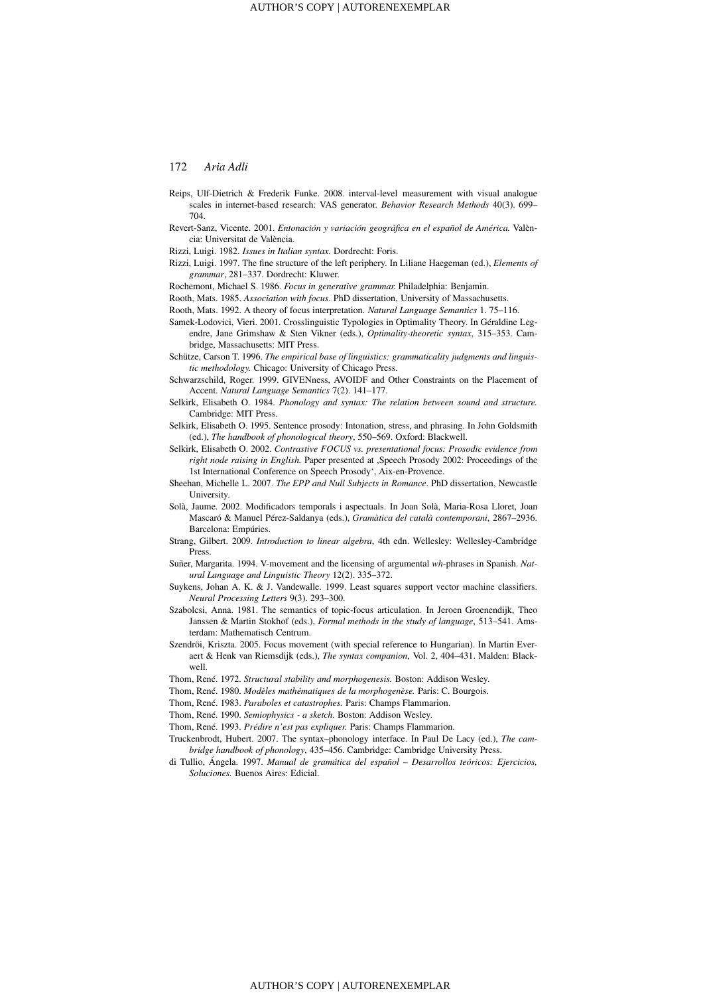- Reips, Ulf-Dietrich & Frederik Funke. 2008. interval-level measurement with visual analogue scales in internet-based research: VAS generator. *Behavior Research Methods* 40(3). 699– 704.
- Revert-Sanz, Vicente. 2001. *Entonación y variación geográfica en el español de América.* València: Universitat de València.

Rizzi, Luigi. 1982. *Issues in Italian syntax.* Dordrecht: Foris.

- Rizzi, Luigi. 1997. The fine structure of the left periphery. In Liliane Haegeman (ed.), *Elements of grammar*, 281–337. Dordrecht: Kluwer.
- Rochemont, Michael S. 1986. *Focus in generative grammar.* Philadelphia: Benjamin.
- Rooth, Mats. 1985. *Association with focus*. PhD dissertation, University of Massachusetts.
- Rooth, Mats. 1992. A theory of focus interpretation. *Natural Language Semantics* 1. 75–116.
- Samek-Lodovici, Vieri. 2001. Crosslinguistic Typologies in Optimality Theory. In Géraldine Legendre, Jane Grimshaw & Sten Vikner (eds.), *Optimality-theoretic syntax*, 315–353. Cambridge, Massachusetts: MIT Press.

Schütze, Carson T. 1996. *The empirical base of linguistics: grammaticality judgments and linguistic methodology.* Chicago: University of Chicago Press.

- Schwarzschild, Roger. 1999. GIVENness, AVOIDF and Other Constraints on the Placement of Accent. *Natural Language Semantics* 7(2). 141–177.
- Selkirk, Elisabeth O. 1984. *Phonology and syntax: The relation between sound and structure.* Cambridge: MIT Press.
- Selkirk, Elisabeth O. 1995. Sentence prosody: Intonation, stress, and phrasing. In John Goldsmith (ed.), *The handbook of phonological theory*, 550–569. Oxford: Blackwell.
- Selkirk, Elisabeth O. 2002. *Contrastive FOCUS vs. presentational focus: Prosodic evidence from right node raising in English.* Paper presented at ,Speech Prosody 2002: Proceedings of the 1st International Conference on Speech Prosody', Aix-en-Provence.
- Sheehan, Michelle L. 2007. *The EPP and Null Subjects in Romance*. PhD dissertation, Newcastle University.
- Solà, Jaume. 2002. Modificadors temporals i aspectuals. In Joan Solà, Maria-Rosa Lloret, Joan Mascaró & Manuel Pérez-Saldanya (eds.), *Gramàtica del català contemporani*, 2867–2936. Barcelona: Empúries.
- Strang, Gilbert. 2009. *Introduction to linear algebra*, 4th edn. Wellesley: Wellesley-Cambridge Press.
- Suñer, Margarita. 1994. V-movement and the licensing of argumental *wh*-phrases in Spanish. *Natural Language and Linguistic Theory* 12(2). 335–372.
- Suykens, Johan A. K. & J. Vandewalle. 1999. Least squares support vector machine classifiers. *Neural Processing Letters* 9(3). 293–300.
- Szabolcsi, Anna. 1981. The semantics of topic-focus articulation. In Jeroen Groenendijk, Theo Janssen & Martin Stokhof (eds.), *Formal methods in the study of language*, 513–541. Amsterdam: Mathematisch Centrum.
- Szendröi, Kriszta. 2005. Focus movement (with special reference to Hungarian). In Martin Everaert & Henk van Riemsdijk (eds.), *The syntax companion*, Vol. 2, 404–431. Malden: Blackwell.
- Thom, René. 1972. *Structural stability and morphogenesis.* Boston: Addison Wesley.
- Thom, René. 1980. *Modèles mathématiques de la morphogenèse.* Paris: C. Bourgois.
- Thom, René. 1983. *Paraboles et catastrophes.* Paris: Champs Flammarion.
- Thom, René. 1990. *Semiophysics a sketch.* Boston: Addison Wesley.
- Thom, René. 1993. *Prédire n'est pas expliquer.* Paris: Champs Flammarion.
- Truckenbrodt, Hubert. 2007. The syntax–phonology interface. In Paul De Lacy (ed.), *The cambridge handbook of phonology*, 435–456. Cambridge: Cambridge University Press.
- di Tullio, Ángela. 1997. *Manual de gramática del español Desarrollos teóricos: Ejercicios, Soluciones.* Buenos Aires: Edicial.